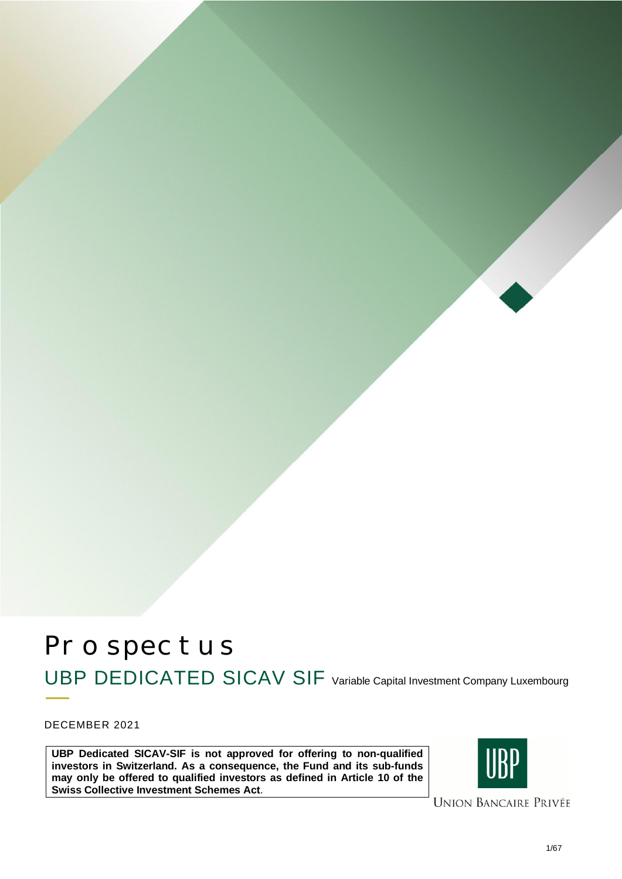# Prospectus UBP DEDICATED SICAV SIF Variable Capital Investment Company Luxembourg

DECEMBER 2021

**UBP Dedicated SICAV-SIF is not approved for offering to non-qualified investors in Switzerland. As a consequence, the Fund and its sub-funds may only be offered to qualified investors as defined in Article 10 of the Swiss Collective Investment Schemes Act**.



**UNION BANCAIRE PRIVÉE**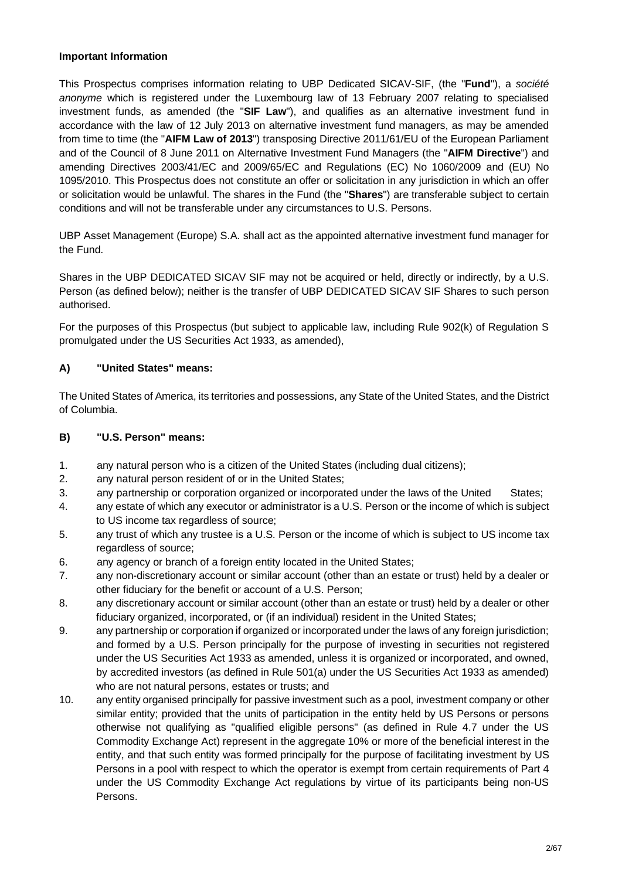## **Important Information**

This Prospectus comprises information relating to UBP Dedicated SICAV-SIF, (the "**Fund**"), a *société anonyme* which is registered under the Luxembourg law of 13 February 2007 relating to specialised investment funds, as amended (the "**SIF Law**"), and qualifies as an alternative investment fund in accordance with the law of 12 July 2013 on alternative investment fund managers, as may be amended from time to time (the "**AIFM Law of 2013**") transposing Directive 2011/61/EU of the European Parliament and of the Council of 8 June 2011 on Alternative Investment Fund Managers (the "**AIFM Directive**") and amending Directives 2003/41/EC and 2009/65/EC and Regulations (EC) No 1060/2009 and (EU) No 1095/2010. This Prospectus does not constitute an offer or solicitation in any jurisdiction in which an offer or solicitation would be unlawful. The shares in the Fund (the "**Shares**") are transferable subject to certain conditions and will not be transferable under any circumstances to U.S. Persons.

UBP Asset Management (Europe) S.A. shall act as the appointed alternative investment fund manager for the Fund.

Shares in the UBP DEDICATED SICAV SIF may not be acquired or held, directly or indirectly, by a U.S. Person (as defined below); neither is the transfer of UBP DEDICATED SICAV SIF Shares to such person authorised.

For the purposes of this Prospectus (but subject to applicable law, including Rule 902(k) of Regulation S promulgated under the US Securities Act 1933, as amended),

# **A) "United States" means:**

The United States of America, its territories and possessions, any State of the United States, and the District of Columbia.

## **B) "U.S. Person" means:**

- 1. any natural person who is a citizen of the United States (including dual citizens);
- 2. any natural person resident of or in the United States;
- 3. any partnership or corporation organized or incorporated under the laws of the United States;
- 4. any estate of which any executor or administrator is a U.S. Person or the income of which is subject to US income tax regardless of source;
- 5. any trust of which any trustee is a U.S. Person or the income of which is subject to US income tax regardless of source;
- 6. any agency or branch of a foreign entity located in the United States;
- 7. any non-discretionary account or similar account (other than an estate or trust) held by a dealer or other fiduciary for the benefit or account of a U.S. Person;
- 8. any discretionary account or similar account (other than an estate or trust) held by a dealer or other fiduciary organized, incorporated, or (if an individual) resident in the United States;
- 9. any partnership or corporation if organized or incorporated under the laws of any foreign jurisdiction; and formed by a U.S. Person principally for the purpose of investing in securities not registered under the US Securities Act 1933 as amended, unless it is organized or incorporated, and owned, by accredited investors (as defined in Rule 501(a) under the US Securities Act 1933 as amended) who are not natural persons, estates or trusts; and
- 10. any entity organised principally for passive investment such as a pool, investment company or other similar entity; provided that the units of participation in the entity held by US Persons or persons otherwise not qualifying as "qualified eligible persons" (as defined in Rule 4.7 under the US Commodity Exchange Act) represent in the aggregate 10% or more of the beneficial interest in the entity, and that such entity was formed principally for the purpose of facilitating investment by US Persons in a pool with respect to which the operator is exempt from certain requirements of Part 4 under the US Commodity Exchange Act regulations by virtue of its participants being non-US Persons.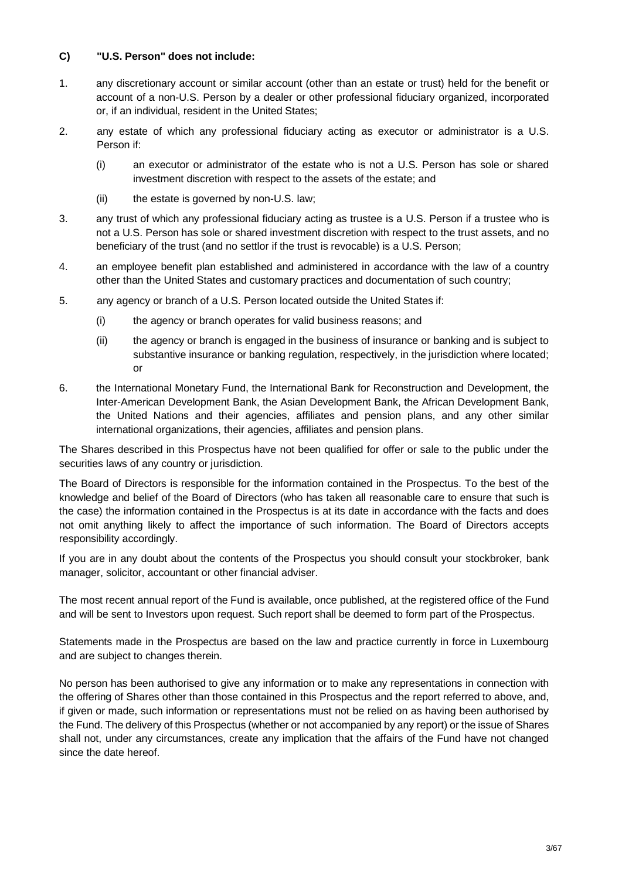## **C) "U.S. Person" does not include:**

- 1. any discretionary account or similar account (other than an estate or trust) held for the benefit or account of a non-U.S. Person by a dealer or other professional fiduciary organized, incorporated or, if an individual, resident in the United States;
- 2. any estate of which any professional fiduciary acting as executor or administrator is a U.S. Person if:
	- (i) an executor or administrator of the estate who is not a U.S. Person has sole or shared investment discretion with respect to the assets of the estate; and
	- (ii) the estate is governed by non-U.S. law;
- 3. any trust of which any professional fiduciary acting as trustee is a U.S. Person if a trustee who is not a U.S. Person has sole or shared investment discretion with respect to the trust assets, and no beneficiary of the trust (and no settlor if the trust is revocable) is a U.S. Person;
- 4. an employee benefit plan established and administered in accordance with the law of a country other than the United States and customary practices and documentation of such country;
- 5. any agency or branch of a U.S. Person located outside the United States if:
	- (i) the agency or branch operates for valid business reasons; and
	- (ii) the agency or branch is engaged in the business of insurance or banking and is subject to substantive insurance or banking regulation, respectively, in the jurisdiction where located; or
- 6. the International Monetary Fund, the International Bank for Reconstruction and Development, the Inter-American Development Bank, the Asian Development Bank, the African Development Bank, the United Nations and their agencies, affiliates and pension plans, and any other similar international organizations, their agencies, affiliates and pension plans.

The Shares described in this Prospectus have not been qualified for offer or sale to the public under the securities laws of any country or jurisdiction.

The Board of Directors is responsible for the information contained in the Prospectus. To the best of the knowledge and belief of the Board of Directors (who has taken all reasonable care to ensure that such is the case) the information contained in the Prospectus is at its date in accordance with the facts and does not omit anything likely to affect the importance of such information. The Board of Directors accepts responsibility accordingly.

If you are in any doubt about the contents of the Prospectus you should consult your stockbroker, bank manager, solicitor, accountant or other financial adviser.

The most recent annual report of the Fund is available, once published, at the registered office of the Fund and will be sent to Investors upon request. Such report shall be deemed to form part of the Prospectus.

Statements made in the Prospectus are based on the law and practice currently in force in Luxembourg and are subject to changes therein.

No person has been authorised to give any information or to make any representations in connection with the offering of Shares other than those contained in this Prospectus and the report referred to above, and, if given or made, such information or representations must not be relied on as having been authorised by the Fund. The delivery of this Prospectus (whether or not accompanied by any report) or the issue of Shares shall not, under any circumstances, create any implication that the affairs of the Fund have not changed since the date hereof.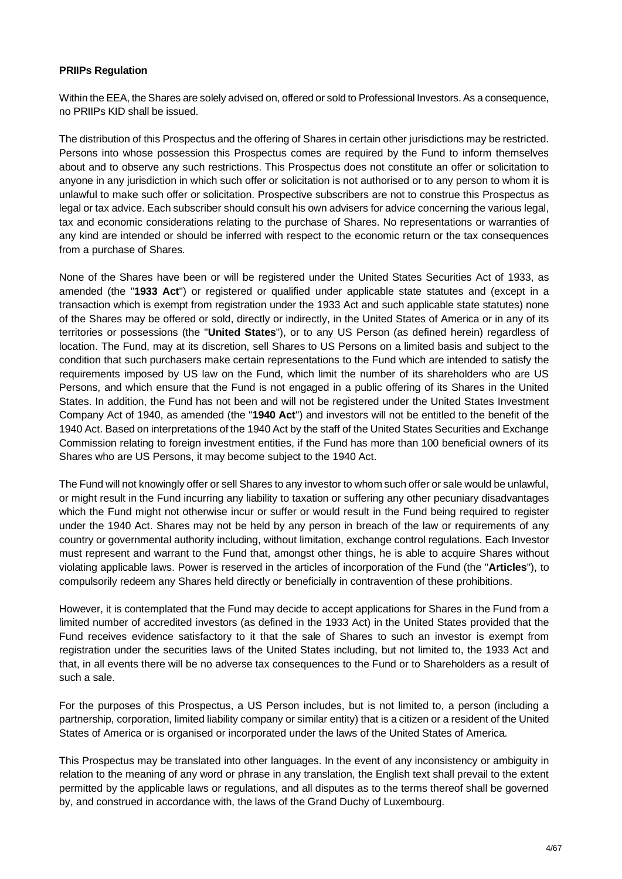## **PRIIPs Regulation**

Within the EEA, the Shares are solely advised on, offered or sold to Professional Investors. As a consequence, no PRIIPs KID shall be issued.

The distribution of this Prospectus and the offering of Shares in certain other jurisdictions may be restricted. Persons into whose possession this Prospectus comes are required by the Fund to inform themselves about and to observe any such restrictions. This Prospectus does not constitute an offer or solicitation to anyone in any jurisdiction in which such offer or solicitation is not authorised or to any person to whom it is unlawful to make such offer or solicitation. Prospective subscribers are not to construe this Prospectus as legal or tax advice. Each subscriber should consult his own advisers for advice concerning the various legal, tax and economic considerations relating to the purchase of Shares. No representations or warranties of any kind are intended or should be inferred with respect to the economic return or the tax consequences from a purchase of Shares.

None of the Shares have been or will be registered under the United States Securities Act of 1933, as amended (the "**1933 Act**") or registered or qualified under applicable state statutes and (except in a transaction which is exempt from registration under the 1933 Act and such applicable state statutes) none of the Shares may be offered or sold, directly or indirectly, in the United States of America or in any of its territories or possessions (the "**United States**"), or to any US Person (as defined herein) regardless of location. The Fund, may at its discretion, sell Shares to US Persons on a limited basis and subject to the condition that such purchasers make certain representations to the Fund which are intended to satisfy the requirements imposed by US law on the Fund, which limit the number of its shareholders who are US Persons, and which ensure that the Fund is not engaged in a public offering of its Shares in the United States. In addition, the Fund has not been and will not be registered under the United States Investment Company Act of 1940, as amended (the "**1940 Act**") and investors will not be entitled to the benefit of the 1940 Act. Based on interpretations of the 1940 Act by the staff of the United States Securities and Exchange Commission relating to foreign investment entities, if the Fund has more than 100 beneficial owners of its Shares who are US Persons, it may become subject to the 1940 Act.

The Fund will not knowingly offer or sell Shares to any investor to whom such offer or sale would be unlawful, or might result in the Fund incurring any liability to taxation or suffering any other pecuniary disadvantages which the Fund might not otherwise incur or suffer or would result in the Fund being required to register under the 1940 Act. Shares may not be held by any person in breach of the law or requirements of any country or governmental authority including, without limitation, exchange control regulations. Each Investor must represent and warrant to the Fund that, amongst other things, he is able to acquire Shares without violating applicable laws. Power is reserved in the articles of incorporation of the Fund (the "**Articles**"), to compulsorily redeem any Shares held directly or beneficially in contravention of these prohibitions.

However, it is contemplated that the Fund may decide to accept applications for Shares in the Fund from a limited number of accredited investors (as defined in the 1933 Act) in the United States provided that the Fund receives evidence satisfactory to it that the sale of Shares to such an investor is exempt from registration under the securities laws of the United States including, but not limited to, the 1933 Act and that, in all events there will be no adverse tax consequences to the Fund or to Shareholders as a result of such a sale.

For the purposes of this Prospectus, a US Person includes, but is not limited to, a person (including a partnership, corporation, limited liability company or similar entity) that is a citizen or a resident of the United States of America or is organised or incorporated under the laws of the United States of America.

This Prospectus may be translated into other languages. In the event of any inconsistency or ambiguity in relation to the meaning of any word or phrase in any translation, the English text shall prevail to the extent permitted by the applicable laws or regulations, and all disputes as to the terms thereof shall be governed by, and construed in accordance with, the laws of the Grand Duchy of Luxembourg.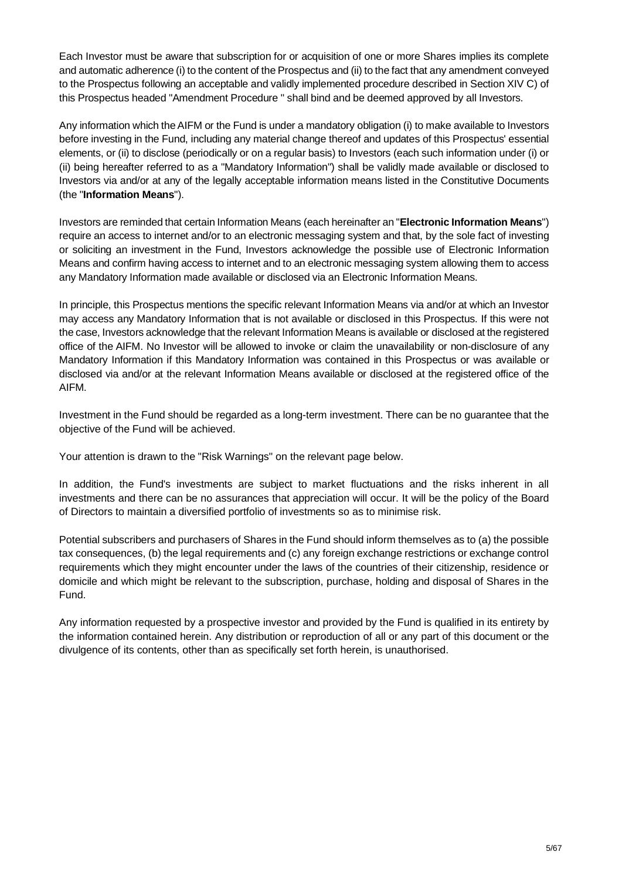Each Investor must be aware that subscription for or acquisition of one or more Shares implies its complete and automatic adherence (i) to the content of the Prospectus and (ii) to the fact that any amendment conveyed to the Prospectus following an acceptable and validly implemented procedure described in Section XIV C) of this Prospectus headed "Amendment Procedure " shall bind and be deemed approved by all Investors.

Any information which the AIFM or the Fund is under a mandatory obligation (i) to make available to Investors before investing in the Fund, including any material change thereof and updates of this Prospectus' essential elements, or (ii) to disclose (periodically or on a regular basis) to Investors (each such information under (i) or (ii) being hereafter referred to as a "Mandatory Information") shall be validly made available or disclosed to Investors via and/or at any of the legally acceptable information means listed in the Constitutive Documents (the "**Information Means**").

Investors are reminded that certain Information Means (each hereinafter an "**Electronic Information Means**") require an access to internet and/or to an electronic messaging system and that, by the sole fact of investing or soliciting an investment in the Fund, Investors acknowledge the possible use of Electronic Information Means and confirm having access to internet and to an electronic messaging system allowing them to access any Mandatory Information made available or disclosed via an Electronic Information Means.

In principle, this Prospectus mentions the specific relevant Information Means via and/or at which an Investor may access any Mandatory Information that is not available or disclosed in this Prospectus. If this were not the case, Investors acknowledge that the relevant Information Means is available or disclosed at the registered office of the AIFM. No Investor will be allowed to invoke or claim the unavailability or non-disclosure of any Mandatory Information if this Mandatory Information was contained in this Prospectus or was available or disclosed via and/or at the relevant Information Means available or disclosed at the registered office of the AIFM.

Investment in the Fund should be regarded as a long-term investment. There can be no guarantee that the objective of the Fund will be achieved.

Your attention is drawn to the "Risk Warnings" on the relevant page below.

In addition, the Fund's investments are subject to market fluctuations and the risks inherent in all investments and there can be no assurances that appreciation will occur. It will be the policy of the Board of Directors to maintain a diversified portfolio of investments so as to minimise risk.

Potential subscribers and purchasers of Shares in the Fund should inform themselves as to (a) the possible tax consequences, (b) the legal requirements and (c) any foreign exchange restrictions or exchange control requirements which they might encounter under the laws of the countries of their citizenship, residence or domicile and which might be relevant to the subscription, purchase, holding and disposal of Shares in the Fund.

Any information requested by a prospective investor and provided by the Fund is qualified in its entirety by the information contained herein. Any distribution or reproduction of all or any part of this document or the divulgence of its contents, other than as specifically set forth herein, is unauthorised.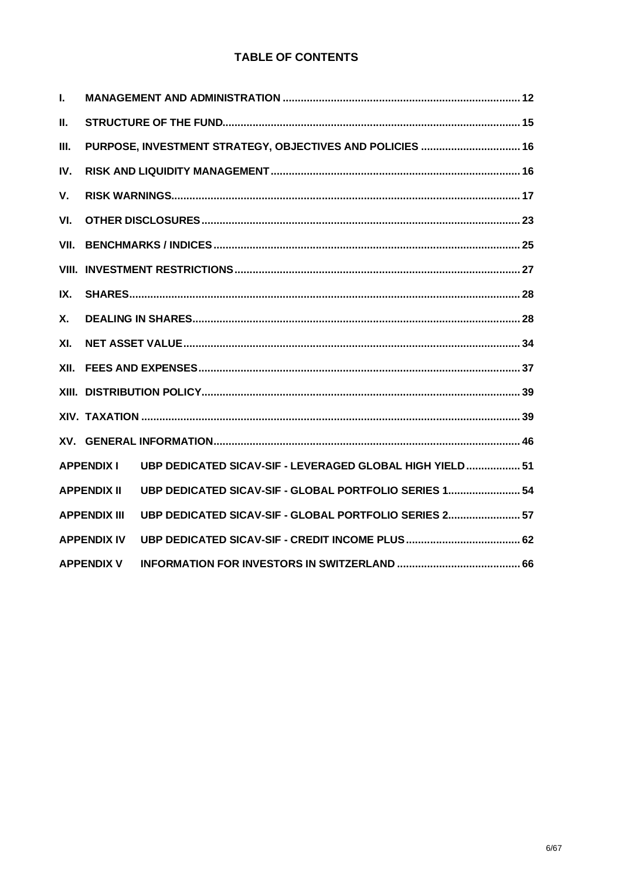# **TABLE OF CONTENTS**

| L.         |                     |                                                           |  |
|------------|---------------------|-----------------------------------------------------------|--|
| ΙΙ.        |                     |                                                           |  |
| III.       |                     | PURPOSE, INVESTMENT STRATEGY, OBJECTIVES AND POLICIES  16 |  |
| IV.        |                     |                                                           |  |
| V.         |                     |                                                           |  |
| VI.        |                     |                                                           |  |
| VII.       |                     |                                                           |  |
|            |                     |                                                           |  |
| IX.        |                     |                                                           |  |
| <b>X</b> . |                     |                                                           |  |
| XI.        |                     |                                                           |  |
| XII.       |                     |                                                           |  |
|            |                     |                                                           |  |
|            |                     |                                                           |  |
|            |                     |                                                           |  |
|            | <b>APPENDIX I</b>   | UBP DEDICATED SICAV-SIF - LEVERAGED GLOBAL HIGH YIELD 51  |  |
|            | <b>APPENDIX II</b>  | UBP DEDICATED SICAV-SIF - GLOBAL PORTFOLIO SERIES 1 54    |  |
|            | <b>APPENDIX III</b> | UBP DEDICATED SICAV-SIF - GLOBAL PORTFOLIO SERIES 2 57    |  |
|            | <b>APPENDIX IV</b>  |                                                           |  |
|            | <b>APPENDIX V</b>   |                                                           |  |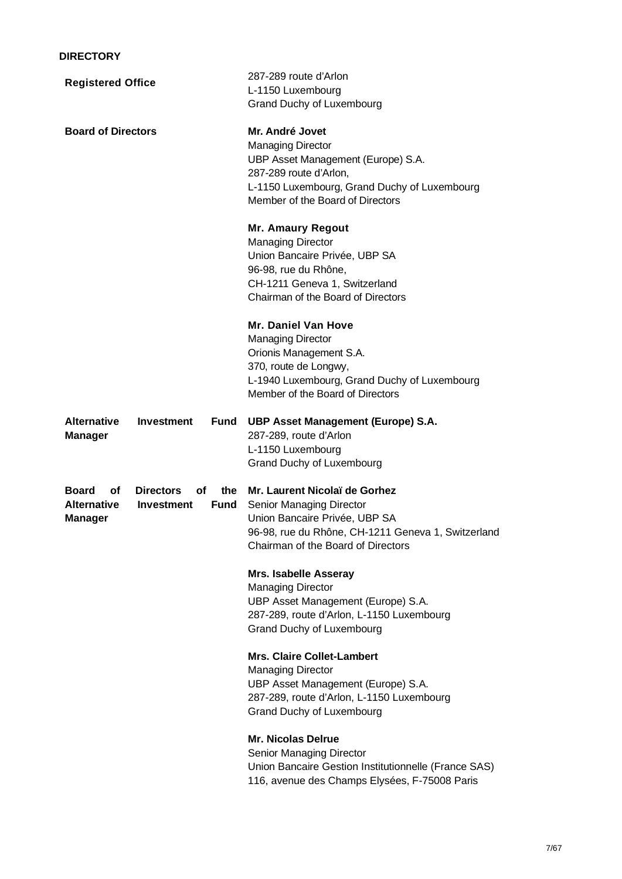| <b>Registered Office</b>                                   |                                             |             | 287-289 route d'Arlon<br>L-1150 Luxembourg<br><b>Grand Duchy of Luxembourg</b>                                                                                                                  |  |  |
|------------------------------------------------------------|---------------------------------------------|-------------|-------------------------------------------------------------------------------------------------------------------------------------------------------------------------------------------------|--|--|
| <b>Board of Directors</b>                                  |                                             |             | Mr. André Jovet<br><b>Managing Director</b><br>UBP Asset Management (Europe) S.A.<br>287-289 route d'Arlon,<br>L-1150 Luxembourg, Grand Duchy of Luxembourg<br>Member of the Board of Directors |  |  |
|                                                            |                                             |             | <b>Mr. Amaury Regout</b><br><b>Managing Director</b><br>Union Bancaire Privée, UBP SA<br>96-98, rue du Rhône,<br>CH-1211 Geneva 1, Switzerland<br>Chairman of the Board of Directors            |  |  |
|                                                            |                                             |             | <b>Mr. Daniel Van Hove</b><br><b>Managing Director</b><br>Orionis Management S.A.<br>370, route de Longwy,<br>L-1940 Luxembourg, Grand Duchy of Luxembourg<br>Member of the Board of Directors  |  |  |
| <b>Alternative</b><br><b>Manager</b>                       | <b>Investment</b>                           | Fund        | UBP Asset Management (Europe) S.A.<br>287-289, route d'Arlon<br>L-1150 Luxembourg<br><b>Grand Duchy of Luxembourg</b>                                                                           |  |  |
| <b>Board</b><br>οf<br><b>Alternative</b><br><b>Manager</b> | <b>Directors</b><br>of<br><b>Investment</b> | the<br>Fund | Mr. Laurent Nicolaï de Gorhez<br>Senior Managing Director<br>Union Bancaire Privée, UBP SA<br>96-98, rue du Rhône, CH-1211 Geneva 1, Switzerland<br>Chairman of the Board of Directors          |  |  |
|                                                            |                                             |             | <b>Mrs. Isabelle Asseray</b><br><b>Managing Director</b><br>UBP Asset Management (Europe) S.A.<br>287-289, route d'Arlon, L-1150 Luxembourg<br><b>Grand Duchy of Luxembourg</b>                 |  |  |
|                                                            |                                             |             | <b>Mrs. Claire Collet-Lambert</b><br><b>Managing Director</b><br>UBP Asset Management (Europe) S.A.<br>287-289, route d'Arlon, L-1150 Luxembourg<br><b>Grand Duchy of Luxembourg</b>            |  |  |
|                                                            |                                             |             | <b>Mr. Nicolas Delrue</b><br><b>Senior Managing Director</b><br>Union Bancaire Gestion Institutionnelle (France SAS)<br>116, avenue des Champs Elysées, F-75008 Paris                           |  |  |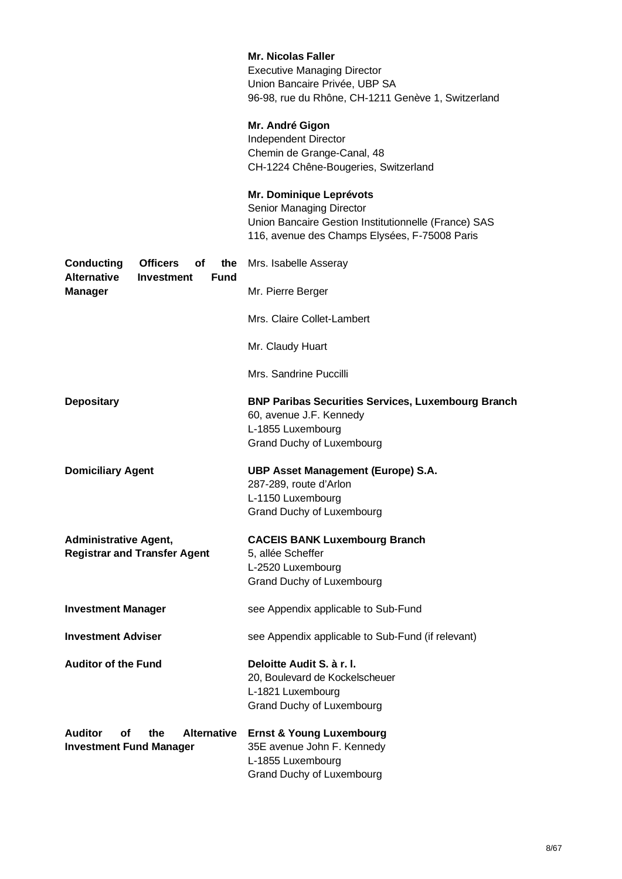|                                                                               | <b>Mr. Nicolas Faller</b><br><b>Executive Managing Director</b><br>Union Bancaire Privée, UBP SA<br>96-98, rue du Rhône, CH-1211 Genève 1, Switzerland       |
|-------------------------------------------------------------------------------|--------------------------------------------------------------------------------------------------------------------------------------------------------------|
|                                                                               | Mr. André Gigon<br>Independent Director<br>Chemin de Grange-Canal, 48<br>CH-1224 Chêne-Bougeries, Switzerland                                                |
|                                                                               | Mr. Dominique Leprévots<br>Senior Managing Director<br>Union Bancaire Gestion Institutionnelle (France) SAS<br>116, avenue des Champs Elysées, F-75008 Paris |
| <b>Conducting</b><br><b>Officers</b><br>οf<br>the                             | Mrs. Isabelle Asseray                                                                                                                                        |
| <b>Alternative</b><br><b>Investment</b><br><b>Fund</b><br><b>Manager</b>      | Mr. Pierre Berger                                                                                                                                            |
|                                                                               | Mrs. Claire Collet-Lambert                                                                                                                                   |
|                                                                               | Mr. Claudy Huart                                                                                                                                             |
|                                                                               | Mrs. Sandrine Puccilli                                                                                                                                       |
| <b>Depositary</b>                                                             | <b>BNP Paribas Securities Services, Luxembourg Branch</b><br>60, avenue J.F. Kennedy<br>L-1855 Luxembourg<br><b>Grand Duchy of Luxembourg</b>                |
| <b>Domiciliary Agent</b>                                                      | UBP Asset Management (Europe) S.A.<br>287-289, route d'Arlon<br>L-1150 Luxembourg<br><b>Grand Duchy of Luxembourg</b>                                        |
| <b>Administrative Agent,</b><br><b>Registrar and Transfer Agent</b>           | <b>CACEIS BANK Luxembourg Branch</b><br>5, allée Scheffer<br>L-2520 Luxembourg<br><b>Grand Duchy of Luxembourg</b>                                           |
| <b>Investment Manager</b>                                                     | see Appendix applicable to Sub-Fund                                                                                                                          |
| <b>Investment Adviser</b>                                                     | see Appendix applicable to Sub-Fund (if relevant)                                                                                                            |
| <b>Auditor of the Fund</b>                                                    | Deloitte Audit S. à r. l.<br>20, Boulevard de Kockelscheuer<br>L-1821 Luxembourg<br><b>Grand Duchy of Luxembourg</b>                                         |
| <b>Auditor</b><br>Alternative<br>οf<br>the.<br><b>Investment Fund Manager</b> | <b>Ernst &amp; Young Luxembourg</b><br>35E avenue John F. Kennedy<br>L-1855 Luxembourg<br>Grand Duchy of Luxembourg                                          |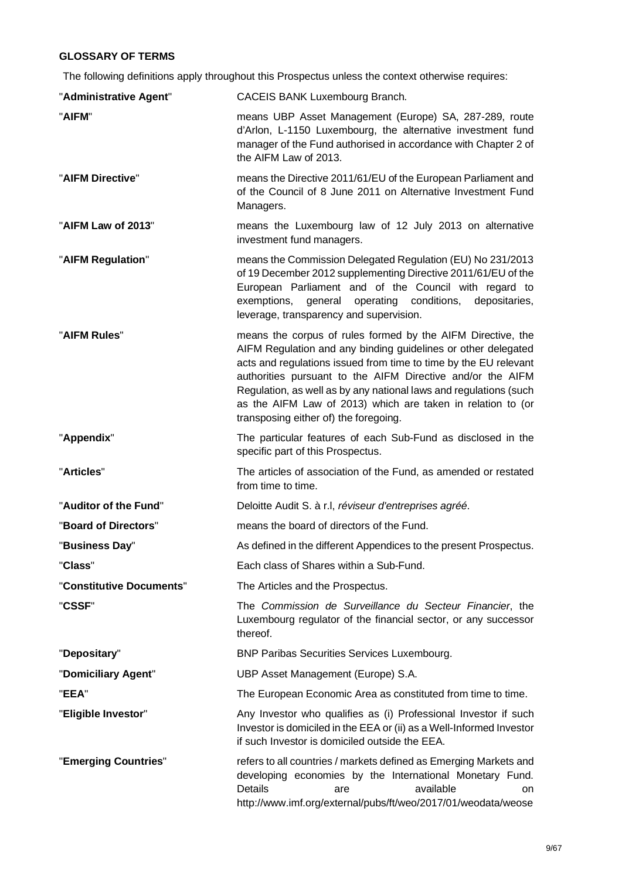# **GLOSSARY OF TERMS**

The following definitions apply throughout this Prospectus unless the context otherwise requires:

| "Administrative Agent"   | CACEIS BANK Luxembourg Branch.                                                                                                                                                                                                                                                                                                                                                                                                              |
|--------------------------|---------------------------------------------------------------------------------------------------------------------------------------------------------------------------------------------------------------------------------------------------------------------------------------------------------------------------------------------------------------------------------------------------------------------------------------------|
| "AIFM"                   | means UBP Asset Management (Europe) SA, 287-289, route<br>d'Arlon, L-1150 Luxembourg, the alternative investment fund<br>manager of the Fund authorised in accordance with Chapter 2 of<br>the AIFM Law of 2013.                                                                                                                                                                                                                            |
| "AIFM Directive"         | means the Directive 2011/61/EU of the European Parliament and<br>of the Council of 8 June 2011 on Alternative Investment Fund<br>Managers.                                                                                                                                                                                                                                                                                                  |
| "AIFM Law of 2013"       | means the Luxembourg law of 12 July 2013 on alternative<br>investment fund managers.                                                                                                                                                                                                                                                                                                                                                        |
| "AIFM Regulation"        | means the Commission Delegated Regulation (EU) No 231/2013<br>of 19 December 2012 supplementing Directive 2011/61/EU of the<br>European Parliament and of the Council with regard to<br>operating conditions,<br>exemptions,<br>general<br>depositaries,<br>leverage, transparency and supervision.                                                                                                                                         |
| "AIFM Rules"             | means the corpus of rules formed by the AIFM Directive, the<br>AIFM Regulation and any binding guidelines or other delegated<br>acts and regulations issued from time to time by the EU relevant<br>authorities pursuant to the AIFM Directive and/or the AIFM<br>Regulation, as well as by any national laws and regulations (such<br>as the AIFM Law of 2013) which are taken in relation to (or<br>transposing either of) the foregoing. |
| "Appendix"               | The particular features of each Sub-Fund as disclosed in the<br>specific part of this Prospectus.                                                                                                                                                                                                                                                                                                                                           |
| "Articles"               | The articles of association of the Fund, as amended or restated<br>from time to time.                                                                                                                                                                                                                                                                                                                                                       |
| "Auditor of the Fund"    | Deloitte Audit S. à r.l, réviseur d'entreprises agréé.                                                                                                                                                                                                                                                                                                                                                                                      |
| "Board of Directors"     | means the board of directors of the Fund.                                                                                                                                                                                                                                                                                                                                                                                                   |
| "Business Day"           | As defined in the different Appendices to the present Prospectus.                                                                                                                                                                                                                                                                                                                                                                           |
| "Class"                  | Each class of Shares within a Sub-Fund.                                                                                                                                                                                                                                                                                                                                                                                                     |
| "Constitutive Documents" | The Articles and the Prospectus.                                                                                                                                                                                                                                                                                                                                                                                                            |
| "CSSF"                   | The Commission de Surveillance du Secteur Financier, the<br>Luxembourg regulator of the financial sector, or any successor<br>thereof.                                                                                                                                                                                                                                                                                                      |
| "Depositary"             | <b>BNP Paribas Securities Services Luxembourg.</b>                                                                                                                                                                                                                                                                                                                                                                                          |
| "Domiciliary Agent"      | UBP Asset Management (Europe) S.A.                                                                                                                                                                                                                                                                                                                                                                                                          |
| "EEA"                    | The European Economic Area as constituted from time to time.                                                                                                                                                                                                                                                                                                                                                                                |
| "Eligible Investor"      | Any Investor who qualifies as (i) Professional Investor if such<br>Investor is domiciled in the EEA or (ii) as a Well-Informed Investor<br>if such Investor is domiciled outside the EEA.                                                                                                                                                                                                                                                   |
| "Emerging Countries"     | refers to all countries / markets defined as Emerging Markets and<br>developing economies by the International Monetary Fund.<br><b>Details</b><br>available<br>are<br>on<br>http://www.imf.org/external/pubs/ft/weo/2017/01/weodata/weose                                                                                                                                                                                                  |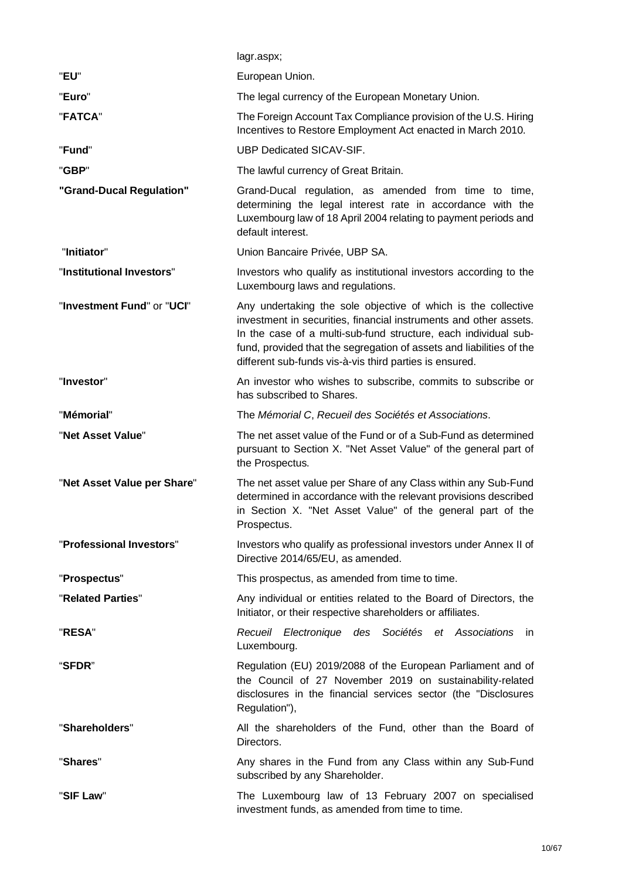|                             | lagr.aspx;                                                                                                                                                                                                                                                                                                                               |
|-----------------------------|------------------------------------------------------------------------------------------------------------------------------------------------------------------------------------------------------------------------------------------------------------------------------------------------------------------------------------------|
| "EU"                        | European Union.                                                                                                                                                                                                                                                                                                                          |
| "Euro"                      | The legal currency of the European Monetary Union.                                                                                                                                                                                                                                                                                       |
| "FATCA"                     | The Foreign Account Tax Compliance provision of the U.S. Hiring<br>Incentives to Restore Employment Act enacted in March 2010.                                                                                                                                                                                                           |
| "Fund"                      | UBP Dedicated SICAV-SIF.                                                                                                                                                                                                                                                                                                                 |
| "GBP"                       | The lawful currency of Great Britain.                                                                                                                                                                                                                                                                                                    |
| "Grand-Ducal Regulation"    | Grand-Ducal regulation, as amended from time to time,<br>determining the legal interest rate in accordance with the<br>Luxembourg law of 18 April 2004 relating to payment periods and<br>default interest.                                                                                                                              |
| "Initiator"                 | Union Bancaire Privée, UBP SA.                                                                                                                                                                                                                                                                                                           |
| "Institutional Investors"   | Investors who qualify as institutional investors according to the<br>Luxembourg laws and regulations.                                                                                                                                                                                                                                    |
| "Investment Fund" or "UCI"  | Any undertaking the sole objective of which is the collective<br>investment in securities, financial instruments and other assets.<br>In the case of a multi-sub-fund structure, each individual sub-<br>fund, provided that the segregation of assets and liabilities of the<br>different sub-funds vis-à-vis third parties is ensured. |
| "Investor"                  | An investor who wishes to subscribe, commits to subscribe or<br>has subscribed to Shares.                                                                                                                                                                                                                                                |
| "Mémorial"                  | The Mémorial C, Recueil des Sociétés et Associations.                                                                                                                                                                                                                                                                                    |
| "Net Asset Value"           | The net asset value of the Fund or of a Sub-Fund as determined<br>pursuant to Section X. "Net Asset Value" of the general part of<br>the Prospectus.                                                                                                                                                                                     |
| "Net Asset Value per Share" | The net asset value per Share of any Class within any Sub-Fund<br>determined in accordance with the relevant provisions described<br>in Section X. "Net Asset Value" of the general part of the<br>Prospectus.                                                                                                                           |
| "Professional Investors"    | Investors who qualify as professional investors under Annex II of<br>Directive 2014/65/EU, as amended.                                                                                                                                                                                                                                   |
| "Prospectus"                | This prospectus, as amended from time to time.                                                                                                                                                                                                                                                                                           |
| "Related Parties"           | Any individual or entities related to the Board of Directors, the<br>Initiator, or their respective shareholders or affiliates.                                                                                                                                                                                                          |
| "RESA"                      | Recueil Electronique des Sociétés et Associations<br>- in<br>Luxembourg.                                                                                                                                                                                                                                                                 |
| "SFDR"                      | Regulation (EU) 2019/2088 of the European Parliament and of<br>the Council of 27 November 2019 on sustainability-related<br>disclosures in the financial services sector (the "Disclosures<br>Regulation"),                                                                                                                              |
| "Shareholders"              | All the shareholders of the Fund, other than the Board of<br>Directors.                                                                                                                                                                                                                                                                  |
| "Shares"                    | Any shares in the Fund from any Class within any Sub-Fund<br>subscribed by any Shareholder.                                                                                                                                                                                                                                              |
| "SIF Law"                   | The Luxembourg law of 13 February 2007 on specialised<br>investment funds, as amended from time to time.                                                                                                                                                                                                                                 |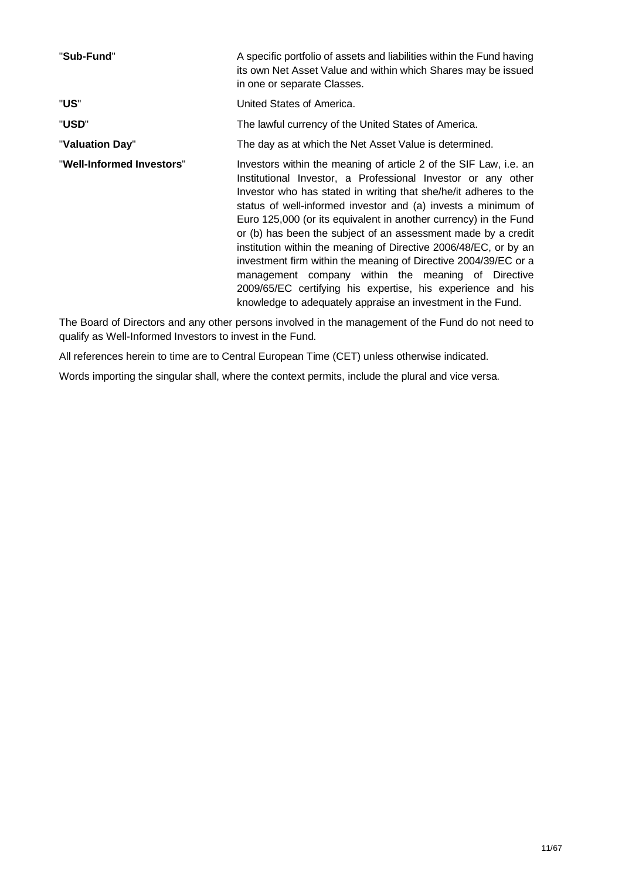| "Sub-Fund"                | A specific portfolio of assets and liabilities within the Fund having<br>its own Net Asset Value and within which Shares may be issued<br>in one or separate Classes.                                                                                                                                                                                                                                                                                                                                                                                                                                                                                                                                                                  |  |  |
|---------------------------|----------------------------------------------------------------------------------------------------------------------------------------------------------------------------------------------------------------------------------------------------------------------------------------------------------------------------------------------------------------------------------------------------------------------------------------------------------------------------------------------------------------------------------------------------------------------------------------------------------------------------------------------------------------------------------------------------------------------------------------|--|--|
| "US"                      | United States of America.                                                                                                                                                                                                                                                                                                                                                                                                                                                                                                                                                                                                                                                                                                              |  |  |
| "USD"                     | The lawful currency of the United States of America.                                                                                                                                                                                                                                                                                                                                                                                                                                                                                                                                                                                                                                                                                   |  |  |
| "Valuation Day"           | The day as at which the Net Asset Value is determined.                                                                                                                                                                                                                                                                                                                                                                                                                                                                                                                                                                                                                                                                                 |  |  |
| "Well-Informed Investors" | Investors within the meaning of article 2 of the SIF Law, i.e. an<br>Institutional Investor, a Professional Investor or any other<br>Investor who has stated in writing that she/he/it adheres to the<br>status of well-informed investor and (a) invests a minimum of<br>Euro 125,000 (or its equivalent in another currency) in the Fund<br>or (b) has been the subject of an assessment made by a credit<br>institution within the meaning of Directive 2006/48/EC, or by an<br>investment firm within the meaning of Directive 2004/39/EC or a<br>management company within the meaning of Directive<br>2009/65/EC certifying his expertise, his experience and his<br>knowledge to adequately appraise an investment in the Fund. |  |  |

The Board of Directors and any other persons involved in the management of the Fund do not need to qualify as Well-Informed Investors to invest in the Fund.

All references herein to time are to Central European Time (CET) unless otherwise indicated.

Words importing the singular shall, where the context permits, include the plural and vice versa.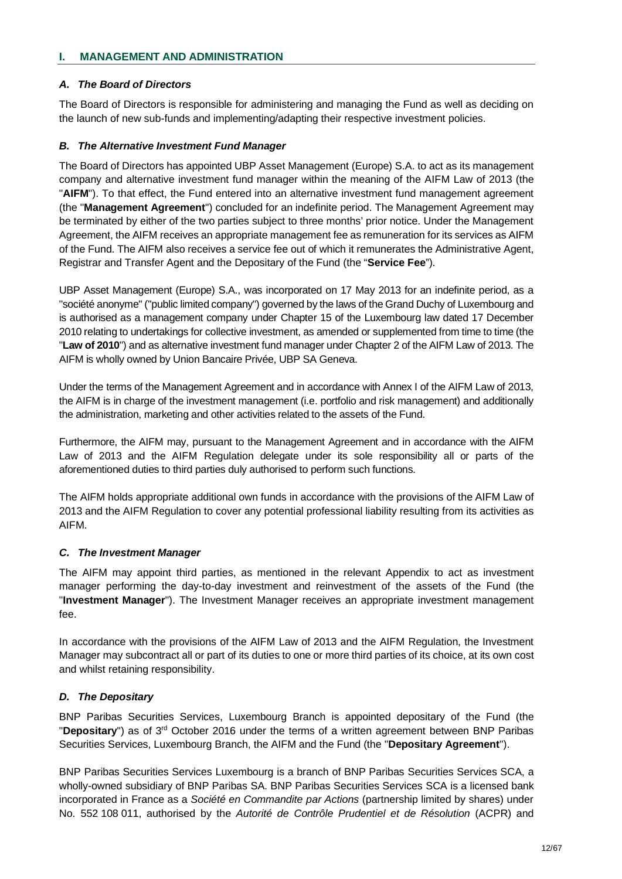## **I. MANAGEMENT AND ADMINISTRATION**

# *A. The Board of Directors*

The Board of Directors is responsible for administering and managing the Fund as well as deciding on the launch of new sub-funds and implementing/adapting their respective investment policies.

## *B. The Alternative Investment Fund Manager*

The Board of Directors has appointed UBP Asset Management (Europe) S.A. to act as its management company and alternative investment fund manager within the meaning of the AIFM Law of 2013 (the "**AIFM**"). To that effect, the Fund entered into an alternative investment fund management agreement (the "**Management Agreement**") concluded for an indefinite period. The Management Agreement may be terminated by either of the two parties subject to three months' prior notice. Under the Management Agreement, the AIFM receives an appropriate management fee as remuneration for its services as AIFM of the Fund. The AIFM also receives a service fee out of which it remunerates the Administrative Agent, Registrar and Transfer Agent and the Depositary of the Fund (the "**Service Fee**").

UBP Asset Management (Europe) S.A., was incorporated on 17 May 2013 for an indefinite period, as a "société anonyme" ("public limited company") governed by the laws of the Grand Duchy of Luxembourg and is authorised as a management company under Chapter 15 of the Luxembourg law dated 17 December 2010 relating to undertakings for collective investment, as amended or supplemented from time to time (the "**Law of 2010**") and as alternative investment fund manager under Chapter 2 of the AIFM Law of 2013. The AIFM is wholly owned by Union Bancaire Privée, UBP SA Geneva.

Under the terms of the Management Agreement and in accordance with Annex I of the AIFM Law of 2013, the AIFM is in charge of the investment management (i.e. portfolio and risk management) and additionally the administration, marketing and other activities related to the assets of the Fund.

Furthermore, the AIFM may, pursuant to the Management Agreement and in accordance with the AIFM Law of 2013 and the AIFM Regulation delegate under its sole responsibility all or parts of the aforementioned duties to third parties duly authorised to perform such functions.

The AIFM holds appropriate additional own funds in accordance with the provisions of the AIFM Law of 2013 and the AIFM Regulation to cover any potential professional liability resulting from its activities as AIFM.

# *C. The Investment Manager*

The AIFM may appoint third parties, as mentioned in the relevant Appendix to act as investment manager performing the day-to-day investment and reinvestment of the assets of the Fund (the "**Investment Manager**"). The Investment Manager receives an appropriate investment management fee.

In accordance with the provisions of the AIFM Law of 2013 and the AIFM Regulation, the Investment Manager may subcontract all or part of its duties to one or more third parties of its choice, at its own cost and whilst retaining responsibility.

## *D. The Depositary*

BNP Paribas Securities Services, Luxembourg Branch is appointed depositary of the Fund (the "**Depositary**") as of 3rd October 2016 under the terms of a written agreement between BNP Paribas Securities Services, Luxembourg Branch, the AIFM and the Fund (the "**Depositary Agreement**").

BNP Paribas Securities Services Luxembourg is a branch of BNP Paribas Securities Services SCA, a wholly-owned subsidiary of BNP Paribas SA. BNP Paribas Securities Services SCA is a licensed bank incorporated in France as a *Société en Commandite par Actions* (partnership limited by shares) under No. 552 108 011, authorised by the *Autorité de Contrôle Prudentiel et de Résolution* (ACPR) and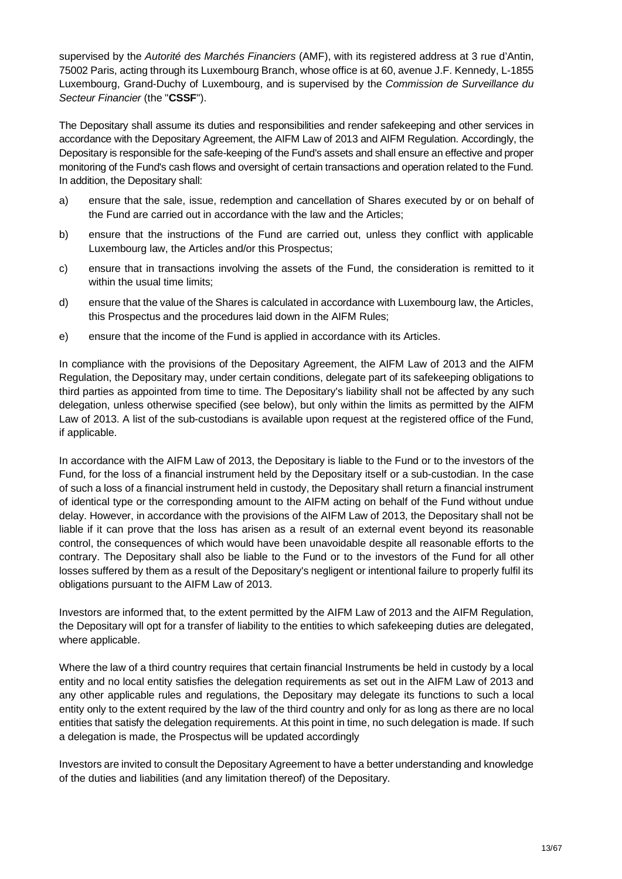supervised by the *Autorité des Marchés Financiers* (AMF), with its registered address at 3 rue d'Antin, 75002 Paris, acting through its Luxembourg Branch, whose office is at 60, avenue J.F. Kennedy, L-1855 Luxembourg, Grand-Duchy of Luxembourg, and is supervised by the *Commission de Surveillance du Secteur Financier* (the "**CSSF**").

The Depositary shall assume its duties and responsibilities and render safekeeping and other services in accordance with the Depositary Agreement, the AIFM Law of 2013 and AIFM Regulation. Accordingly, the Depositary is responsible for the safe-keeping of the Fund's assets and shall ensure an effective and proper monitoring of the Fund's cash flows and oversight of certain transactions and operation related to the Fund. In addition, the Depositary shall:

- a) ensure that the sale, issue, redemption and cancellation of Shares executed by or on behalf of the Fund are carried out in accordance with the law and the Articles;
- b) ensure that the instructions of the Fund are carried out, unless they conflict with applicable Luxembourg law, the Articles and/or this Prospectus;
- c) ensure that in transactions involving the assets of the Fund, the consideration is remitted to it within the usual time limits:
- d) ensure that the value of the Shares is calculated in accordance with Luxembourg law, the Articles, this Prospectus and the procedures laid down in the AIFM Rules;
- e) ensure that the income of the Fund is applied in accordance with its Articles.

In compliance with the provisions of the Depositary Agreement, the AIFM Law of 2013 and the AIFM Regulation, the Depositary may, under certain conditions, delegate part of its safekeeping obligations to third parties as appointed from time to time. The Depositary's liability shall not be affected by any such delegation, unless otherwise specified (see below), but only within the limits as permitted by the AIFM Law of 2013. A list of the sub-custodians is available upon request at the registered office of the Fund, if applicable.

In accordance with the AIFM Law of 2013, the Depositary is liable to the Fund or to the investors of the Fund, for the loss of a financial instrument held by the Depositary itself or a sub-custodian. In the case of such a loss of a financial instrument held in custody, the Depositary shall return a financial instrument of identical type or the corresponding amount to the AIFM acting on behalf of the Fund without undue delay. However, in accordance with the provisions of the AIFM Law of 2013, the Depositary shall not be liable if it can prove that the loss has arisen as a result of an external event beyond its reasonable control, the consequences of which would have been unavoidable despite all reasonable efforts to the contrary. The Depositary shall also be liable to the Fund or to the investors of the Fund for all other losses suffered by them as a result of the Depositary's negligent or intentional failure to properly fulfil its obligations pursuant to the AIFM Law of 2013.

Investors are informed that, to the extent permitted by the AIFM Law of 2013 and the AIFM Regulation, the Depositary will opt for a transfer of liability to the entities to which safekeeping duties are delegated, where applicable.

Where the law of a third country requires that certain financial Instruments be held in custody by a local entity and no local entity satisfies the delegation requirements as set out in the AIFM Law of 2013 and any other applicable rules and regulations, the Depositary may delegate its functions to such a local entity only to the extent required by the law of the third country and only for as long as there are no local entities that satisfy the delegation requirements. At this point in time, no such delegation is made. If such a delegation is made, the Prospectus will be updated accordingly

Investors are invited to consult the Depositary Agreement to have a better understanding and knowledge of the duties and liabilities (and any limitation thereof) of the Depositary.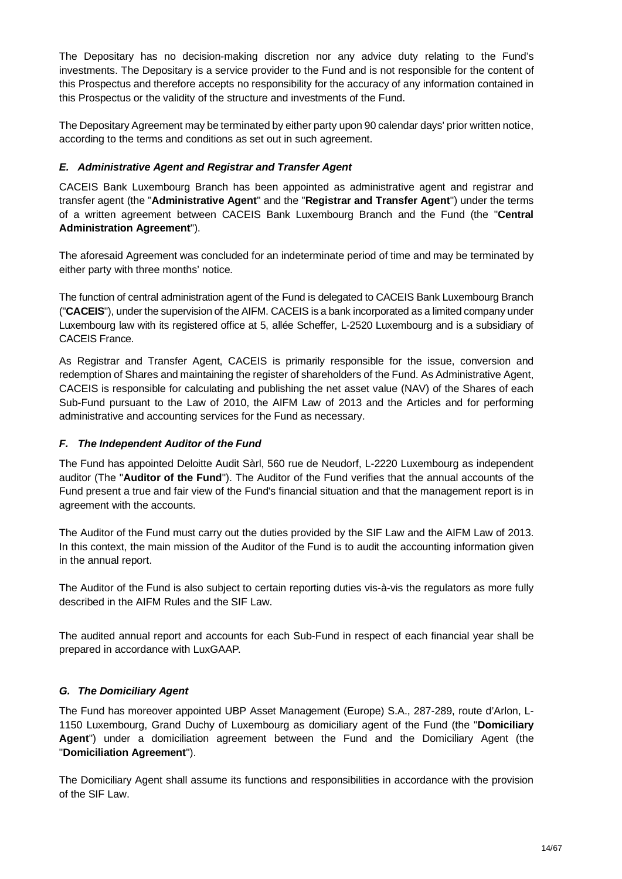The Depositary has no decision-making discretion nor any advice duty relating to the Fund's investments. The Depositary is a service provider to the Fund and is not responsible for the content of this Prospectus and therefore accepts no responsibility for the accuracy of any information contained in this Prospectus or the validity of the structure and investments of the Fund.

The Depositary Agreement may be terminated by either party upon 90 calendar days' prior written notice, according to the terms and conditions as set out in such agreement.

## *E. Administrative Agent and Registrar and Transfer Agent*

CACEIS Bank Luxembourg Branch has been appointed as administrative agent and registrar and transfer agent (the "**Administrative Agent**" and the "**Registrar and Transfer Agent**") under the terms of a written agreement between CACEIS Bank Luxembourg Branch and the Fund (the "**Central Administration Agreement**").

The aforesaid Agreement was concluded for an indeterminate period of time and may be terminated by either party with three months' notice.

The function of central administration agent of the Fund is delegated to CACEIS Bank Luxembourg Branch ("**CACEIS**"), under the supervision of the AIFM. CACEIS is a bank incorporated as a limited company under Luxembourg law with its registered office at 5, allée Scheffer, L-2520 Luxembourg and is a subsidiary of CACEIS France.

As Registrar and Transfer Agent, CACEIS is primarily responsible for the issue, conversion and redemption of Shares and maintaining the register of shareholders of the Fund. As Administrative Agent, CACEIS is responsible for calculating and publishing the net asset value (NAV) of the Shares of each Sub-Fund pursuant to the Law of 2010, the AIFM Law of 2013 and the Articles and for performing administrative and accounting services for the Fund as necessary.

## *F. The Independent Auditor of the Fund*

The Fund has appointed Deloitte Audit Sàrl, 560 rue de Neudorf, L-2220 Luxembourg as independent auditor (The "**Auditor of the Fund**"). The Auditor of the Fund verifies that the annual accounts of the Fund present a true and fair view of the Fund's financial situation and that the management report is in agreement with the accounts.

The Auditor of the Fund must carry out the duties provided by the SIF Law and the AIFM Law of 2013. In this context, the main mission of the Auditor of the Fund is to audit the accounting information given in the annual report.

The Auditor of the Fund is also subject to certain reporting duties vis-à-vis the regulators as more fully described in the AIFM Rules and the SIF Law.

The audited annual report and accounts for each Sub-Fund in respect of each financial year shall be prepared in accordance with LuxGAAP.

# *G. The Domiciliary Agent*

The Fund has moreover appointed UBP Asset Management (Europe) S.A., 287-289, route d'Arlon, L-1150 Luxembourg, Grand Duchy of Luxembourg as domiciliary agent of the Fund (the "**Domiciliary Agent**") under a domiciliation agreement between the Fund and the Domiciliary Agent (the "**Domiciliation Agreement**").

The Domiciliary Agent shall assume its functions and responsibilities in accordance with the provision of the SIF Law.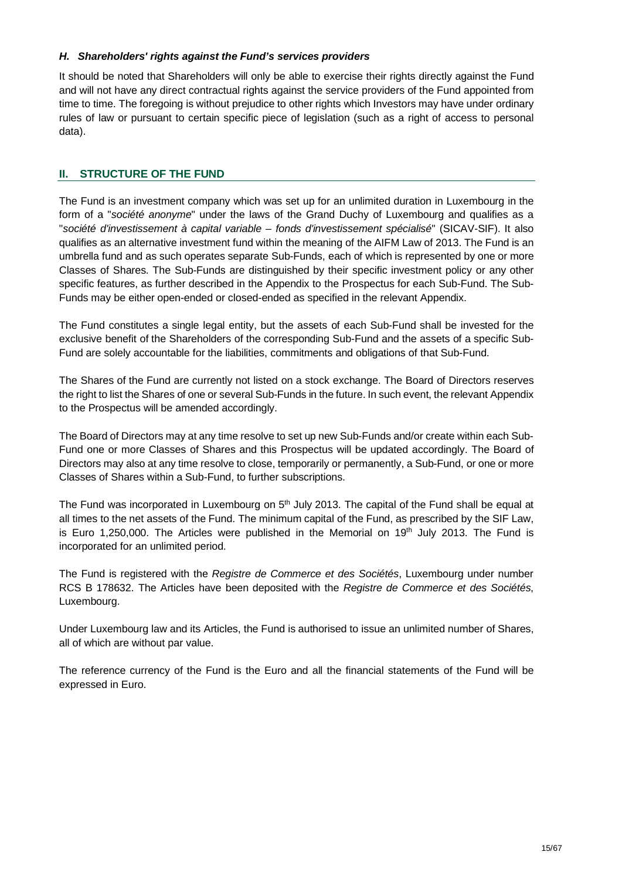## *H. Shareholders' rights against the Fund's services providers*

It should be noted that Shareholders will only be able to exercise their rights directly against the Fund and will not have any direct contractual rights against the service providers of the Fund appointed from time to time. The foregoing is without prejudice to other rights which Investors may have under ordinary rules of law or pursuant to certain specific piece of legislation (such as a right of access to personal data).

## **II. STRUCTURE OF THE FUND**

The Fund is an investment company which was set up for an unlimited duration in Luxembourg in the form of a "*société anonyme*" under the laws of the Grand Duchy of Luxembourg and qualifies as a "*société d'investissement à capital variable – fonds d'investissement spécialisé*" (SICAV-SIF). It also qualifies as an alternative investment fund within the meaning of the AIFM Law of 2013. The Fund is an umbrella fund and as such operates separate Sub-Funds, each of which is represented by one or more Classes of Shares. The Sub-Funds are distinguished by their specific investment policy or any other specific features, as further described in the Appendix to the Prospectus for each Sub-Fund. The Sub-Funds may be either open-ended or closed-ended as specified in the relevant Appendix.

The Fund constitutes a single legal entity, but the assets of each Sub-Fund shall be invested for the exclusive benefit of the Shareholders of the corresponding Sub-Fund and the assets of a specific Sub-Fund are solely accountable for the liabilities, commitments and obligations of that Sub-Fund.

The Shares of the Fund are currently not listed on a stock exchange. The Board of Directors reserves the right to list the Shares of one or several Sub-Funds in the future. In such event, the relevant Appendix to the Prospectus will be amended accordingly.

The Board of Directors may at any time resolve to set up new Sub-Funds and/or create within each Sub-Fund one or more Classes of Shares and this Prospectus will be updated accordingly. The Board of Directors may also at any time resolve to close, temporarily or permanently, a Sub-Fund, or one or more Classes of Shares within a Sub-Fund, to further subscriptions.

The Fund was incorporated in Luxembourg on 5<sup>th</sup> July 2013. The capital of the Fund shall be equal at all times to the net assets of the Fund. The minimum capital of the Fund, as prescribed by the SIF Law, is Euro 1,250,000. The Articles were published in the Memorial on 19<sup>th</sup> July 2013. The Fund is incorporated for an unlimited period.

The Fund is registered with the *Registre de Commerce et des Sociétés*, Luxembourg under number RCS B 178632. The Articles have been deposited with the *Registre de Commerce et des Sociétés*, Luxembourg.

Under Luxembourg law and its Articles, the Fund is authorised to issue an unlimited number of Shares, all of which are without par value.

The reference currency of the Fund is the Euro and all the financial statements of the Fund will be expressed in Euro.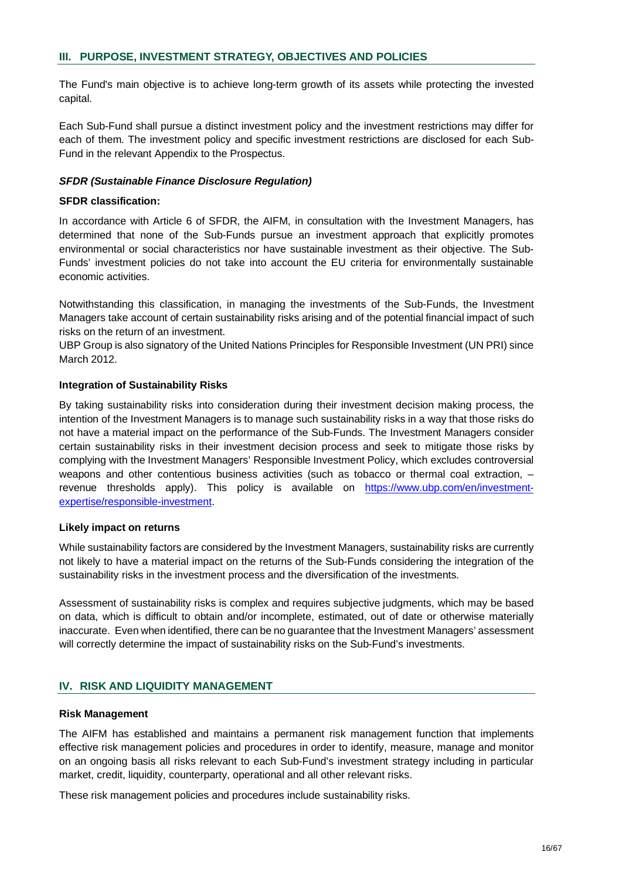The Fund's main objective is to achieve long-term growth of its assets while protecting the invested capital.

Each Sub-Fund shall pursue a distinct investment policy and the investment restrictions may differ for each of them. The investment policy and specific investment restrictions are disclosed for each Sub-Fund in the relevant Appendix to the Prospectus.

#### *SFDR (Sustainable Finance Disclosure Regulation)*

#### **SFDR classification:**

In accordance with Article 6 of SFDR, the AIFM, in consultation with the Investment Managers, has determined that none of the Sub-Funds pursue an investment approach that explicitly promotes environmental or social characteristics nor have sustainable investment as their objective. The Sub-Funds' investment policies do not take into account the EU criteria for environmentally sustainable economic activities.

Notwithstanding this classification, in managing the investments of the Sub-Funds, the Investment Managers take account of certain sustainability risks arising and of the potential financial impact of such risks on the return of an investment.

UBP Group is also signatory of the United Nations Principles for Responsible Investment (UN PRI) since March 2012.

#### **Integration of Sustainability Risks**

By taking sustainability risks into consideration during their investment decision making process, the intention of the Investment Managers is to manage such sustainability risks in a way that those risks do not have a material impact on the performance of the Sub-Funds. The Investment Managers consider certain sustainability risks in their investment decision process and seek to mitigate those risks by complying with the Investment Managers' Responsible Investment Policy, which excludes controversial weapons and other contentious business activities (such as tobacco or thermal coal extraction,  $$ revenue thresholds apply). This policy is available on https://www.ubp.com/en/investmentexpertise/responsible-investment.

#### **Likely impact on returns**

While sustainability factors are considered by the Investment Managers, sustainability risks are currently not likely to have a material impact on the returns of the Sub-Funds considering the integration of the sustainability risks in the investment process and the diversification of the investments.

Assessment of sustainability risks is complex and requires subjective judgments, which may be based on data, which is difficult to obtain and/or incomplete, estimated, out of date or otherwise materially inaccurate. Even when identified, there can be no guarantee that the Investment Managers' assessment will correctly determine the impact of sustainability risks on the Sub-Fund's investments.

## **IV. RISK AND LIQUIDITY MANAGEMENT**

#### **Risk Management**

The AIFM has established and maintains a permanent risk management function that implements effective risk management policies and procedures in order to identify, measure, manage and monitor on an ongoing basis all risks relevant to each Sub-Fund's investment strategy including in particular market, credit, liquidity, counterparty, operational and all other relevant risks.

These risk management policies and procedures include sustainability risks.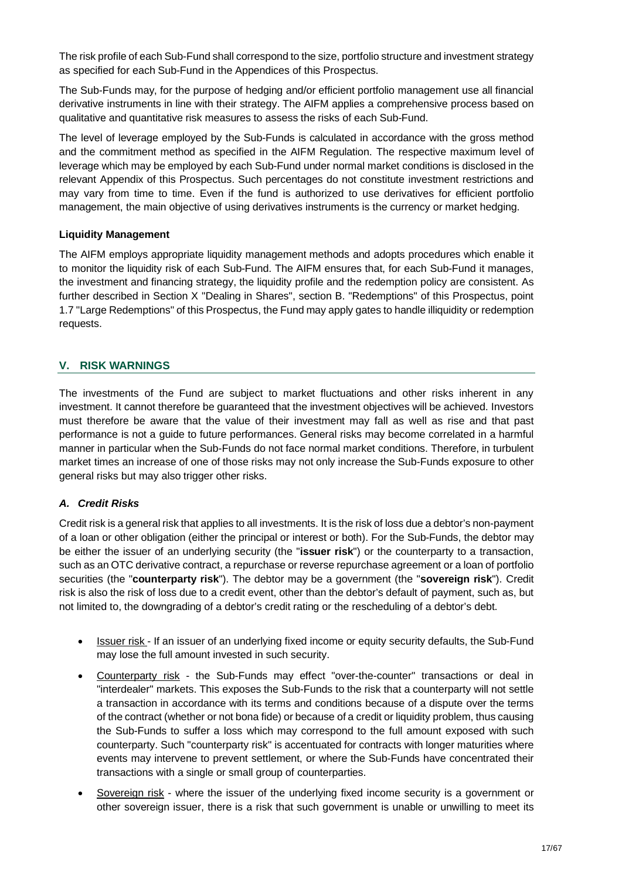The risk profile of each Sub-Fund shall correspond to the size, portfolio structure and investment strategy as specified for each Sub-Fund in the Appendices of this Prospectus.

The Sub-Funds may, for the purpose of hedging and/or efficient portfolio management use all financial derivative instruments in line with their strategy. The AIFM applies a comprehensive process based on qualitative and quantitative risk measures to assess the risks of each Sub-Fund.

The level of leverage employed by the Sub-Funds is calculated in accordance with the gross method and the commitment method as specified in the AIFM Regulation. The respective maximum level of leverage which may be employed by each Sub-Fund under normal market conditions is disclosed in the relevant Appendix of this Prospectus. Such percentages do not constitute investment restrictions and may vary from time to time. Even if the fund is authorized to use derivatives for efficient portfolio management, the main objective of using derivatives instruments is the currency or market hedging.

## **Liquidity Management**

The AIFM employs appropriate liquidity management methods and adopts procedures which enable it to monitor the liquidity risk of each Sub-Fund. The AIFM ensures that, for each Sub-Fund it manages, the investment and financing strategy, the liquidity profile and the redemption policy are consistent. As further described in Section X "Dealing in Shares", section B. "Redemptions" of this Prospectus, point 1.7 "Large Redemptions" of this Prospectus, the Fund may apply gates to handle illiquidity or redemption requests.

## **V. RISK WARNINGS**

The investments of the Fund are subject to market fluctuations and other risks inherent in any investment. It cannot therefore be guaranteed that the investment objectives will be achieved. Investors must therefore be aware that the value of their investment may fall as well as rise and that past performance is not a guide to future performances. General risks may become correlated in a harmful manner in particular when the Sub-Funds do not face normal market conditions. Therefore, in turbulent market times an increase of one of those risks may not only increase the Sub-Funds exposure to other general risks but may also trigger other risks.

# *A. Credit Risks*

Credit risk is a general risk that applies to all investments. It is the risk of loss due a debtor's non-payment of a loan or other obligation (either the principal or interest or both). For the Sub-Funds, the debtor may be either the issuer of an underlying security (the "**issuer risk**") or the counterparty to a transaction, such as an OTC derivative contract, a repurchase or reverse repurchase agreement or a loan of portfolio securities (the "**counterparty risk**"). The debtor may be a government (the "**sovereign risk**"). Credit risk is also the risk of loss due to a credit event, other than the debtor's default of payment, such as, but not limited to, the downgrading of a debtor's credit rating or the rescheduling of a debtor's debt.

- · Issuer risk If an issuer of an underlying fixed income or equity security defaults, the Sub-Fund may lose the full amount invested in such security.
- · Counterparty risk the Sub-Funds may effect "over-the-counter" transactions or deal in "interdealer" markets. This exposes the Sub-Funds to the risk that a counterparty will not settle a transaction in accordance with its terms and conditions because of a dispute over the terms of the contract (whether or not bona fide) or because of a credit or liquidity problem, thus causing the Sub-Funds to suffer a loss which may correspond to the full amount exposed with such counterparty. Such "counterparty risk" is accentuated for contracts with longer maturities where events may intervene to prevent settlement, or where the Sub-Funds have concentrated their transactions with a single or small group of counterparties.
- Sovereign risk where the issuer of the underlying fixed income security is a government or other sovereign issuer, there is a risk that such government is unable or unwilling to meet its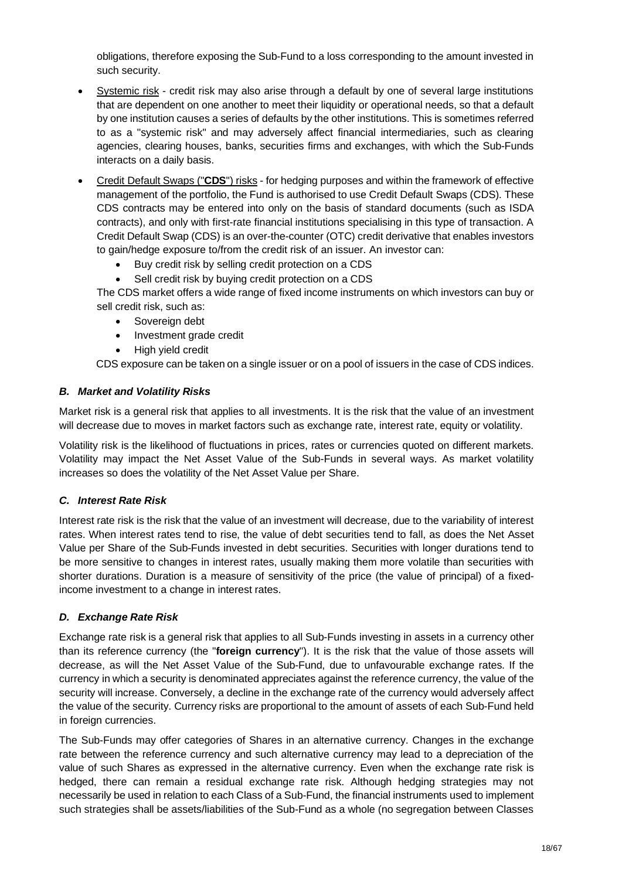obligations, therefore exposing the Sub-Fund to a loss corresponding to the amount invested in such security.

- Systemic risk credit risk may also arise through a default by one of several large institutions that are dependent on one another to meet their liquidity or operational needs, so that a default by one institution causes a series of defaults by the other institutions. This is sometimes referred to as a "systemic risk" and may adversely affect financial intermediaries, such as clearing agencies, clearing houses, banks, securities firms and exchanges, with which the Sub-Funds interacts on a daily basis.
- · Credit Default Swaps ("**CDS**") risks for hedging purposes and within the framework of effective management of the portfolio, the Fund is authorised to use Credit Default Swaps (CDS). These CDS contracts may be entered into only on the basis of standard documents (such as ISDA contracts), and only with first-rate financial institutions specialising in this type of transaction. A Credit Default Swap (CDS) is an over-the-counter (OTC) credit derivative that enables investors to gain/hedge exposure to/from the credit risk of an issuer. An investor can:
	- Buy credit risk by selling credit protection on a CDS
	- Sell credit risk by buying credit protection on a CDS

The CDS market offers a wide range of fixed income instruments on which investors can buy or sell credit risk, such as:

- · Sovereign debt
- · Investment grade credit
- · High yield credit

CDS exposure can be taken on a single issuer or on a pool of issuers in the case of CDS indices.

#### *B. Market and Volatility Risks*

Market risk is a general risk that applies to all investments. It is the risk that the value of an investment will decrease due to moves in market factors such as exchange rate, interest rate, equity or volatility.

Volatility risk is the likelihood of fluctuations in prices, rates or currencies quoted on different markets. Volatility may impact the Net Asset Value of the Sub-Funds in several ways. As market volatility increases so does the volatility of the Net Asset Value per Share.

## *C. Interest Rate Risk*

Interest rate risk is the risk that the value of an investment will decrease, due to the variability of interest rates. When interest rates tend to rise, the value of debt securities tend to fall, as does the Net Asset Value per Share of the Sub-Funds invested in debt securities. Securities with longer durations tend to be more sensitive to changes in interest rates, usually making them more volatile than securities with shorter durations. Duration is a measure of sensitivity of the price (the value of principal) of a fixedincome investment to a change in interest rates.

## *D. Exchange Rate Risk*

Exchange rate risk is a general risk that applies to all Sub-Funds investing in assets in a currency other than its reference currency (the "**foreign currency**"). It is the risk that the value of those assets will decrease, as will the Net Asset Value of the Sub-Fund, due to unfavourable exchange rates. If the currency in which a security is denominated appreciates against the reference currency, the value of the security will increase. Conversely, a decline in the exchange rate of the currency would adversely affect the value of the security. Currency risks are proportional to the amount of assets of each Sub-Fund held in foreign currencies.

The Sub-Funds may offer categories of Shares in an alternative currency. Changes in the exchange rate between the reference currency and such alternative currency may lead to a depreciation of the value of such Shares as expressed in the alternative currency. Even when the exchange rate risk is hedged, there can remain a residual exchange rate risk. Although hedging strategies may not necessarily be used in relation to each Class of a Sub-Fund, the financial instruments used to implement such strategies shall be assets/liabilities of the Sub-Fund as a whole (no segregation between Classes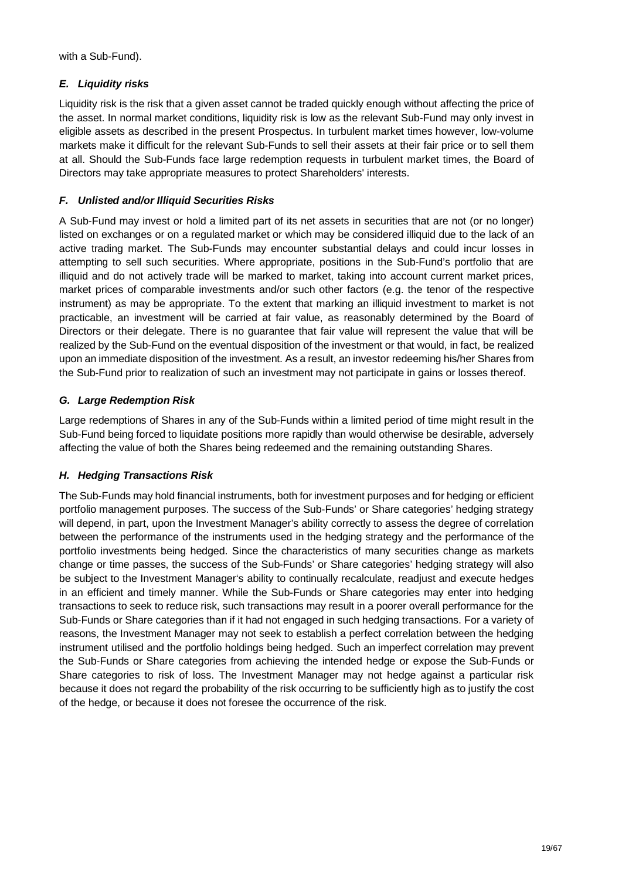with a Sub-Fund).

# *E. Liquidity risks*

Liquidity risk is the risk that a given asset cannot be traded quickly enough without affecting the price of the asset. In normal market conditions, liquidity risk is low as the relevant Sub-Fund may only invest in eligible assets as described in the present Prospectus. In turbulent market times however, low-volume markets make it difficult for the relevant Sub-Funds to sell their assets at their fair price or to sell them at all. Should the Sub-Funds face large redemption requests in turbulent market times, the Board of Directors may take appropriate measures to protect Shareholders' interests.

# *F. Unlisted and/or Illiquid Securities Risks*

A Sub-Fund may invest or hold a limited part of its net assets in securities that are not (or no longer) listed on exchanges or on a regulated market or which may be considered illiquid due to the lack of an active trading market. The Sub-Funds may encounter substantial delays and could incur losses in attempting to sell such securities. Where appropriate, positions in the Sub-Fund's portfolio that are illiquid and do not actively trade will be marked to market, taking into account current market prices, market prices of comparable investments and/or such other factors (e.g. the tenor of the respective instrument) as may be appropriate. To the extent that marking an illiquid investment to market is not practicable, an investment will be carried at fair value, as reasonably determined by the Board of Directors or their delegate. There is no guarantee that fair value will represent the value that will be realized by the Sub-Fund on the eventual disposition of the investment or that would, in fact, be realized upon an immediate disposition of the investment. As a result, an investor redeeming his/her Shares from the Sub-Fund prior to realization of such an investment may not participate in gains or losses thereof.

# *G. Large Redemption Risk*

Large redemptions of Shares in any of the Sub-Funds within a limited period of time might result in the Sub-Fund being forced to liquidate positions more rapidly than would otherwise be desirable, adversely affecting the value of both the Shares being redeemed and the remaining outstanding Shares.

# *H. Hedging Transactions Risk*

The Sub-Funds may hold financial instruments, both for investment purposes and for hedging or efficient portfolio management purposes. The success of the Sub-Funds' or Share categories' hedging strategy will depend, in part, upon the Investment Manager's ability correctly to assess the degree of correlation between the performance of the instruments used in the hedging strategy and the performance of the portfolio investments being hedged. Since the characteristics of many securities change as markets change or time passes, the success of the Sub-Funds' or Share categories' hedging strategy will also be subject to the Investment Manager's ability to continually recalculate, readjust and execute hedges in an efficient and timely manner. While the Sub-Funds or Share categories may enter into hedging transactions to seek to reduce risk, such transactions may result in a poorer overall performance for the Sub-Funds or Share categories than if it had not engaged in such hedging transactions. For a variety of reasons, the Investment Manager may not seek to establish a perfect correlation between the hedging instrument utilised and the portfolio holdings being hedged. Such an imperfect correlation may prevent the Sub-Funds or Share categories from achieving the intended hedge or expose the Sub-Funds or Share categories to risk of loss. The Investment Manager may not hedge against a particular risk because it does not regard the probability of the risk occurring to be sufficiently high as to justify the cost of the hedge, or because it does not foresee the occurrence of the risk.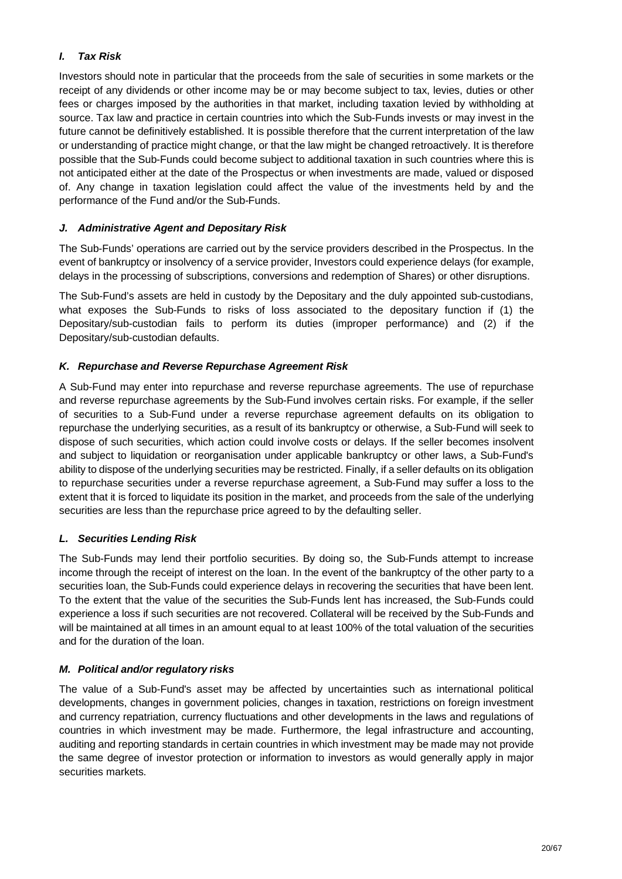# *I. Tax Risk*

Investors should note in particular that the proceeds from the sale of securities in some markets or the receipt of any dividends or other income may be or may become subject to tax, levies, duties or other fees or charges imposed by the authorities in that market, including taxation levied by withholding at source. Tax law and practice in certain countries into which the Sub-Funds invests or may invest in the future cannot be definitively established. It is possible therefore that the current interpretation of the law or understanding of practice might change, or that the law might be changed retroactively. It is therefore possible that the Sub-Funds could become subject to additional taxation in such countries where this is not anticipated either at the date of the Prospectus or when investments are made, valued or disposed of. Any change in taxation legislation could affect the value of the investments held by and the performance of the Fund and/or the Sub-Funds.

# *J. Administrative Agent and Depositary Risk*

The Sub-Funds' operations are carried out by the service providers described in the Prospectus. In the event of bankruptcy or insolvency of a service provider, Investors could experience delays (for example, delays in the processing of subscriptions, conversions and redemption of Shares) or other disruptions.

The Sub-Fund's assets are held in custody by the Depositary and the duly appointed sub-custodians, what exposes the Sub-Funds to risks of loss associated to the depositary function if (1) the Depositary/sub-custodian fails to perform its duties (improper performance) and (2) if the Depositary/sub-custodian defaults.

## *K. Repurchase and Reverse Repurchase Agreement Risk*

A Sub-Fund may enter into repurchase and reverse repurchase agreements. The use of repurchase and reverse repurchase agreements by the Sub-Fund involves certain risks. For example, if the seller of securities to a Sub-Fund under a reverse repurchase agreement defaults on its obligation to repurchase the underlying securities, as a result of its bankruptcy or otherwise, a Sub-Fund will seek to dispose of such securities, which action could involve costs or delays. If the seller becomes insolvent and subject to liquidation or reorganisation under applicable bankruptcy or other laws, a Sub-Fund's ability to dispose of the underlying securities may be restricted. Finally, if a seller defaults on its obligation to repurchase securities under a reverse repurchase agreement, a Sub-Fund may suffer a loss to the extent that it is forced to liquidate its position in the market, and proceeds from the sale of the underlying securities are less than the repurchase price agreed to by the defaulting seller.

# *L. Securities Lending Risk*

The Sub-Funds may lend their portfolio securities. By doing so, the Sub-Funds attempt to increase income through the receipt of interest on the loan. In the event of the bankruptcy of the other party to a securities loan, the Sub-Funds could experience delays in recovering the securities that have been lent. To the extent that the value of the securities the Sub-Funds lent has increased, the Sub-Funds could experience a loss if such securities are not recovered. Collateral will be received by the Sub-Funds and will be maintained at all times in an amount equal to at least 100% of the total valuation of the securities and for the duration of the loan.

## *M. Political and/or regulatory risks*

The value of a Sub-Fund's asset may be affected by uncertainties such as international political developments, changes in government policies, changes in taxation, restrictions on foreign investment and currency repatriation, currency fluctuations and other developments in the laws and regulations of countries in which investment may be made. Furthermore, the legal infrastructure and accounting, auditing and reporting standards in certain countries in which investment may be made may not provide the same degree of investor protection or information to investors as would generally apply in major securities markets.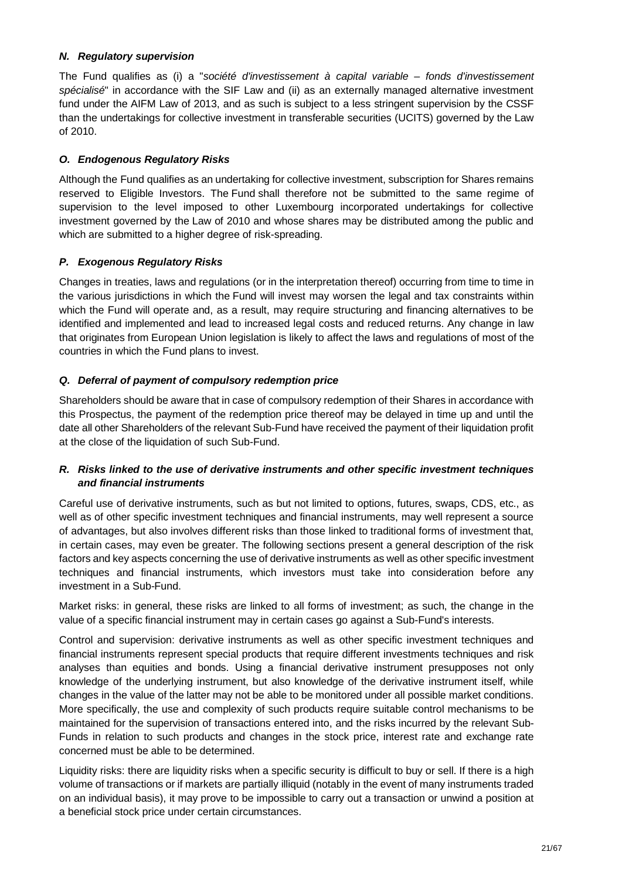## *N. Regulatory supervision*

The Fund qualifies as (i) a "*société d'investissement à capital variable – fonds d'investissement spécialisé*" in accordance with the SIF Law and (ii) as an externally managed alternative investment fund under the AIFM Law of 2013, and as such is subject to a less stringent supervision by the CSSF than the undertakings for collective investment in transferable securities (UCITS) governed by the Law of 2010.

# *O. Endogenous Regulatory Risks*

Although the Fund qualifies as an undertaking for collective investment, subscription for Shares remains reserved to Eligible Investors. The Fund shall therefore not be submitted to the same regime of supervision to the level imposed to other Luxembourg incorporated undertakings for collective investment governed by the Law of 2010 and whose shares may be distributed among the public and which are submitted to a higher degree of risk-spreading.

# *P. Exogenous Regulatory Risks*

Changes in treaties, laws and regulations (or in the interpretation thereof) occurring from time to time in the various jurisdictions in which the Fund will invest may worsen the legal and tax constraints within which the Fund will operate and, as a result, may require structuring and financing alternatives to be identified and implemented and lead to increased legal costs and reduced returns. Any change in law that originates from European Union legislation is likely to affect the laws and regulations of most of the countries in which the Fund plans to invest.

# *Q. Deferral of payment of compulsory redemption price*

Shareholders should be aware that in case of compulsory redemption of their Shares in accordance with this Prospectus, the payment of the redemption price thereof may be delayed in time up and until the date all other Shareholders of the relevant Sub-Fund have received the payment of their liquidation profit at the close of the liquidation of such Sub-Fund.

# *R. Risks linked to the use of derivative instruments and other specific investment techniques and financial instruments*

Careful use of derivative instruments, such as but not limited to options, futures, swaps, CDS, etc., as well as of other specific investment techniques and financial instruments, may well represent a source of advantages, but also involves different risks than those linked to traditional forms of investment that, in certain cases, may even be greater. The following sections present a general description of the risk factors and key aspects concerning the use of derivative instruments as well as other specific investment techniques and financial instruments, which investors must take into consideration before any investment in a Sub-Fund.

Market risks: in general, these risks are linked to all forms of investment; as such, the change in the value of a specific financial instrument may in certain cases go against a Sub-Fund's interests.

Control and supervision: derivative instruments as well as other specific investment techniques and financial instruments represent special products that require different investments techniques and risk analyses than equities and bonds. Using a financial derivative instrument presupposes not only knowledge of the underlying instrument, but also knowledge of the derivative instrument itself, while changes in the value of the latter may not be able to be monitored under all possible market conditions. More specifically, the use and complexity of such products require suitable control mechanisms to be maintained for the supervision of transactions entered into, and the risks incurred by the relevant Sub-Funds in relation to such products and changes in the stock price, interest rate and exchange rate concerned must be able to be determined.

Liquidity risks: there are liquidity risks when a specific security is difficult to buy or sell. If there is a high volume of transactions or if markets are partially illiquid (notably in the event of many instruments traded on an individual basis), it may prove to be impossible to carry out a transaction or unwind a position at a beneficial stock price under certain circumstances.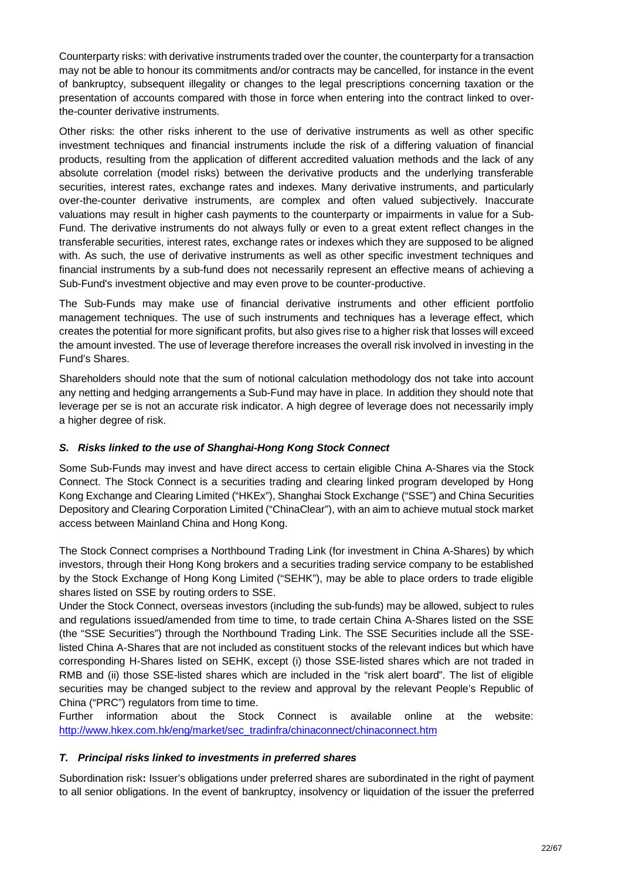Counterparty risks: with derivative instruments traded over the counter, the counterparty for a transaction may not be able to honour its commitments and/or contracts may be cancelled, for instance in the event of bankruptcy, subsequent illegality or changes to the legal prescriptions concerning taxation or the presentation of accounts compared with those in force when entering into the contract linked to overthe-counter derivative instruments.

Other risks: the other risks inherent to the use of derivative instruments as well as other specific investment techniques and financial instruments include the risk of a differing valuation of financial products, resulting from the application of different accredited valuation methods and the lack of any absolute correlation (model risks) between the derivative products and the underlying transferable securities, interest rates, exchange rates and indexes. Many derivative instruments, and particularly over-the-counter derivative instruments, are complex and often valued subjectively. Inaccurate valuations may result in higher cash payments to the counterparty or impairments in value for a Sub-Fund. The derivative instruments do not always fully or even to a great extent reflect changes in the transferable securities, interest rates, exchange rates or indexes which they are supposed to be aligned with. As such, the use of derivative instruments as well as other specific investment techniques and financial instruments by a sub-fund does not necessarily represent an effective means of achieving a Sub-Fund's investment objective and may even prove to be counter-productive.

The Sub-Funds may make use of financial derivative instruments and other efficient portfolio management techniques. The use of such instruments and techniques has a leverage effect, which creates the potential for more significant profits, but also gives rise to a higher risk that losses will exceed the amount invested. The use of leverage therefore increases the overall risk involved in investing in the Fund's Shares.

Shareholders should note that the sum of notional calculation methodology dos not take into account any netting and hedging arrangements a Sub-Fund may have in place. In addition they should note that leverage per se is not an accurate risk indicator. A high degree of leverage does not necessarily imply a higher degree of risk.

# *S. Risks linked to the use of Shanghai-Hong Kong Stock Connect*

Some Sub-Funds may invest and have direct access to certain eligible China A-Shares via the Stock Connect. The Stock Connect is a securities trading and clearing linked program developed by Hong Kong Exchange and Clearing Limited ("HKEx"), Shanghai Stock Exchange ("SSE") and China Securities Depository and Clearing Corporation Limited ("ChinaClear"), with an aim to achieve mutual stock market access between Mainland China and Hong Kong.

The Stock Connect comprises a Northbound Trading Link (for investment in China A-Shares) by which investors, through their Hong Kong brokers and a securities trading service company to be established by the Stock Exchange of Hong Kong Limited ("SEHK"), may be able to place orders to trade eligible shares listed on SSE by routing orders to SSE.

Under the Stock Connect, overseas investors (including the sub-funds) may be allowed, subject to rules and regulations issued/amended from time to time, to trade certain China A-Shares listed on the SSE (the "SSE Securities") through the Northbound Trading Link. The SSE Securities include all the SSElisted China A-Shares that are not included as constituent stocks of the relevant indices but which have corresponding H-Shares listed on SEHK, except (i) those SSE-listed shares which are not traded in RMB and (ii) those SSE-listed shares which are included in the "risk alert board". The list of eligible securities may be changed subject to the review and approval by the relevant People's Republic of China ("PRC") regulators from time to time.

Further information about the Stock Connect is available online at the website: http://www.hkex.com.hk/eng/market/sec\_tradinfra/chinaconnect/chinaconnect.htm

## *T. Principal risks linked to investments in preferred shares*

Subordination risk**:** Issuer's obligations under preferred shares are subordinated in the right of payment to all senior obligations. In the event of bankruptcy, insolvency or liquidation of the issuer the preferred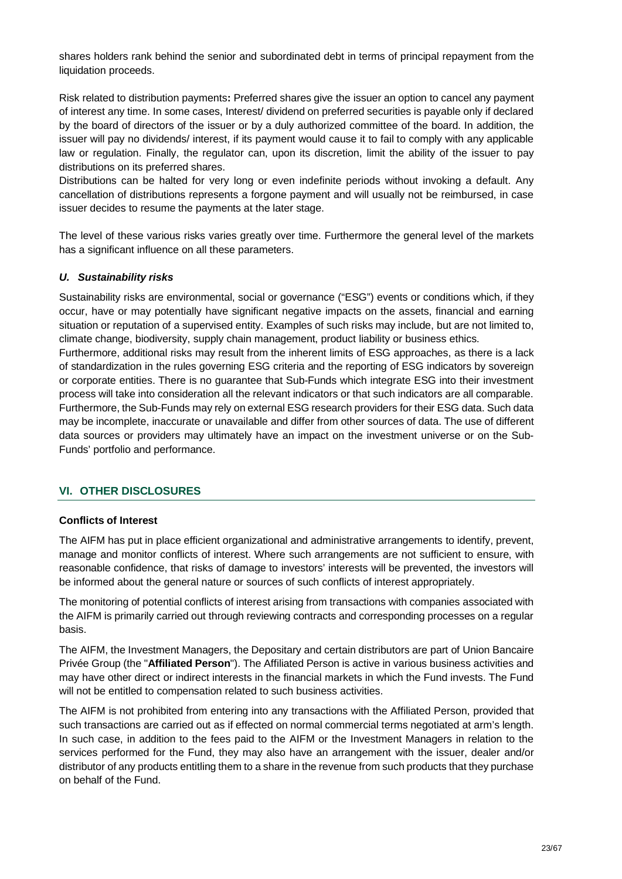shares holders rank behind the senior and subordinated debt in terms of principal repayment from the liquidation proceeds.

Risk related to distribution payments**:** Preferred shares give the issuer an option to cancel any payment of interest any time. In some cases, Interest/ dividend on preferred securities is payable only if declared by the board of directors of the issuer or by a duly authorized committee of the board. In addition, the issuer will pay no dividends/ interest, if its payment would cause it to fail to comply with any applicable law or regulation. Finally, the regulator can, upon its discretion, limit the ability of the issuer to pay distributions on its preferred shares.

Distributions can be halted for very long or even indefinite periods without invoking a default. Any cancellation of distributions represents a forgone payment and will usually not be reimbursed, in case issuer decides to resume the payments at the later stage.

The level of these various risks varies greatly over time. Furthermore the general level of the markets has a significant influence on all these parameters.

## *U. Sustainability risks*

Sustainability risks are environmental, social or governance ("ESG") events or conditions which, if they occur, have or may potentially have significant negative impacts on the assets, financial and earning situation or reputation of a supervised entity. Examples of such risks may include, but are not limited to, climate change, biodiversity, supply chain management, product liability or business ethics.

Furthermore, additional risks may result from the inherent limits of ESG approaches, as there is a lack of standardization in the rules governing ESG criteria and the reporting of ESG indicators by sovereign or corporate entities. There is no guarantee that Sub-Funds which integrate ESG into their investment process will take into consideration all the relevant indicators or that such indicators are all comparable. Furthermore, the Sub-Funds may rely on external ESG research providers for their ESG data. Such data may be incomplete, inaccurate or unavailable and differ from other sources of data. The use of different data sources or providers may ultimately have an impact on the investment universe or on the Sub-Funds' portfolio and performance.

# **VI. OTHER DISCLOSURES**

## **Conflicts of Interest**

The AIFM has put in place efficient organizational and administrative arrangements to identify, prevent, manage and monitor conflicts of interest. Where such arrangements are not sufficient to ensure, with reasonable confidence, that risks of damage to investors' interests will be prevented, the investors will be informed about the general nature or sources of such conflicts of interest appropriately.

The monitoring of potential conflicts of interest arising from transactions with companies associated with the AIFM is primarily carried out through reviewing contracts and corresponding processes on a regular basis.

The AIFM, the Investment Managers, the Depositary and certain distributors are part of Union Bancaire Privée Group (the "**Affiliated Person**"). The Affiliated Person is active in various business activities and may have other direct or indirect interests in the financial markets in which the Fund invests. The Fund will not be entitled to compensation related to such business activities.

The AIFM is not prohibited from entering into any transactions with the Affiliated Person, provided that such transactions are carried out as if effected on normal commercial terms negotiated at arm's length. In such case, in addition to the fees paid to the AIFM or the Investment Managers in relation to the services performed for the Fund, they may also have an arrangement with the issuer, dealer and/or distributor of any products entitling them to a share in the revenue from such products that they purchase on behalf of the Fund.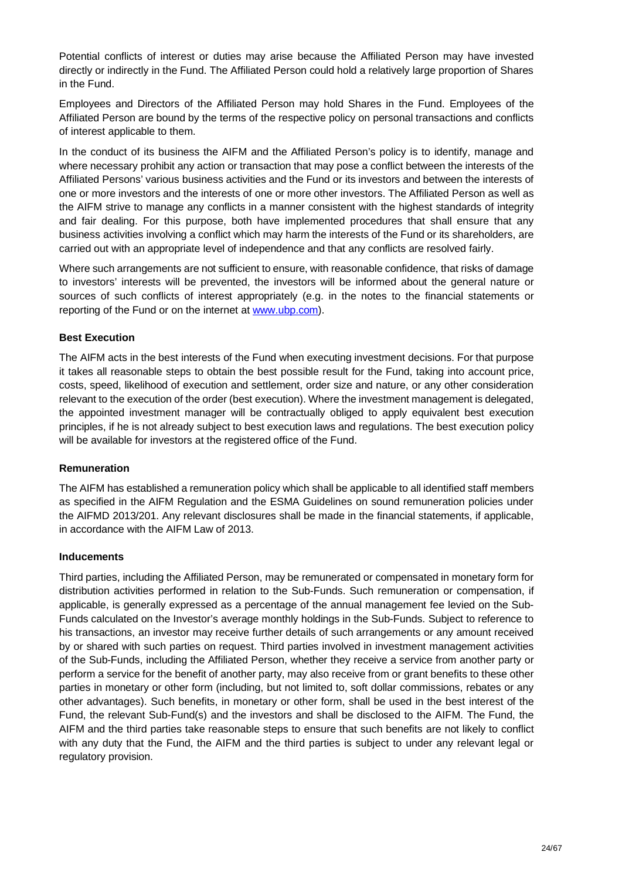Potential conflicts of interest or duties may arise because the Affiliated Person may have invested directly or indirectly in the Fund. The Affiliated Person could hold a relatively large proportion of Shares in the Fund.

Employees and Directors of the Affiliated Person may hold Shares in the Fund. Employees of the Affiliated Person are bound by the terms of the respective policy on personal transactions and conflicts of interest applicable to them.

In the conduct of its business the AIFM and the Affiliated Person's policy is to identify, manage and where necessary prohibit any action or transaction that may pose a conflict between the interests of the Affiliated Persons' various business activities and the Fund or its investors and between the interests of one or more investors and the interests of one or more other investors. The Affiliated Person as well as the AIFM strive to manage any conflicts in a manner consistent with the highest standards of integrity and fair dealing. For this purpose, both have implemented procedures that shall ensure that any business activities involving a conflict which may harm the interests of the Fund or its shareholders, are carried out with an appropriate level of independence and that any conflicts are resolved fairly.

Where such arrangements are not sufficient to ensure, with reasonable confidence, that risks of damage to investors' interests will be prevented, the investors will be informed about the general nature or sources of such conflicts of interest appropriately (e.g. in the notes to the financial statements or reporting of the Fund or on the internet at www.ubp.com).

## **Best Execution**

The AIFM acts in the best interests of the Fund when executing investment decisions. For that purpose it takes all reasonable steps to obtain the best possible result for the Fund, taking into account price, costs, speed, likelihood of execution and settlement, order size and nature, or any other consideration relevant to the execution of the order (best execution). Where the investment management is delegated, the appointed investment manager will be contractually obliged to apply equivalent best execution principles, if he is not already subject to best execution laws and regulations. The best execution policy will be available for investors at the registered office of the Fund.

## **Remuneration**

The AIFM has established a remuneration policy which shall be applicable to all identified staff members as specified in the AIFM Regulation and the ESMA Guidelines on sound remuneration policies under the AIFMD 2013/201. Any relevant disclosures shall be made in the financial statements, if applicable, in accordance with the AIFM Law of 2013.

## **Inducements**

Third parties, including the Affiliated Person, may be remunerated or compensated in monetary form for distribution activities performed in relation to the Sub-Funds. Such remuneration or compensation, if applicable, is generally expressed as a percentage of the annual management fee levied on the Sub-Funds calculated on the Investor's average monthly holdings in the Sub-Funds. Subject to reference to his transactions, an investor may receive further details of such arrangements or any amount received by or shared with such parties on request. Third parties involved in investment management activities of the Sub-Funds, including the Affiliated Person, whether they receive a service from another party or perform a service for the benefit of another party, may also receive from or grant benefits to these other parties in monetary or other form (including, but not limited to, soft dollar commissions, rebates or any other advantages). Such benefits, in monetary or other form, shall be used in the best interest of the Fund, the relevant Sub-Fund(s) and the investors and shall be disclosed to the AIFM. The Fund, the AIFM and the third parties take reasonable steps to ensure that such benefits are not likely to conflict with any duty that the Fund, the AIFM and the third parties is subject to under any relevant legal or regulatory provision.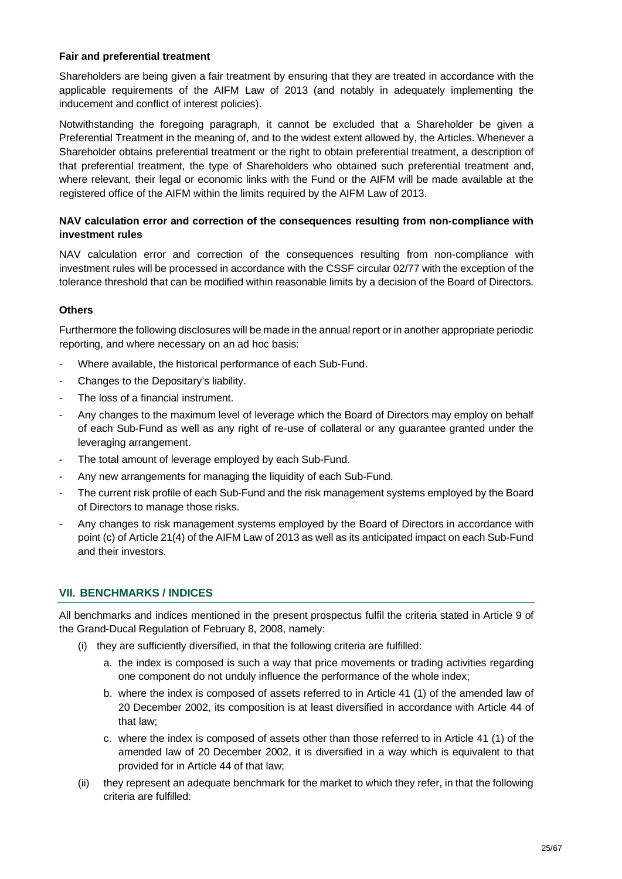#### **Fair and preferential treatment**

Shareholders are being given a fair treatment by ensuring that they are treated in accordance with the applicable requirements of the AIFM Law of 2013 (and notably in adequately implementing the inducement and conflict of interest policies).

Notwithstanding the foregoing paragraph, it cannot be excluded that a Shareholder be given a Preferential Treatment in the meaning of, and to the widest extent allowed by, the Articles. Whenever a Shareholder obtains preferential treatment or the right to obtain preferential treatment, a description of that preferential treatment, the type of Shareholders who obtained such preferential treatment and, where relevant, their legal or economic links with the Fund or the AIFM will be made available at the registered office of the AIFM within the limits required by the AIFM Law of 2013.

## **NAV calculation error and correction of the consequences resulting from non-compliance with investment rules**

NAV calculation error and correction of the consequences resulting from non-compliance with investment rules will be processed in accordance with the CSSF circular 02/77 with the exception of the tolerance threshold that can be modified within reasonable limits by a decision of the Board of Directors.

## **Others**

Furthermore the following disclosures will be made in the annual report or in another appropriate periodic reporting, and where necessary on an ad hoc basis:

- Where available, the historical performance of each Sub-Fund.
- Changes to the Depositary's liability.
- The loss of a financial instrument.
- Any changes to the maximum level of leverage which the Board of Directors may employ on behalf of each Sub-Fund as well as any right of re-use of collateral or any guarantee granted under the leveraging arrangement.
- The total amount of leverage employed by each Sub-Fund.
- Any new arrangements for managing the liquidity of each Sub-Fund.
- The current risk profile of each Sub-Fund and the risk management systems employed by the Board of Directors to manage those risks.
- Any changes to risk management systems employed by the Board of Directors in accordance with point (c) of Article 21(4) of the AIFM Law of 2013 as well as its anticipated impact on each Sub-Fund and their investors.

# **VII. BENCHMARKS / INDICES**

All benchmarks and indices mentioned in the present prospectus fulfil the criteria stated in Article 9 of the Grand-Ducal Regulation of February 8, 2008, namely:

- (i) they are sufficiently diversified, in that the following criteria are fulfilled:
	- a. the index is composed is such a way that price movements or trading activities regarding one component do not unduly influence the performance of the whole index;
	- b. where the index is composed of assets referred to in Article 41 (1) of the amended law of 20 December 2002, its composition is at least diversified in accordance with Article 44 of that law;
	- c. where the index is composed of assets other than those referred to in Article 41 (1) of the amended law of 20 December 2002, it is diversified in a way which is equivalent to that provided for in Article 44 of that law;
- (ii) they represent an adequate benchmark for the market to which they refer, in that the following criteria are fulfilled: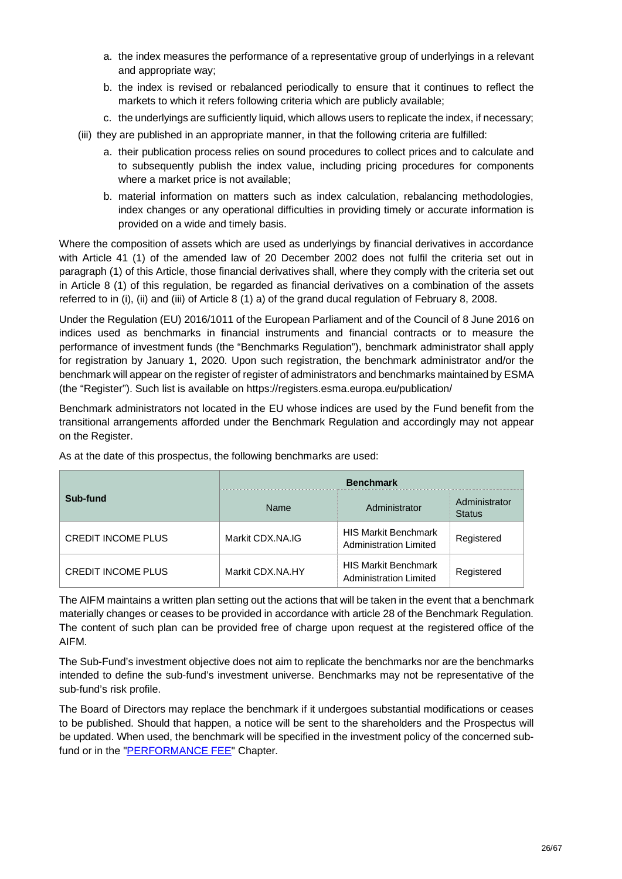- a. the index measures the performance of a representative group of underlyings in a relevant and appropriate way;
- b. the index is revised or rebalanced periodically to ensure that it continues to reflect the markets to which it refers following criteria which are publicly available;
- c. the underlyings are sufficiently liquid, which allows users to replicate the index, if necessary;
- (iii) they are published in an appropriate manner, in that the following criteria are fulfilled:
	- a. their publication process relies on sound procedures to collect prices and to calculate and to subsequently publish the index value, including pricing procedures for components where a market price is not available;
	- b. material information on matters such as index calculation, rebalancing methodologies, index changes or any operational difficulties in providing timely or accurate information is provided on a wide and timely basis.

Where the composition of assets which are used as underlyings by financial derivatives in accordance with Article 41 (1) of the amended law of 20 December 2002 does not fulfil the criteria set out in paragraph (1) of this Article, those financial derivatives shall, where they comply with the criteria set out in Article 8 (1) of this regulation, be regarded as financial derivatives on a combination of the assets referred to in (i), (ii) and (iii) of Article 8 (1) a) of the grand ducal regulation of February 8, 2008.

Under the Regulation (EU) 2016/1011 of the European Parliament and of the Council of 8 June 2016 on indices used as benchmarks in financial instruments and financial contracts or to measure the performance of investment funds (the "Benchmarks Regulation"), benchmark administrator shall apply for registration by January 1, 2020. Upon such registration, the benchmark administrator and/or the benchmark will appear on the register of register of administrators and benchmarks maintained by ESMA (the "Register"). Such list is available on https://registers.esma.europa.eu/publication/

Benchmark administrators not located in the EU whose indices are used by the Fund benefit from the transitional arrangements afforded under the Benchmark Regulation and accordingly may not appear on the Register.

|                           | <b>Benchmark</b> |                                                              |                                |  |
|---------------------------|------------------|--------------------------------------------------------------|--------------------------------|--|
| Sub-fund                  | Name             | Administrator                                                | Administrator<br><b>Status</b> |  |
| <b>CREDIT INCOME PLUS</b> | Markit CDX.NA.IG | <b>HIS Markit Benchmark</b><br><b>Administration Limited</b> | Registered                     |  |
| <b>CREDIT INCOME PLUS</b> | Markit CDX.NA.HY | <b>HIS Markit Benchmark</b><br>Administration Limited        | Registered                     |  |

As at the date of this prospectus, the following benchmarks are used:

The AIFM maintains a written plan setting out the actions that will be taken in the event that a benchmark materially changes or ceases to be provided in accordance with article 28 of the Benchmark Regulation. The content of such plan can be provided free of charge upon request at the registered office of the AIFM.

The Sub-Fund's investment objective does not aim to replicate the benchmarks nor are the benchmarks intended to define the sub-fund's investment universe. Benchmarks may not be representative of the sub-fund's risk profile.

The Board of Directors may replace the benchmark if it undergoes substantial modifications or ceases to be published. Should that happen, a notice will be sent to the shareholders and the Prospectus will be updated. When used, the benchmark will be specified in the investment policy of the concerned subfund or in the "PERFORMANCE FEE" Chapter.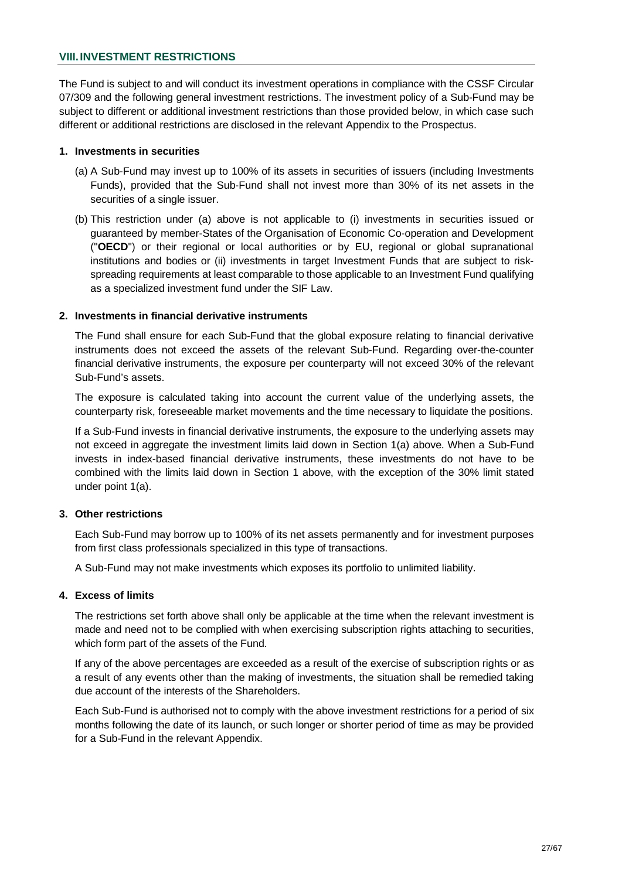## **VIII. INVESTMENT RESTRICTIONS**

The Fund is subject to and will conduct its investment operations in compliance with the CSSF Circular 07/309 and the following general investment restrictions. The investment policy of a Sub-Fund may be subject to different or additional investment restrictions than those provided below, in which case such different or additional restrictions are disclosed in the relevant Appendix to the Prospectus.

#### **1. Investments in securities**

- (a) A Sub-Fund may invest up to 100% of its assets in securities of issuers (including Investments Funds), provided that the Sub-Fund shall not invest more than 30% of its net assets in the securities of a single issuer.
- (b) This restriction under (a) above is not applicable to (i) investments in securities issued or guaranteed by member-States of the Organisation of Economic Co-operation and Development ("**OECD**") or their regional or local authorities or by EU, regional or global supranational institutions and bodies or (ii) investments in target Investment Funds that are subject to riskspreading requirements at least comparable to those applicable to an Investment Fund qualifying as a specialized investment fund under the SIF Law.

## **2. Investments in financial derivative instruments**

The Fund shall ensure for each Sub-Fund that the global exposure relating to financial derivative instruments does not exceed the assets of the relevant Sub-Fund. Regarding over-the-counter financial derivative instruments, the exposure per counterparty will not exceed 30% of the relevant Sub-Fund's assets.

The exposure is calculated taking into account the current value of the underlying assets, the counterparty risk, foreseeable market movements and the time necessary to liquidate the positions.

If a Sub-Fund invests in financial derivative instruments, the exposure to the underlying assets may not exceed in aggregate the investment limits laid down in Section 1(a) above. When a Sub-Fund invests in index-based financial derivative instruments, these investments do not have to be combined with the limits laid down in Section 1 above, with the exception of the 30% limit stated under point 1(a).

## **3. Other restrictions**

Each Sub-Fund may borrow up to 100% of its net assets permanently and for investment purposes from first class professionals specialized in this type of transactions.

A Sub-Fund may not make investments which exposes its portfolio to unlimited liability.

## **4. Excess of limits**

The restrictions set forth above shall only be applicable at the time when the relevant investment is made and need not to be complied with when exercising subscription rights attaching to securities, which form part of the assets of the Fund.

If any of the above percentages are exceeded as a result of the exercise of subscription rights or as a result of any events other than the making of investments, the situation shall be remedied taking due account of the interests of the Shareholders.

Each Sub-Fund is authorised not to comply with the above investment restrictions for a period of six months following the date of its launch, or such longer or shorter period of time as may be provided for a Sub-Fund in the relevant Appendix.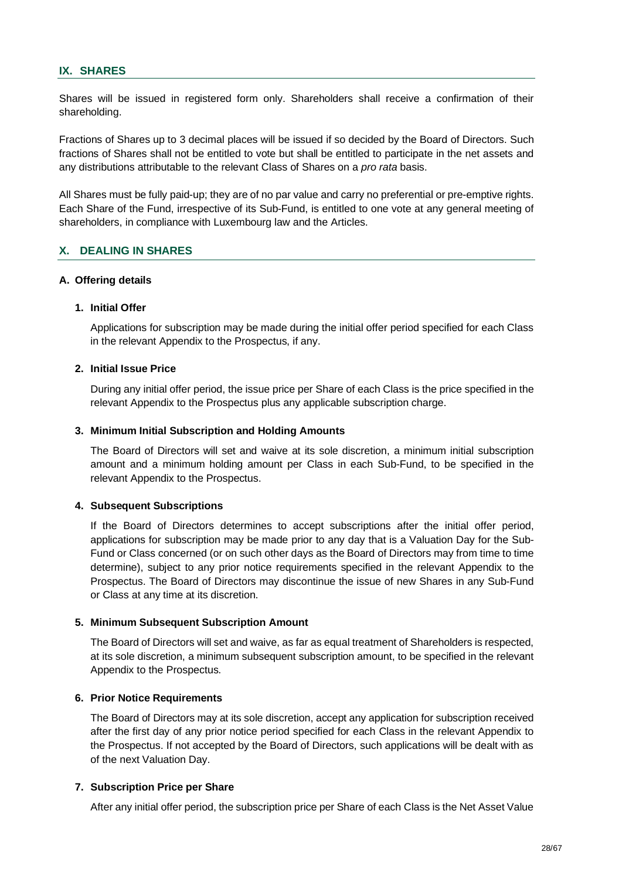## **IX. SHARES**

Shares will be issued in registered form only. Shareholders shall receive a confirmation of their shareholding.

Fractions of Shares up to 3 decimal places will be issued if so decided by the Board of Directors. Such fractions of Shares shall not be entitled to vote but shall be entitled to participate in the net assets and any distributions attributable to the relevant Class of Shares on a *pro rata* basis.

All Shares must be fully paid-up; they are of no par value and carry no preferential or pre-emptive rights. Each Share of the Fund, irrespective of its Sub-Fund, is entitled to one vote at any general meeting of shareholders, in compliance with Luxembourg law and the Articles.

## **X. DEALING IN SHARES**

#### **A. Offering details**

#### **1. Initial Offer**

Applications for subscription may be made during the initial offer period specified for each Class in the relevant Appendix to the Prospectus, if any.

#### **2. Initial Issue Price**

During any initial offer period, the issue price per Share of each Class is the price specified in the relevant Appendix to the Prospectus plus any applicable subscription charge.

#### **3. Minimum Initial Subscription and Holding Amounts**

The Board of Directors will set and waive at its sole discretion, a minimum initial subscription amount and a minimum holding amount per Class in each Sub-Fund, to be specified in the relevant Appendix to the Prospectus.

## **4. Subsequent Subscriptions**

If the Board of Directors determines to accept subscriptions after the initial offer period, applications for subscription may be made prior to any day that is a Valuation Day for the Sub-Fund or Class concerned (or on such other days as the Board of Directors may from time to time determine), subject to any prior notice requirements specified in the relevant Appendix to the Prospectus. The Board of Directors may discontinue the issue of new Shares in any Sub-Fund or Class at any time at its discretion.

#### **5. Minimum Subsequent Subscription Amount**

The Board of Directors will set and waive, as far as equal treatment of Shareholders is respected, at its sole discretion, a minimum subsequent subscription amount, to be specified in the relevant Appendix to the Prospectus.

#### **6. Prior Notice Requirements**

The Board of Directors may at its sole discretion, accept any application for subscription received after the first day of any prior notice period specified for each Class in the relevant Appendix to the Prospectus. If not accepted by the Board of Directors, such applications will be dealt with as of the next Valuation Day.

#### **7. Subscription Price per Share**

After any initial offer period, the subscription price per Share of each Class is the Net Asset Value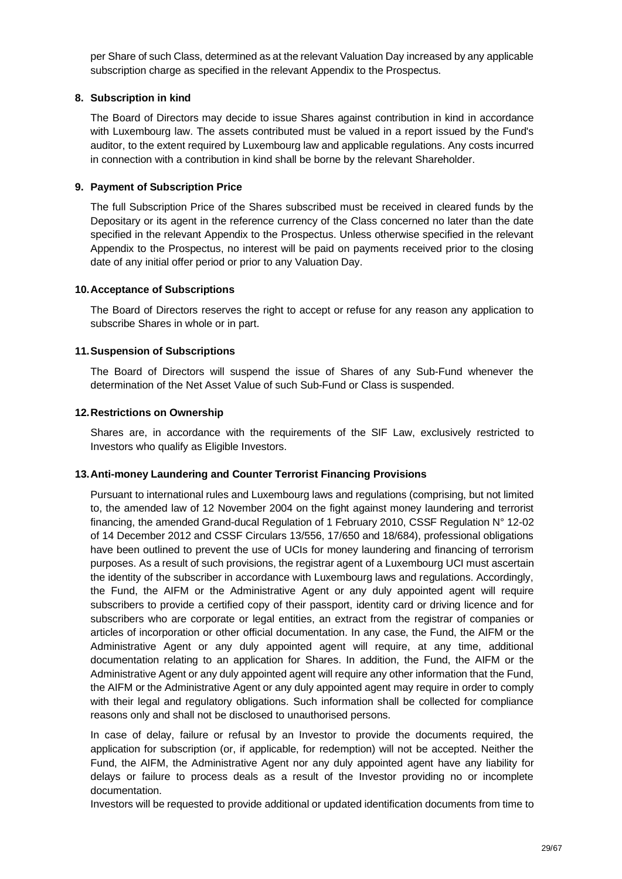per Share of such Class, determined as at the relevant Valuation Day increased by any applicable subscription charge as specified in the relevant Appendix to the Prospectus.

## **8. Subscription in kind**

The Board of Directors may decide to issue Shares against contribution in kind in accordance with Luxembourg law. The assets contributed must be valued in a report issued by the Fund's auditor, to the extent required by Luxembourg law and applicable regulations. Any costs incurred in connection with a contribution in kind shall be borne by the relevant Shareholder.

## **9. Payment of Subscription Price**

The full Subscription Price of the Shares subscribed must be received in cleared funds by the Depositary or its agent in the reference currency of the Class concerned no later than the date specified in the relevant Appendix to the Prospectus. Unless otherwise specified in the relevant Appendix to the Prospectus, no interest will be paid on payments received prior to the closing date of any initial offer period or prior to any Valuation Day.

## **10. Acceptance of Subscriptions**

The Board of Directors reserves the right to accept or refuse for any reason any application to subscribe Shares in whole or in part.

## **11. Suspension of Subscriptions**

The Board of Directors will suspend the issue of Shares of any Sub-Fund whenever the determination of the Net Asset Value of such Sub-Fund or Class is suspended.

## **12. Restrictions on Ownership**

Shares are, in accordance with the requirements of the SIF Law, exclusively restricted to Investors who qualify as Eligible Investors.

## **13. Anti-money Laundering and Counter Terrorist Financing Provisions**

Pursuant to international rules and Luxembourg laws and regulations (comprising, but not limited to, the amended law of 12 November 2004 on the fight against money laundering and terrorist financing, the amended Grand-ducal Regulation of 1 February 2010, CSSF Regulation N° 12-02 of 14 December 2012 and CSSF Circulars 13/556, 17/650 and 18/684), professional obligations have been outlined to prevent the use of UCIs for money laundering and financing of terrorism purposes. As a result of such provisions, the registrar agent of a Luxembourg UCI must ascertain the identity of the subscriber in accordance with Luxembourg laws and regulations. Accordingly, the Fund, the AIFM or the Administrative Agent or any duly appointed agent will require subscribers to provide a certified copy of their passport, identity card or driving licence and for subscribers who are corporate or legal entities, an extract from the registrar of companies or articles of incorporation or other official documentation. In any case, the Fund, the AIFM or the Administrative Agent or any duly appointed agent will require, at any time, additional documentation relating to an application for Shares. In addition, the Fund, the AIFM or the Administrative Agent or any duly appointed agent will require any other information that the Fund, the AIFM or the Administrative Agent or any duly appointed agent may require in order to comply with their legal and regulatory obligations. Such information shall be collected for compliance reasons only and shall not be disclosed to unauthorised persons.

In case of delay, failure or refusal by an Investor to provide the documents required, the application for subscription (or, if applicable, for redemption) will not be accepted. Neither the Fund, the AIFM, the Administrative Agent nor any duly appointed agent have any liability for delays or failure to process deals as a result of the Investor providing no or incomplete documentation.

Investors will be requested to provide additional or updated identification documents from time to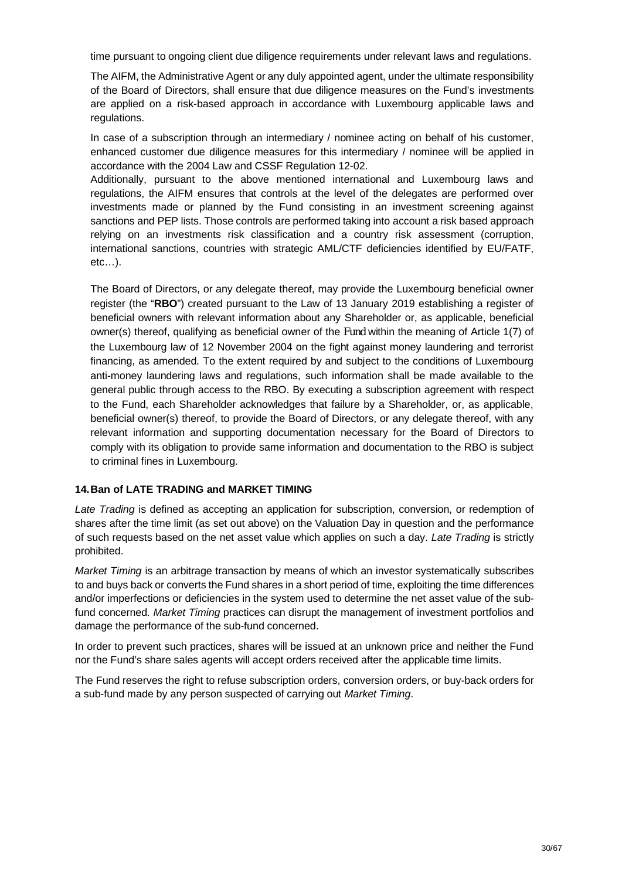time pursuant to ongoing client due diligence requirements under relevant laws and regulations.

The AIFM, the Administrative Agent or any duly appointed agent, under the ultimate responsibility of the Board of Directors, shall ensure that due diligence measures on the Fund's investments are applied on a risk-based approach in accordance with Luxembourg applicable laws and regulations.

In case of a subscription through an intermediary / nominee acting on behalf of his customer, enhanced customer due diligence measures for this intermediary / nominee will be applied in accordance with the 2004 Law and CSSF Regulation 12-02.

Additionally, pursuant to the above mentioned international and Luxembourg laws and regulations, the AIFM ensures that controls at the level of the delegates are performed over investments made or planned by the Fund consisting in an investment screening against sanctions and PEP lists. Those controls are performed taking into account a risk based approach relying on an investments risk classification and a country risk assessment (corruption, international sanctions, countries with strategic AML/CTF deficiencies identified by EU/FATF, etc…).

The Board of Directors, or any delegate thereof, may provide the Luxembourg beneficial owner register (the "**RBO**") created pursuant to the Law of 13 January 2019 establishing a register of beneficial owners with relevant information about any Shareholder or, as applicable, beneficial owner(s) thereof, qualifying as beneficial owner of the Fund within the meaning of Article 1(7) of the Luxembourg law of 12 November 2004 on the fight against money laundering and terrorist financing, as amended. To the extent required by and subject to the conditions of Luxembourg anti-money laundering laws and regulations, such information shall be made available to the general public through access to the RBO. By executing a subscription agreement with respect to the Fund, each Shareholder acknowledges that failure by a Shareholder, or, as applicable, beneficial owner(s) thereof, to provide the Board of Directors, or any delegate thereof, with any relevant information and supporting documentation necessary for the Board of Directors to comply with its obligation to provide same information and documentation to the RBO is subject to criminal fines in Luxembourg.

# **14. Ban of LATE TRADING and MARKET TIMING**

*Late Trading* is defined as accepting an application for subscription, conversion, or redemption of shares after the time limit (as set out above) on the Valuation Day in question and the performance of such requests based on the net asset value which applies on such a day. *Late Trading* is strictly prohibited.

*Market Timing* is an arbitrage transaction by means of which an investor systematically subscribes to and buys back or converts the Fund shares in a short period of time, exploiting the time differences and/or imperfections or deficiencies in the system used to determine the net asset value of the subfund concerned. *Market Timing* practices can disrupt the management of investment portfolios and damage the performance of the sub-fund concerned.

In order to prevent such practices, shares will be issued at an unknown price and neither the Fund nor the Fund's share sales agents will accept orders received after the applicable time limits.

The Fund reserves the right to refuse subscription orders, conversion orders, or buy-back orders for a sub-fund made by any person suspected of carrying out *Market Timing*.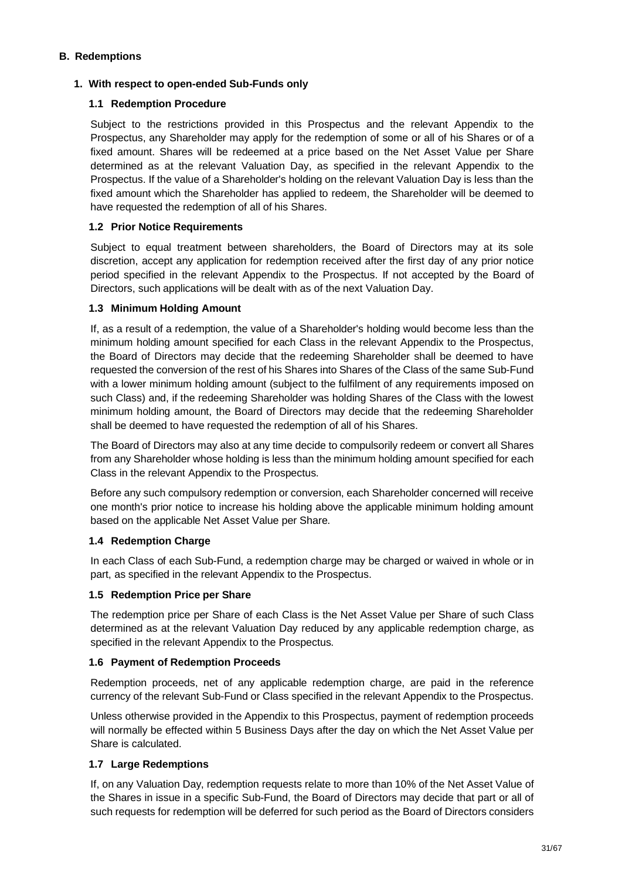## **B. Redemptions**

## **1. With respect to open-ended Sub-Funds only**

## **1.1 Redemption Procedure**

Subject to the restrictions provided in this Prospectus and the relevant Appendix to the Prospectus, any Shareholder may apply for the redemption of some or all of his Shares or of a fixed amount. Shares will be redeemed at a price based on the Net Asset Value per Share determined as at the relevant Valuation Day, as specified in the relevant Appendix to the Prospectus. If the value of a Shareholder's holding on the relevant Valuation Day is less than the fixed amount which the Shareholder has applied to redeem, the Shareholder will be deemed to have requested the redemption of all of his Shares.

## **1.2 Prior Notice Requirements**

Subject to equal treatment between shareholders, the Board of Directors may at its sole discretion, accept any application for redemption received after the first day of any prior notice period specified in the relevant Appendix to the Prospectus. If not accepted by the Board of Directors, such applications will be dealt with as of the next Valuation Day.

## **1.3 Minimum Holding Amount**

If, as a result of a redemption, the value of a Shareholder's holding would become less than the minimum holding amount specified for each Class in the relevant Appendix to the Prospectus, the Board of Directors may decide that the redeeming Shareholder shall be deemed to have requested the conversion of the rest of his Shares into Shares of the Class of the same Sub-Fund with a lower minimum holding amount (subject to the fulfilment of any requirements imposed on such Class) and, if the redeeming Shareholder was holding Shares of the Class with the lowest minimum holding amount, the Board of Directors may decide that the redeeming Shareholder shall be deemed to have requested the redemption of all of his Shares.

The Board of Directors may also at any time decide to compulsorily redeem or convert all Shares from any Shareholder whose holding is less than the minimum holding amount specified for each Class in the relevant Appendix to the Prospectus.

Before any such compulsory redemption or conversion, each Shareholder concerned will receive one month's prior notice to increase his holding above the applicable minimum holding amount based on the applicable Net Asset Value per Share.

# **1.4 Redemption Charge**

In each Class of each Sub-Fund, a redemption charge may be charged or waived in whole or in part, as specified in the relevant Appendix to the Prospectus.

## **1.5 Redemption Price per Share**

The redemption price per Share of each Class is the Net Asset Value per Share of such Class determined as at the relevant Valuation Day reduced by any applicable redemption charge, as specified in the relevant Appendix to the Prospectus.

## **1.6 Payment of Redemption Proceeds**

Redemption proceeds, net of any applicable redemption charge, are paid in the reference currency of the relevant Sub-Fund or Class specified in the relevant Appendix to the Prospectus.

Unless otherwise provided in the Appendix to this Prospectus, payment of redemption proceeds will normally be effected within 5 Business Days after the day on which the Net Asset Value per Share is calculated.

# **1.7 Large Redemptions**

If, on any Valuation Day, redemption requests relate to more than 10% of the Net Asset Value of the Shares in issue in a specific Sub-Fund, the Board of Directors may decide that part or all of such requests for redemption will be deferred for such period as the Board of Directors considers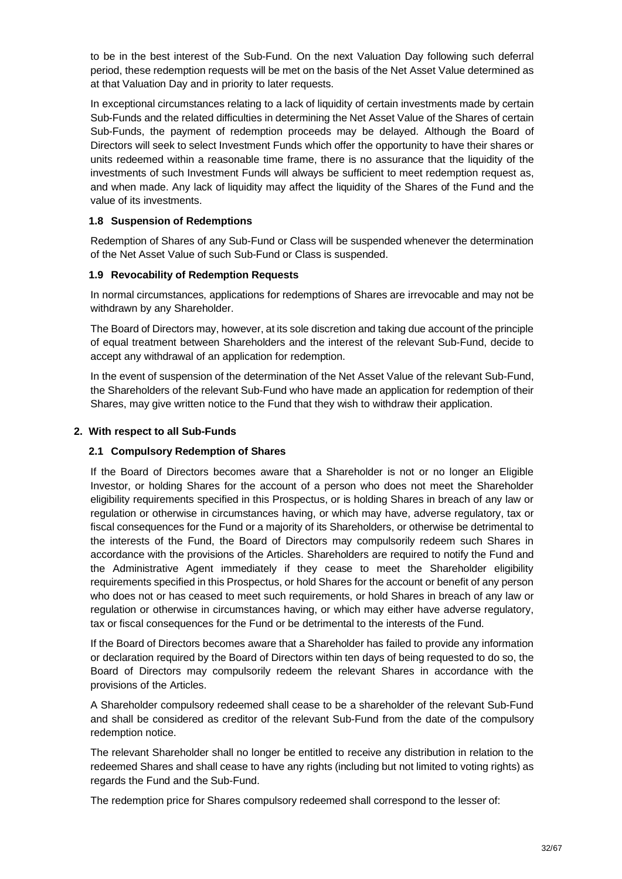to be in the best interest of the Sub-Fund. On the next Valuation Day following such deferral period, these redemption requests will be met on the basis of the Net Asset Value determined as at that Valuation Day and in priority to later requests.

In exceptional circumstances relating to a lack of liquidity of certain investments made by certain Sub-Funds and the related difficulties in determining the Net Asset Value of the Shares of certain Sub-Funds, the payment of redemption proceeds may be delayed. Although the Board of Directors will seek to select Investment Funds which offer the opportunity to have their shares or units redeemed within a reasonable time frame, there is no assurance that the liquidity of the investments of such Investment Funds will always be sufficient to meet redemption request as, and when made. Any lack of liquidity may affect the liquidity of the Shares of the Fund and the value of its investments.

## **1.8 Suspension of Redemptions**

Redemption of Shares of any Sub-Fund or Class will be suspended whenever the determination of the Net Asset Value of such Sub-Fund or Class is suspended.

## **1.9 Revocability of Redemption Requests**

In normal circumstances, applications for redemptions of Shares are irrevocable and may not be withdrawn by any Shareholder.

The Board of Directors may, however, at its sole discretion and taking due account of the principle of equal treatment between Shareholders and the interest of the relevant Sub-Fund, decide to accept any withdrawal of an application for redemption.

In the event of suspension of the determination of the Net Asset Value of the relevant Sub-Fund, the Shareholders of the relevant Sub-Fund who have made an application for redemption of their Shares, may give written notice to the Fund that they wish to withdraw their application.

## **2. With respect to all Sub-Funds**

## **2.1 Compulsory Redemption of Shares**

If the Board of Directors becomes aware that a Shareholder is not or no longer an Eligible Investor, or holding Shares for the account of a person who does not meet the Shareholder eligibility requirements specified in this Prospectus, or is holding Shares in breach of any law or regulation or otherwise in circumstances having, or which may have, adverse regulatory, tax or fiscal consequences for the Fund or a majority of its Shareholders, or otherwise be detrimental to the interests of the Fund, the Board of Directors may compulsorily redeem such Shares in accordance with the provisions of the Articles. Shareholders are required to notify the Fund and the Administrative Agent immediately if they cease to meet the Shareholder eligibility requirements specified in this Prospectus, or hold Shares for the account or benefit of any person who does not or has ceased to meet such requirements, or hold Shares in breach of any law or regulation or otherwise in circumstances having, or which may either have adverse regulatory, tax or fiscal consequences for the Fund or be detrimental to the interests of the Fund.

If the Board of Directors becomes aware that a Shareholder has failed to provide any information or declaration required by the Board of Directors within ten days of being requested to do so, the Board of Directors may compulsorily redeem the relevant Shares in accordance with the provisions of the Articles.

A Shareholder compulsory redeemed shall cease to be a shareholder of the relevant Sub-Fund and shall be considered as creditor of the relevant Sub-Fund from the date of the compulsory redemption notice.

The relevant Shareholder shall no longer be entitled to receive any distribution in relation to the redeemed Shares and shall cease to have any rights (including but not limited to voting rights) as regards the Fund and the Sub-Fund.

The redemption price for Shares compulsory redeemed shall correspond to the lesser of: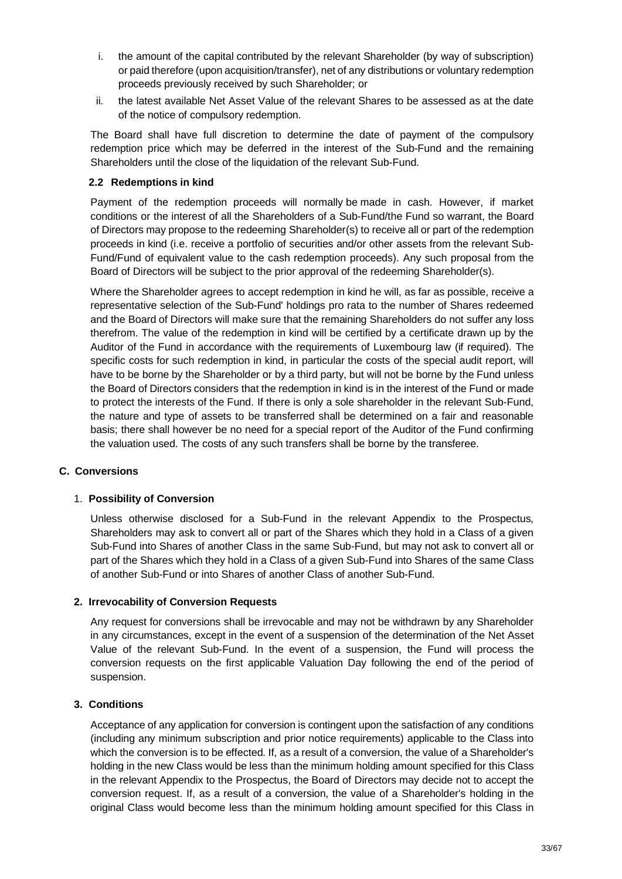- i. the amount of the capital contributed by the relevant Shareholder (by way of subscription) or paid therefore (upon acquisition/transfer), net of any distributions or voluntary redemption proceeds previously received by such Shareholder; or
- ii. the latest available Net Asset Value of the relevant Shares to be assessed as at the date of the notice of compulsory redemption.

The Board shall have full discretion to determine the date of payment of the compulsory redemption price which may be deferred in the interest of the Sub-Fund and the remaining Shareholders until the close of the liquidation of the relevant Sub-Fund.

## **2.2 Redemptions in kind**

Payment of the redemption proceeds will normally be made in cash. However, if market conditions or the interest of all the Shareholders of a Sub-Fund/the Fund so warrant, the Board of Directors may propose to the redeeming Shareholder(s) to receive all or part of the redemption proceeds in kind (i.e. receive a portfolio of securities and/or other assets from the relevant Sub-Fund/Fund of equivalent value to the cash redemption proceeds). Any such proposal from the Board of Directors will be subject to the prior approval of the redeeming Shareholder(s).

Where the Shareholder agrees to accept redemption in kind he will, as far as possible, receive a representative selection of the Sub-Fund' holdings pro rata to the number of Shares redeemed and the Board of Directors will make sure that the remaining Shareholders do not suffer any loss therefrom. The value of the redemption in kind will be certified by a certificate drawn up by the Auditor of the Fund in accordance with the requirements of Luxembourg law (if required). The specific costs for such redemption in kind, in particular the costs of the special audit report, will have to be borne by the Shareholder or by a third party, but will not be borne by the Fund unless the Board of Directors considers that the redemption in kind is in the interest of the Fund or made to protect the interests of the Fund. If there is only a sole shareholder in the relevant Sub-Fund, the nature and type of assets to be transferred shall be determined on a fair and reasonable basis; there shall however be no need for a special report of the Auditor of the Fund confirming the valuation used. The costs of any such transfers shall be borne by the transferee.

## **C. Conversions**

# 1. **Possibility of Conversion**

Unless otherwise disclosed for a Sub-Fund in the relevant Appendix to the Prospectus, Shareholders may ask to convert all or part of the Shares which they hold in a Class of a given Sub-Fund into Shares of another Class in the same Sub-Fund, but may not ask to convert all or part of the Shares which they hold in a Class of a given Sub-Fund into Shares of the same Class of another Sub-Fund or into Shares of another Class of another Sub-Fund.

## **2. Irrevocability of Conversion Requests**

Any request for conversions shall be irrevocable and may not be withdrawn by any Shareholder in any circumstances, except in the event of a suspension of the determination of the Net Asset Value of the relevant Sub-Fund. In the event of a suspension, the Fund will process the conversion requests on the first applicable Valuation Day following the end of the period of suspension.

## **3. Conditions**

Acceptance of any application for conversion is contingent upon the satisfaction of any conditions (including any minimum subscription and prior notice requirements) applicable to the Class into which the conversion is to be effected. If, as a result of a conversion, the value of a Shareholder's holding in the new Class would be less than the minimum holding amount specified for this Class in the relevant Appendix to the Prospectus, the Board of Directors may decide not to accept the conversion request. If, as a result of a conversion, the value of a Shareholder's holding in the original Class would become less than the minimum holding amount specified for this Class in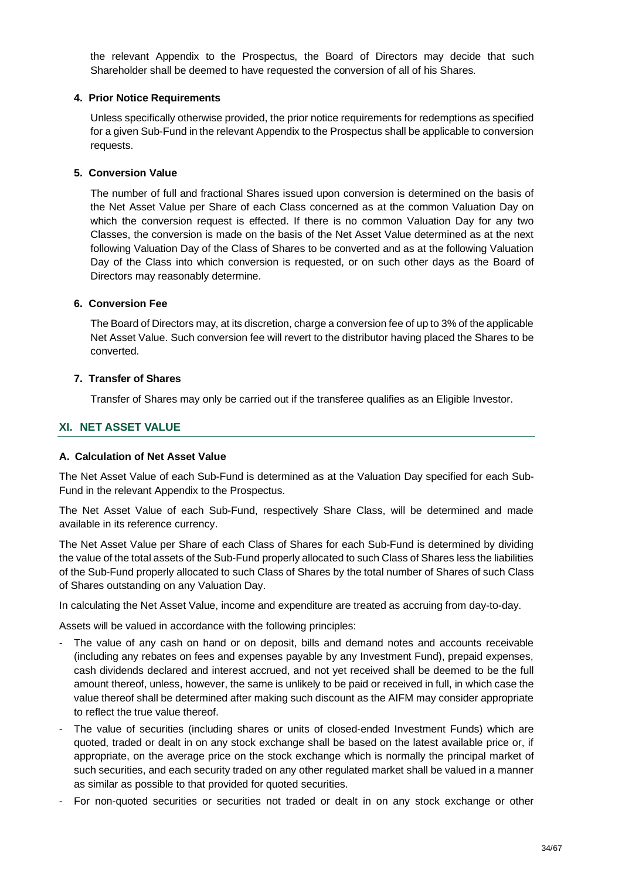the relevant Appendix to the Prospectus, the Board of Directors may decide that such Shareholder shall be deemed to have requested the conversion of all of his Shares.

## **4. Prior Notice Requirements**

Unless specifically otherwise provided, the prior notice requirements for redemptions as specified for a given Sub-Fund in the relevant Appendix to the Prospectus shall be applicable to conversion requests.

## **5. Conversion Value**

The number of full and fractional Shares issued upon conversion is determined on the basis of the Net Asset Value per Share of each Class concerned as at the common Valuation Day on which the conversion request is effected. If there is no common Valuation Day for any two Classes, the conversion is made on the basis of the Net Asset Value determined as at the next following Valuation Day of the Class of Shares to be converted and as at the following Valuation Day of the Class into which conversion is requested, or on such other days as the Board of Directors may reasonably determine.

## **6. Conversion Fee**

The Board of Directors may, at its discretion, charge a conversion fee of up to 3% of the applicable Net Asset Value. Such conversion fee will revert to the distributor having placed the Shares to be converted.

## **7. Transfer of Shares**

Transfer of Shares may only be carried out if the transferee qualifies as an Eligible Investor.

# **XI. NET ASSET VALUE**

## **A. Calculation of Net Asset Value**

The Net Asset Value of each Sub-Fund is determined as at the Valuation Day specified for each Sub-Fund in the relevant Appendix to the Prospectus.

The Net Asset Value of each Sub-Fund, respectively Share Class, will be determined and made available in its reference currency.

The Net Asset Value per Share of each Class of Shares for each Sub-Fund is determined by dividing the value of the total assets of the Sub-Fund properly allocated to such Class of Shares less the liabilities of the Sub-Fund properly allocated to such Class of Shares by the total number of Shares of such Class of Shares outstanding on any Valuation Day.

In calculating the Net Asset Value, income and expenditure are treated as accruing from day-to-day.

Assets will be valued in accordance with the following principles:

- The value of any cash on hand or on deposit, bills and demand notes and accounts receivable (including any rebates on fees and expenses payable by any Investment Fund), prepaid expenses, cash dividends declared and interest accrued, and not yet received shall be deemed to be the full amount thereof, unless, however, the same is unlikely to be paid or received in full, in which case the value thereof shall be determined after making such discount as the AIFM may consider appropriate to reflect the true value thereof.
- The value of securities (including shares or units of closed-ended Investment Funds) which are quoted, traded or dealt in on any stock exchange shall be based on the latest available price or, if appropriate, on the average price on the stock exchange which is normally the principal market of such securities, and each security traded on any other regulated market shall be valued in a manner as similar as possible to that provided for quoted securities.
- For non-quoted securities or securities not traded or dealt in on any stock exchange or other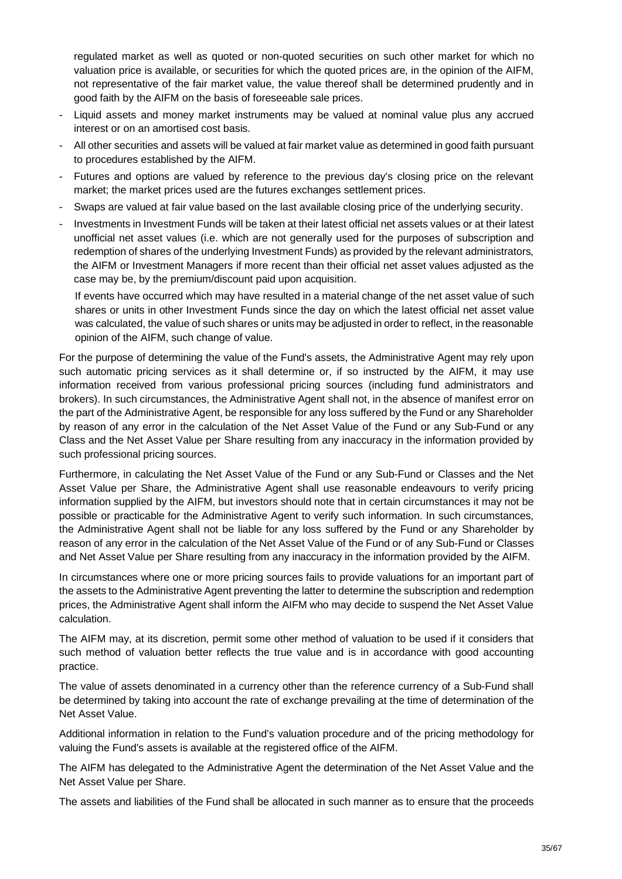regulated market as well as quoted or non-quoted securities on such other market for which no valuation price is available, or securities for which the quoted prices are, in the opinion of the AIFM, not representative of the fair market value, the value thereof shall be determined prudently and in good faith by the AIFM on the basis of foreseeable sale prices.

- Liquid assets and money market instruments may be valued at nominal value plus any accrued interest or on an amortised cost basis.
- All other securities and assets will be valued at fair market value as determined in good faith pursuant to procedures established by the AIFM.
- Futures and options are valued by reference to the previous day's closing price on the relevant market; the market prices used are the futures exchanges settlement prices.
- Swaps are valued at fair value based on the last available closing price of the underlying security.
- Investments in Investment Funds will be taken at their latest official net assets values or at their latest unofficial net asset values (i.e. which are not generally used for the purposes of subscription and redemption of shares of the underlying Investment Funds) as provided by the relevant administrators, the AIFM or Investment Managers if more recent than their official net asset values adjusted as the case may be, by the premium/discount paid upon acquisition.

If events have occurred which may have resulted in a material change of the net asset value of such shares or units in other Investment Funds since the day on which the latest official net asset value was calculated, the value of such shares or units may be adjusted in order to reflect, in the reasonable opinion of the AIFM, such change of value.

For the purpose of determining the value of the Fund's assets, the Administrative Agent may rely upon such automatic pricing services as it shall determine or, if so instructed by the AIFM, it may use information received from various professional pricing sources (including fund administrators and brokers). In such circumstances, the Administrative Agent shall not, in the absence of manifest error on the part of the Administrative Agent, be responsible for any loss suffered by the Fund or any Shareholder by reason of any error in the calculation of the Net Asset Value of the Fund or any Sub-Fund or any Class and the Net Asset Value per Share resulting from any inaccuracy in the information provided by such professional pricing sources.

Furthermore, in calculating the Net Asset Value of the Fund or any Sub-Fund or Classes and the Net Asset Value per Share, the Administrative Agent shall use reasonable endeavours to verify pricing information supplied by the AIFM, but investors should note that in certain circumstances it may not be possible or practicable for the Administrative Agent to verify such information. In such circumstances, the Administrative Agent shall not be liable for any loss suffered by the Fund or any Shareholder by reason of any error in the calculation of the Net Asset Value of the Fund or of any Sub-Fund or Classes and Net Asset Value per Share resulting from any inaccuracy in the information provided by the AIFM.

In circumstances where one or more pricing sources fails to provide valuations for an important part of the assets to the Administrative Agent preventing the latter to determine the subscription and redemption prices, the Administrative Agent shall inform the AIFM who may decide to suspend the Net Asset Value calculation.

The AIFM may, at its discretion, permit some other method of valuation to be used if it considers that such method of valuation better reflects the true value and is in accordance with good accounting practice.

The value of assets denominated in a currency other than the reference currency of a Sub-Fund shall be determined by taking into account the rate of exchange prevailing at the time of determination of the Net Asset Value.

Additional information in relation to the Fund's valuation procedure and of the pricing methodology for valuing the Fund's assets is available at the registered office of the AIFM.

The AIFM has delegated to the Administrative Agent the determination of the Net Asset Value and the Net Asset Value per Share.

The assets and liabilities of the Fund shall be allocated in such manner as to ensure that the proceeds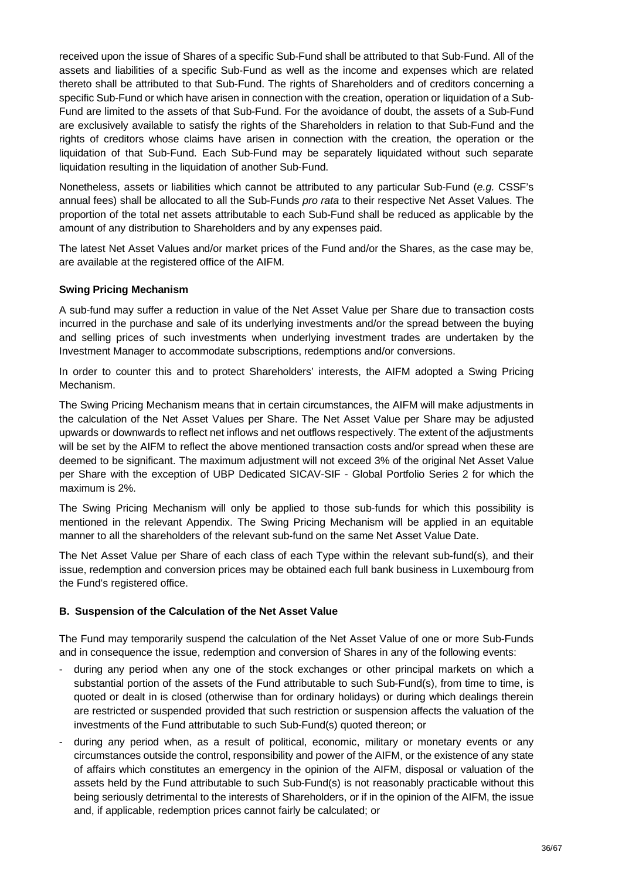received upon the issue of Shares of a specific Sub-Fund shall be attributed to that Sub-Fund. All of the assets and liabilities of a specific Sub-Fund as well as the income and expenses which are related thereto shall be attributed to that Sub-Fund. The rights of Shareholders and of creditors concerning a specific Sub-Fund or which have arisen in connection with the creation, operation or liquidation of a Sub-Fund are limited to the assets of that Sub-Fund. For the avoidance of doubt, the assets of a Sub-Fund are exclusively available to satisfy the rights of the Shareholders in relation to that Sub-Fund and the rights of creditors whose claims have arisen in connection with the creation, the operation or the liquidation of that Sub-Fund. Each Sub-Fund may be separately liquidated without such separate liquidation resulting in the liquidation of another Sub-Fund.

Nonetheless, assets or liabilities which cannot be attributed to any particular Sub-Fund (*e.g.* CSSF's annual fees) shall be allocated to all the Sub-Funds *pro rata* to their respective Net Asset Values. The proportion of the total net assets attributable to each Sub-Fund shall be reduced as applicable by the amount of any distribution to Shareholders and by any expenses paid.

The latest Net Asset Values and/or market prices of the Fund and/or the Shares, as the case may be, are available at the registered office of the AIFM.

## **Swing Pricing Mechanism**

A sub-fund may suffer a reduction in value of the Net Asset Value per Share due to transaction costs incurred in the purchase and sale of its underlying investments and/or the spread between the buying and selling prices of such investments when underlying investment trades are undertaken by the Investment Manager to accommodate subscriptions, redemptions and/or conversions.

In order to counter this and to protect Shareholders' interests, the AIFM adopted a Swing Pricing Mechanism.

The Swing Pricing Mechanism means that in certain circumstances, the AIFM will make adjustments in the calculation of the Net Asset Values per Share. The Net Asset Value per Share may be adjusted upwards or downwards to reflect net inflows and net outflows respectively. The extent of the adjustments will be set by the AIFM to reflect the above mentioned transaction costs and/or spread when these are deemed to be significant. The maximum adjustment will not exceed 3% of the original Net Asset Value per Share with the exception of UBP Dedicated SICAV-SIF - Global Portfolio Series 2 for which the maximum is 2%.

The Swing Pricing Mechanism will only be applied to those sub-funds for which this possibility is mentioned in the relevant Appendix. The Swing Pricing Mechanism will be applied in an equitable manner to all the shareholders of the relevant sub-fund on the same Net Asset Value Date.

The Net Asset Value per Share of each class of each Type within the relevant sub-fund(s), and their issue, redemption and conversion prices may be obtained each full bank business in Luxembourg from the Fund's registered office.

## **B. Suspension of the Calculation of the Net Asset Value**

The Fund may temporarily suspend the calculation of the Net Asset Value of one or more Sub-Funds and in consequence the issue, redemption and conversion of Shares in any of the following events:

- during any period when any one of the stock exchanges or other principal markets on which a substantial portion of the assets of the Fund attributable to such Sub-Fund(s), from time to time, is quoted or dealt in is closed (otherwise than for ordinary holidays) or during which dealings therein are restricted or suspended provided that such restriction or suspension affects the valuation of the investments of the Fund attributable to such Sub-Fund(s) quoted thereon; or
- during any period when, as a result of political, economic, military or monetary events or any circumstances outside the control, responsibility and power of the AIFM, or the existence of any state of affairs which constitutes an emergency in the opinion of the AIFM, disposal or valuation of the assets held by the Fund attributable to such Sub-Fund(s) is not reasonably practicable without this being seriously detrimental to the interests of Shareholders, or if in the opinion of the AIFM, the issue and, if applicable, redemption prices cannot fairly be calculated; or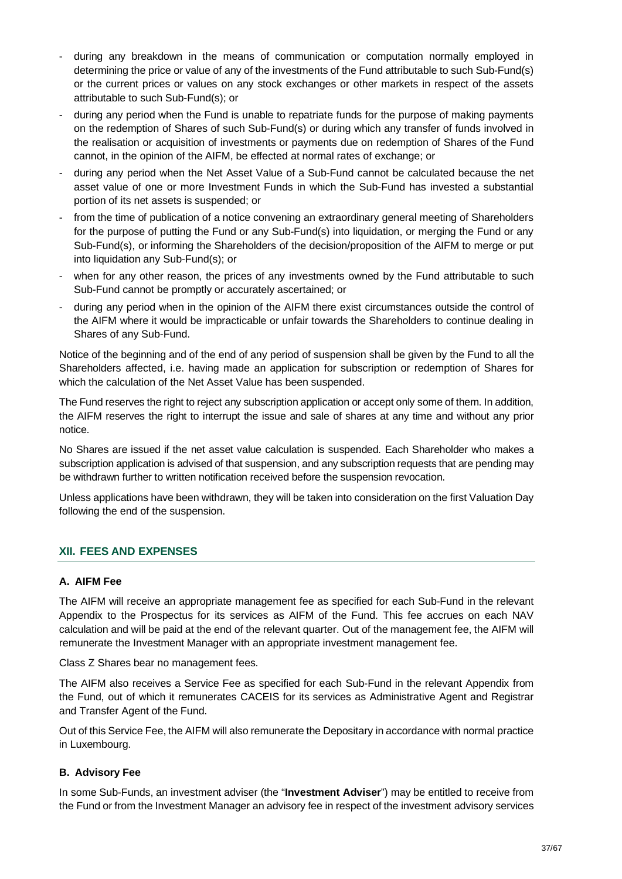- during any breakdown in the means of communication or computation normally employed in determining the price or value of any of the investments of the Fund attributable to such Sub-Fund(s) or the current prices or values on any stock exchanges or other markets in respect of the assets attributable to such Sub-Fund(s); or
- during any period when the Fund is unable to repatriate funds for the purpose of making payments on the redemption of Shares of such Sub-Fund(s) or during which any transfer of funds involved in the realisation or acquisition of investments or payments due on redemption of Shares of the Fund cannot, in the opinion of the AIFM, be effected at normal rates of exchange; or
- during any period when the Net Asset Value of a Sub-Fund cannot be calculated because the net asset value of one or more Investment Funds in which the Sub-Fund has invested a substantial portion of its net assets is suspended; or
- from the time of publication of a notice convening an extraordinary general meeting of Shareholders for the purpose of putting the Fund or any Sub-Fund(s) into liquidation, or merging the Fund or any Sub-Fund(s), or informing the Shareholders of the decision/proposition of the AIFM to merge or put into liquidation any Sub-Fund(s); or
- when for any other reason, the prices of any investments owned by the Fund attributable to such Sub-Fund cannot be promptly or accurately ascertained; or
- during any period when in the opinion of the AIFM there exist circumstances outside the control of the AIFM where it would be impracticable or unfair towards the Shareholders to continue dealing in Shares of any Sub-Fund.

Notice of the beginning and of the end of any period of suspension shall be given by the Fund to all the Shareholders affected, i.e. having made an application for subscription or redemption of Shares for which the calculation of the Net Asset Value has been suspended.

The Fund reserves the right to reject any subscription application or accept only some of them. In addition, the AIFM reserves the right to interrupt the issue and sale of shares at any time and without any prior notice.

No Shares are issued if the net asset value calculation is suspended. Each Shareholder who makes a subscription application is advised of that suspension, and any subscription requests that are pending may be withdrawn further to written notification received before the suspension revocation.

Unless applications have been withdrawn, they will be taken into consideration on the first Valuation Day following the end of the suspension.

# **XII. FEES AND EXPENSES**

## **A. AIFM Fee**

The AIFM will receive an appropriate management fee as specified for each Sub-Fund in the relevant Appendix to the Prospectus for its services as AIFM of the Fund. This fee accrues on each NAV calculation and will be paid at the end of the relevant quarter. Out of the management fee, the AIFM will remunerate the Investment Manager with an appropriate investment management fee.

Class Z Shares bear no management fees.

The AIFM also receives a Service Fee as specified for each Sub-Fund in the relevant Appendix from the Fund, out of which it remunerates CACEIS for its services as Administrative Agent and Registrar and Transfer Agent of the Fund.

Out of this Service Fee, the AIFM will also remunerate the Depositary in accordance with normal practice in Luxembourg.

## **B. Advisory Fee**

In some Sub-Funds, an investment adviser (the "**Investment Adviser**") may be entitled to receive from the Fund or from the Investment Manager an advisory fee in respect of the investment advisory services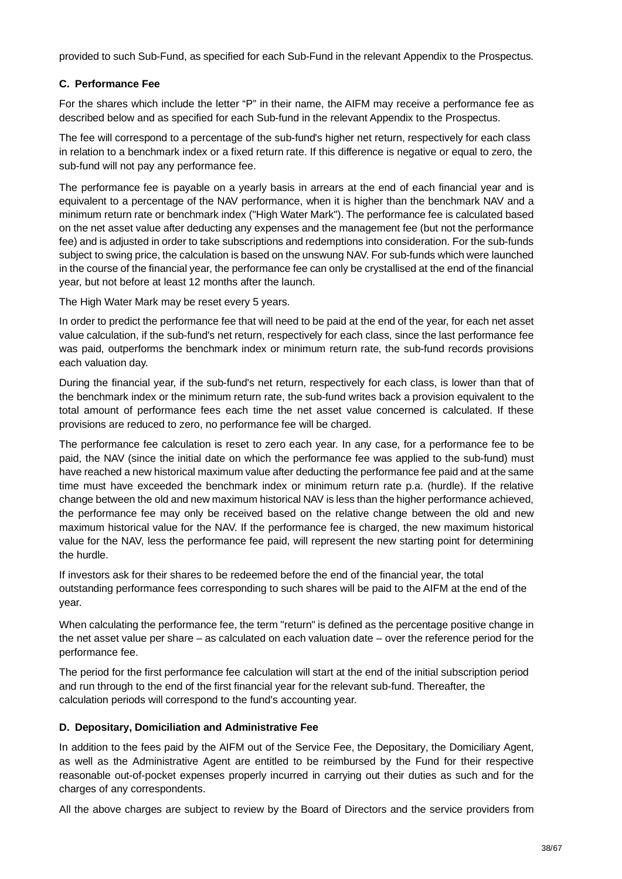provided to such Sub-Fund, as specified for each Sub-Fund in the relevant Appendix to the Prospectus.

# **C. Performance Fee**

For the shares which include the letter "P" in their name, the AIFM may receive a performance fee as described below and as specified for each Sub-fund in the relevant Appendix to the Prospectus.

The fee will correspond to a percentage of the sub-fund's higher net return, respectively for each class in relation to a benchmark index or a fixed return rate. If this difference is negative or equal to zero, the sub-fund will not pay any performance fee.

The performance fee is payable on a yearly basis in arrears at the end of each financial year and is equivalent to a percentage of the NAV performance, when it is higher than the benchmark NAV and a minimum return rate or benchmark index ("High Water Mark"). The performance fee is calculated based on the net asset value after deducting any expenses and the management fee (but not the performance fee) and is adjusted in order to take subscriptions and redemptions into consideration. For the sub-funds subject to swing price, the calculation is based on the unswung NAV. For sub-funds which were launched in the course of the financial year, the performance fee can only be crystallised at the end of the financial year, but not before at least 12 months after the launch.

The High Water Mark may be reset every 5 years.

In order to predict the performance fee that will need to be paid at the end of the year, for each net asset value calculation, if the sub-fund's net return, respectively for each class, since the last performance fee was paid, outperforms the benchmark index or minimum return rate, the sub-fund records provisions each valuation day.

During the financial year, if the sub-fund's net return, respectively for each class, is lower than that of the benchmark index or the minimum return rate, the sub-fund writes back a provision equivalent to the total amount of performance fees each time the net asset value concerned is calculated. If these provisions are reduced to zero, no performance fee will be charged.

The performance fee calculation is reset to zero each year. In any case, for a performance fee to be paid, the NAV (since the initial date on which the performance fee was applied to the sub-fund) must have reached a new historical maximum value after deducting the performance fee paid and at the same time must have exceeded the benchmark index or minimum return rate p.a. (hurdle). If the relative change between the old and new maximum historical NAV is less than the higher performance achieved, the performance fee may only be received based on the relative change between the old and new maximum historical value for the NAV. If the performance fee is charged, the new maximum historical value for the NAV, less the performance fee paid, will represent the new starting point for determining the hurdle.

If investors ask for their shares to be redeemed before the end of the financial year, the total outstanding performance fees corresponding to such shares will be paid to the AIFM at the end of the year.

When calculating the performance fee, the term "return" is defined as the percentage positive change in the net asset value per share – as calculated on each valuation date – over the reference period for the performance fee.

The period for the first performance fee calculation will start at the end of the initial subscription period and run through to the end of the first financial year for the relevant sub-fund. Thereafter, the calculation periods will correspond to the fund's accounting year.

# **D. Depositary, Domiciliation and Administrative Fee**

In addition to the fees paid by the AIFM out of the Service Fee, the Depositary, the Domiciliary Agent, as well as the Administrative Agent are entitled to be reimbursed by the Fund for their respective reasonable out-of-pocket expenses properly incurred in carrying out their duties as such and for the charges of any correspondents.

All the above charges are subject to review by the Board of Directors and the service providers from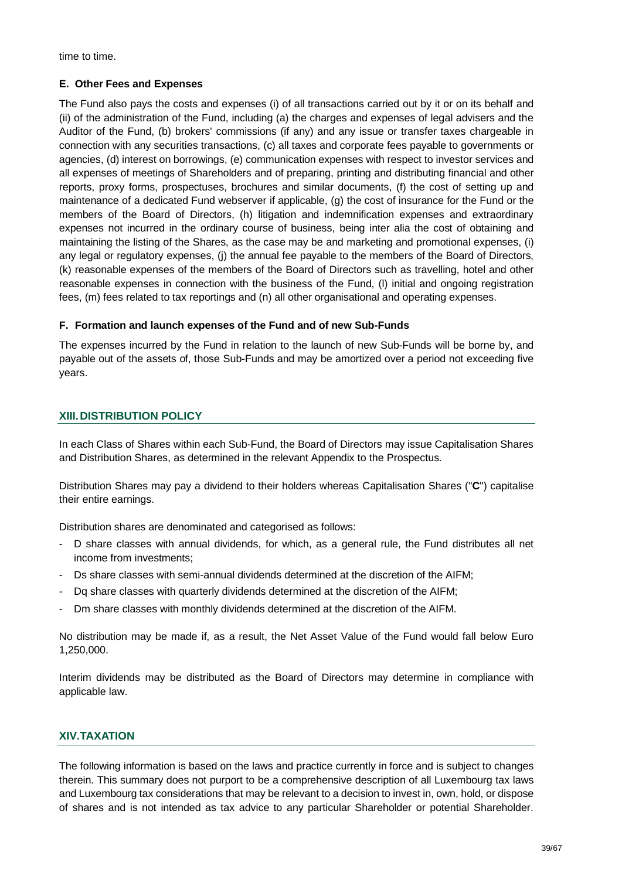time to time.

# **E. Other Fees and Expenses**

The Fund also pays the costs and expenses (i) of all transactions carried out by it or on its behalf and (ii) of the administration of the Fund, including (a) the charges and expenses of legal advisers and the Auditor of the Fund, (b) brokers' commissions (if any) and any issue or transfer taxes chargeable in connection with any securities transactions, (c) all taxes and corporate fees payable to governments or agencies, (d) interest on borrowings, (e) communication expenses with respect to investor services and all expenses of meetings of Shareholders and of preparing, printing and distributing financial and other reports, proxy forms, prospectuses, brochures and similar documents, (f) the cost of setting up and maintenance of a dedicated Fund webserver if applicable, (g) the cost of insurance for the Fund or the members of the Board of Directors, (h) litigation and indemnification expenses and extraordinary expenses not incurred in the ordinary course of business, being inter alia the cost of obtaining and maintaining the listing of the Shares, as the case may be and marketing and promotional expenses, (i) any legal or regulatory expenses, (j) the annual fee payable to the members of the Board of Directors, (k) reasonable expenses of the members of the Board of Directors such as travelling, hotel and other reasonable expenses in connection with the business of the Fund, (l) initial and ongoing registration fees, (m) fees related to tax reportings and (n) all other organisational and operating expenses.

## **F. Formation and launch expenses of the Fund and of new Sub-Funds**

The expenses incurred by the Fund in relation to the launch of new Sub-Funds will be borne by, and payable out of the assets of, those Sub-Funds and may be amortized over a period not exceeding five years.

# **XIII. DISTRIBUTION POLICY**

In each Class of Shares within each Sub-Fund, the Board of Directors may issue Capitalisation Shares and Distribution Shares, as determined in the relevant Appendix to the Prospectus.

Distribution Shares may pay a dividend to their holders whereas Capitalisation Shares ("**C**") capitalise their entire earnings.

Distribution shares are denominated and categorised as follows:

- D share classes with annual dividends, for which, as a general rule, the Fund distributes all net income from investments;
- Ds share classes with semi-annual dividends determined at the discretion of the AIFM;
- Dq share classes with quarterly dividends determined at the discretion of the AIFM;
- Dm share classes with monthly dividends determined at the discretion of the AIFM.

No distribution may be made if, as a result, the Net Asset Value of the Fund would fall below Euro 1,250,000.

Interim dividends may be distributed as the Board of Directors may determine in compliance with applicable law.

# **XIV.TAXATION**

The following information is based on the laws and practice currently in force and is subject to changes therein. This summary does not purport to be a comprehensive description of all Luxembourg tax laws and Luxembourg tax considerations that may be relevant to a decision to invest in, own, hold, or dispose of shares and is not intended as tax advice to any particular Shareholder or potential Shareholder.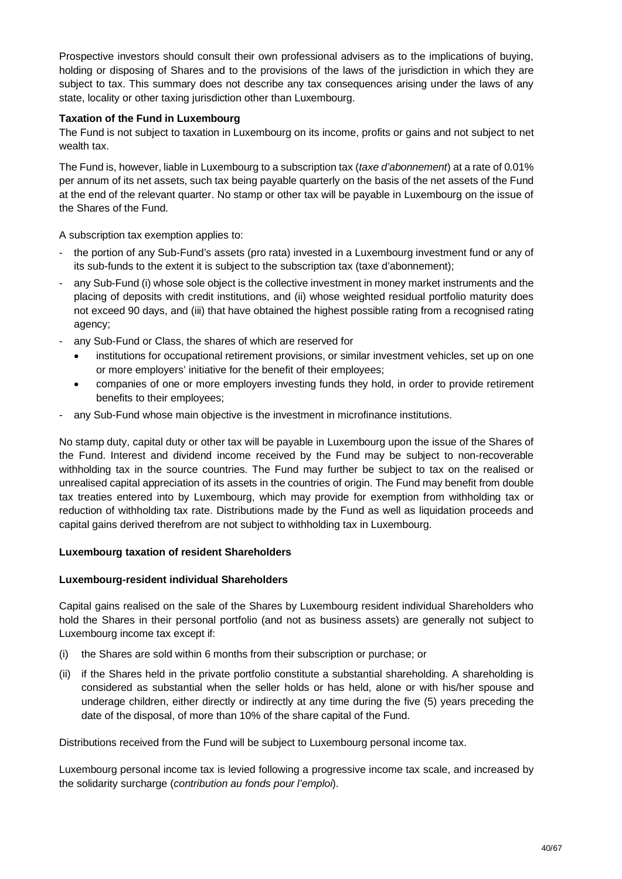Prospective investors should consult their own professional advisers as to the implications of buying, holding or disposing of Shares and to the provisions of the laws of the jurisdiction in which they are subject to tax. This summary does not describe any tax consequences arising under the laws of any state, locality or other taxing jurisdiction other than Luxembourg.

## **Taxation of the Fund in Luxembourg**

The Fund is not subject to taxation in Luxembourg on its income, profits or gains and not subject to net wealth tax.

The Fund is, however, liable in Luxembourg to a subscription tax (*taxe d'abonnement*) at a rate of 0.01% per annum of its net assets, such tax being payable quarterly on the basis of the net assets of the Fund at the end of the relevant quarter. No stamp or other tax will be payable in Luxembourg on the issue of the Shares of the Fund.

A subscription tax exemption applies to:

- the portion of any Sub-Fund's assets (pro rata) invested in a Luxembourg investment fund or any of its sub-funds to the extent it is subject to the subscription tax (taxe d'abonnement);
- any Sub-Fund (i) whose sole object is the collective investment in money market instruments and the placing of deposits with credit institutions, and (ii) whose weighted residual portfolio maturity does not exceed 90 days, and (iii) that have obtained the highest possible rating from a recognised rating agency;
- any Sub-Fund or Class, the shares of which are reserved for
	- institutions for occupational retirement provisions, or similar investment vehicles, set up on one or more employers' initiative for the benefit of their employees;
	- · companies of one or more employers investing funds they hold, in order to provide retirement benefits to their employees;
- any Sub-Fund whose main objective is the investment in microfinance institutions.

No stamp duty, capital duty or other tax will be payable in Luxembourg upon the issue of the Shares of the Fund. Interest and dividend income received by the Fund may be subject to non-recoverable withholding tax in the source countries. The Fund may further be subject to tax on the realised or unrealised capital appreciation of its assets in the countries of origin. The Fund may benefit from double tax treaties entered into by Luxembourg, which may provide for exemption from withholding tax or reduction of withholding tax rate. Distributions made by the Fund as well as liquidation proceeds and capital gains derived therefrom are not subject to withholding tax in Luxembourg.

## **Luxembourg taxation of resident Shareholders**

## **Luxembourg-resident individual Shareholders**

Capital gains realised on the sale of the Shares by Luxembourg resident individual Shareholders who hold the Shares in their personal portfolio (and not as business assets) are generally not subject to Luxembourg income tax except if:

- (i) the Shares are sold within 6 months from their subscription or purchase; or
- (ii) if the Shares held in the private portfolio constitute a substantial shareholding. A shareholding is considered as substantial when the seller holds or has held, alone or with his/her spouse and underage children, either directly or indirectly at any time during the five (5) years preceding the date of the disposal, of more than 10% of the share capital of the Fund.

Distributions received from the Fund will be subject to Luxembourg personal income tax.

Luxembourg personal income tax is levied following a progressive income tax scale, and increased by the solidarity surcharge (*contribution au fonds pour l'emploi*).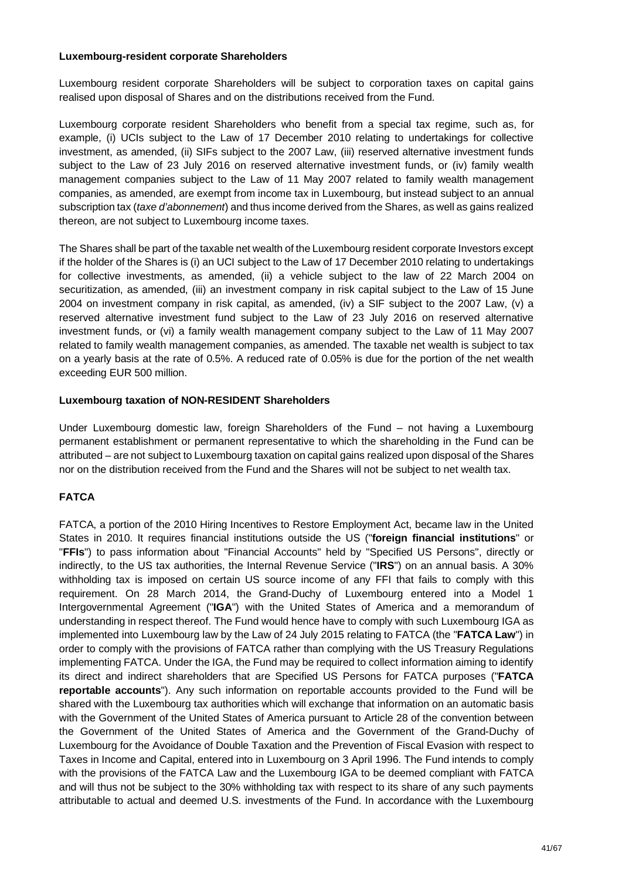#### **Luxembourg-resident corporate Shareholders**

Luxembourg resident corporate Shareholders will be subject to corporation taxes on capital gains realised upon disposal of Shares and on the distributions received from the Fund.

Luxembourg corporate resident Shareholders who benefit from a special tax regime, such as, for example, (i) UCIs subject to the Law of 17 December 2010 relating to undertakings for collective investment, as amended, (ii) SIFs subject to the 2007 Law, (iii) reserved alternative investment funds subject to the Law of 23 July 2016 on reserved alternative investment funds, or (iv) family wealth management companies subject to the Law of 11 May 2007 related to family wealth management companies, as amended, are exempt from income tax in Luxembourg, but instead subject to an annual subscription tax (*taxe d'abonnement*) and thus income derived from the Shares, as well as gains realized thereon, are not subject to Luxembourg income taxes.

The Shares shall be part of the taxable net wealth of the Luxembourg resident corporate Investors except if the holder of the Shares is (i) an UCI subject to the Law of 17 December 2010 relating to undertakings for collective investments, as amended, (ii) a vehicle subject to the law of 22 March 2004 on securitization, as amended, (iii) an investment company in risk capital subject to the Law of 15 June 2004 on investment company in risk capital, as amended, (iv) a SIF subject to the 2007 Law, (v) a reserved alternative investment fund subject to the Law of 23 July 2016 on reserved alternative investment funds, or (vi) a family wealth management company subject to the Law of 11 May 2007 related to family wealth management companies, as amended. The taxable net wealth is subject to tax on a yearly basis at the rate of 0.5%. A reduced rate of 0.05% is due for the portion of the net wealth exceeding EUR 500 million.

## **Luxembourg taxation of NON-RESIDENT Shareholders**

Under Luxembourg domestic law, foreign Shareholders of the Fund – not having a Luxembourg permanent establishment or permanent representative to which the shareholding in the Fund can be attributed – are not subject to Luxembourg taxation on capital gains realized upon disposal of the Shares nor on the distribution received from the Fund and the Shares will not be subject to net wealth tax.

# **FATCA**

FATCA, a portion of the 2010 Hiring Incentives to Restore Employment Act, became law in the United States in 2010. It requires financial institutions outside the US ("**foreign financial institutions**" or "**FFIs**") to pass information about "Financial Accounts" held by "Specified US Persons", directly or indirectly, to the US tax authorities, the Internal Revenue Service ("**IRS**") on an annual basis. A 30% withholding tax is imposed on certain US source income of any FFI that fails to comply with this requirement. On 28 March 2014, the Grand-Duchy of Luxembourg entered into a Model 1 Intergovernmental Agreement ("**IGA**") with the United States of America and a memorandum of understanding in respect thereof. The Fund would hence have to comply with such Luxembourg IGA as implemented into Luxembourg law by the Law of 24 July 2015 relating to FATCA (the "**FATCA Law**") in order to comply with the provisions of FATCA rather than complying with the US Treasury Regulations implementing FATCA. Under the IGA, the Fund may be required to collect information aiming to identify its direct and indirect shareholders that are Specified US Persons for FATCA purposes ("**FATCA reportable accounts**"). Any such information on reportable accounts provided to the Fund will be shared with the Luxembourg tax authorities which will exchange that information on an automatic basis with the Government of the United States of America pursuant to Article 28 of the convention between the Government of the United States of America and the Government of the Grand-Duchy of Luxembourg for the Avoidance of Double Taxation and the Prevention of Fiscal Evasion with respect to Taxes in Income and Capital, entered into in Luxembourg on 3 April 1996. The Fund intends to comply with the provisions of the FATCA Law and the Luxembourg IGA to be deemed compliant with FATCA and will thus not be subject to the 30% withholding tax with respect to its share of any such payments attributable to actual and deemed U.S. investments of the Fund. In accordance with the Luxembourg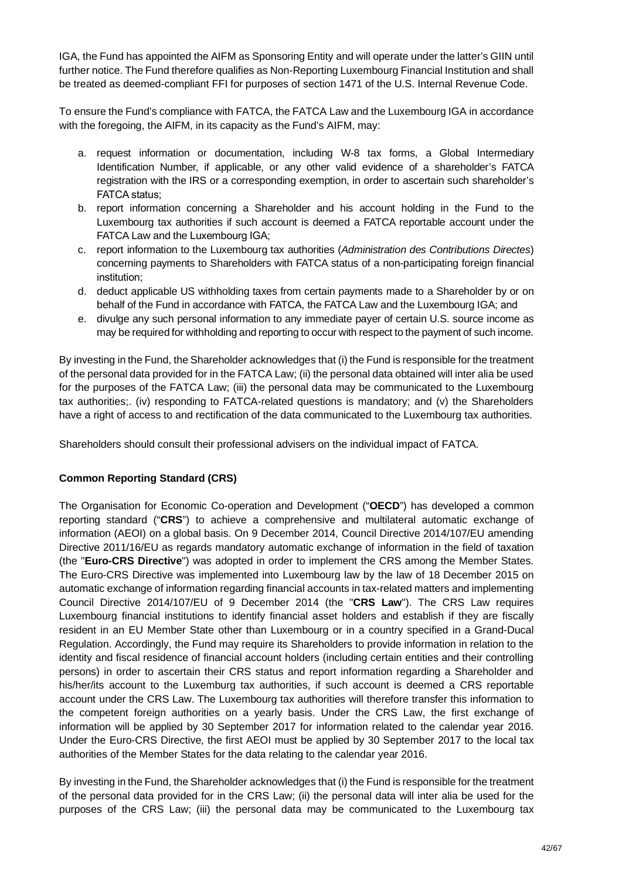IGA, the Fund has appointed the AIFM as Sponsoring Entity and will operate under the latter's GIIN until further notice. The Fund therefore qualifies as Non-Reporting Luxembourg Financial Institution and shall be treated as deemed-compliant FFI for purposes of section 1471 of the U.S. Internal Revenue Code.

To ensure the Fund's compliance with FATCA, the FATCA Law and the Luxembourg IGA in accordance with the foregoing, the AIFM, in its capacity as the Fund's AIFM, may:

- a. request information or documentation, including W-8 tax forms, a Global Intermediary Identification Number, if applicable, or any other valid evidence of a shareholder's FATCA registration with the IRS or a corresponding exemption, in order to ascertain such shareholder's FATCA status;
- b. report information concerning a Shareholder and his account holding in the Fund to the Luxembourg tax authorities if such account is deemed a FATCA reportable account under the FATCA Law and the Luxembourg IGA;
- c. report information to the Luxembourg tax authorities (*Administration des Contributions Directes*) concerning payments to Shareholders with FATCA status of a non-participating foreign financial institution;
- d. deduct applicable US withholding taxes from certain payments made to a Shareholder by or on behalf of the Fund in accordance with FATCA, the FATCA Law and the Luxembourg IGA; and
- e. divulge any such personal information to any immediate payer of certain U.S. source income as may be required for withholding and reporting to occur with respect to the payment of such income.

By investing in the Fund, the Shareholder acknowledges that (i) the Fund is responsible for the treatment of the personal data provided for in the FATCA Law; (ii) the personal data obtained will inter alia be used for the purposes of the FATCA Law; (iii) the personal data may be communicated to the Luxembourg tax authorities;. (iv) responding to FATCA-related questions is mandatory; and (v) the Shareholders have a right of access to and rectification of the data communicated to the Luxembourg tax authorities.

Shareholders should consult their professional advisers on the individual impact of FATCA.

# **Common Reporting Standard (CRS)**

The Organisation for Economic Co-operation and Development ("**OECD**") has developed a common reporting standard ("**CRS**") to achieve a comprehensive and multilateral automatic exchange of information (AEOI) on a global basis. On 9 December 2014, Council Directive 2014/107/EU amending Directive 2011/16/EU as regards mandatory automatic exchange of information in the field of taxation (the "**Euro-CRS Directive**") was adopted in order to implement the CRS among the Member States. The Euro-CRS Directive was implemented into Luxembourg law by the law of 18 December 2015 on automatic exchange of information regarding financial accounts in tax-related matters and implementing Council Directive 2014/107/EU of 9 December 2014 (the "**CRS Law**"). The CRS Law requires Luxembourg financial institutions to identify financial asset holders and establish if they are fiscally resident in an EU Member State other than Luxembourg or in a country specified in a Grand-Ducal Regulation. Accordingly, the Fund may require its Shareholders to provide information in relation to the identity and fiscal residence of financial account holders (including certain entities and their controlling persons) in order to ascertain their CRS status and report information regarding a Shareholder and his/her/its account to the Luxemburg tax authorities, if such account is deemed a CRS reportable account under the CRS Law. The Luxembourg tax authorities will therefore transfer this information to the competent foreign authorities on a yearly basis. Under the CRS Law, the first exchange of information will be applied by 30 September 2017 for information related to the calendar year 2016. Under the Euro-CRS Directive, the first AEOI must be applied by 30 September 2017 to the local tax authorities of the Member States for the data relating to the calendar year 2016.

By investing in the Fund, the Shareholder acknowledges that (i) the Fund is responsible for the treatment of the personal data provided for in the CRS Law; (ii) the personal data will inter alia be used for the purposes of the CRS Law; (iii) the personal data may be communicated to the Luxembourg tax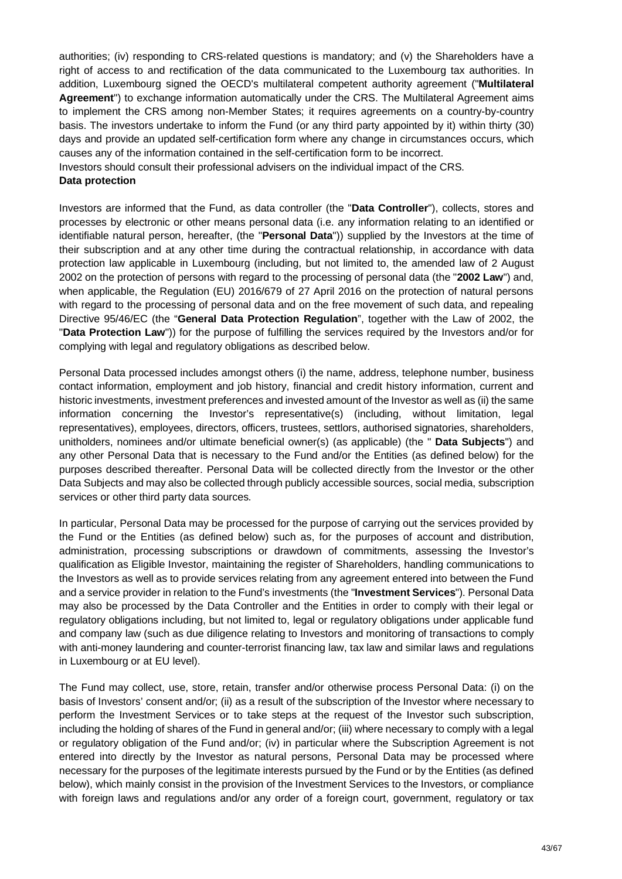authorities; (iv) responding to CRS-related questions is mandatory; and (v) the Shareholders have a right of access to and rectification of the data communicated to the Luxembourg tax authorities. In addition, Luxembourg signed the OECD's multilateral competent authority agreement ("**Multilateral Agreement**") to exchange information automatically under the CRS. The Multilateral Agreement aims to implement the CRS among non-Member States; it requires agreements on a country-by-country basis. The investors undertake to inform the Fund (or any third party appointed by it) within thirty (30) days and provide an updated self-certification form where any change in circumstances occurs, which causes any of the information contained in the self-certification form to be incorrect.

Investors should consult their professional advisers on the individual impact of the CRS.

## **Data protection**

Investors are informed that the Fund, as data controller (the "**Data Controller**"), collects, stores and processes by electronic or other means personal data (i.e. any information relating to an identified or identifiable natural person, hereafter, (the "**Personal Data**")) supplied by the Investors at the time of their subscription and at any other time during the contractual relationship, in accordance with data protection law applicable in Luxembourg (including, but not limited to, the amended law of 2 August 2002 on the protection of persons with regard to the processing of personal data (the "**2002 Law**") and, when applicable, the Regulation (EU) 2016/679 of 27 April 2016 on the protection of natural persons with regard to the processing of personal data and on the free movement of such data, and repealing Directive 95/46/EC (the "**General Data Protection Regulation**", together with the Law of 2002, the "**Data Protection Law**")) for the purpose of fulfilling the services required by the Investors and/or for complying with legal and regulatory obligations as described below.

Personal Data processed includes amongst others (i) the name, address, telephone number, business contact information, employment and job history, financial and credit history information, current and historic investments, investment preferences and invested amount of the Investor as well as (ii) the same information concerning the Investor's representative(s) (including, without limitation, legal representatives), employees, directors, officers, trustees, settlors, authorised signatories, shareholders, unitholders, nominees and/or ultimate beneficial owner(s) (as applicable) (the " **Data Subjects**") and any other Personal Data that is necessary to the Fund and/or the Entities (as defined below) for the purposes described thereafter. Personal Data will be collected directly from the Investor or the other Data Subjects and may also be collected through publicly accessible sources, social media, subscription services or other third party data sources.

In particular, Personal Data may be processed for the purpose of carrying out the services provided by the Fund or the Entities (as defined below) such as, for the purposes of account and distribution, administration, processing subscriptions or drawdown of commitments, assessing the Investor's qualification as Eligible Investor, maintaining the register of Shareholders, handling communications to the Investors as well as to provide services relating from any agreement entered into between the Fund and a service provider in relation to the Fund's investments (the "**Investment Services**"). Personal Data may also be processed by the Data Controller and the Entities in order to comply with their legal or regulatory obligations including, but not limited to, legal or regulatory obligations under applicable fund and company law (such as due diligence relating to Investors and monitoring of transactions to comply with anti-money laundering and counter-terrorist financing law, tax law and similar laws and regulations in Luxembourg or at EU level).

The Fund may collect, use, store, retain, transfer and/or otherwise process Personal Data: (i) on the basis of Investors' consent and/or; (ii) as a result of the subscription of the Investor where necessary to perform the Investment Services or to take steps at the request of the Investor such subscription, including the holding of shares of the Fund in general and/or; (iii) where necessary to comply with a legal or regulatory obligation of the Fund and/or; (iv) in particular where the Subscription Agreement is not entered into directly by the Investor as natural persons, Personal Data may be processed where necessary for the purposes of the legitimate interests pursued by the Fund or by the Entities (as defined below), which mainly consist in the provision of the Investment Services to the Investors, or compliance with foreign laws and regulations and/or any order of a foreign court, government, regulatory or tax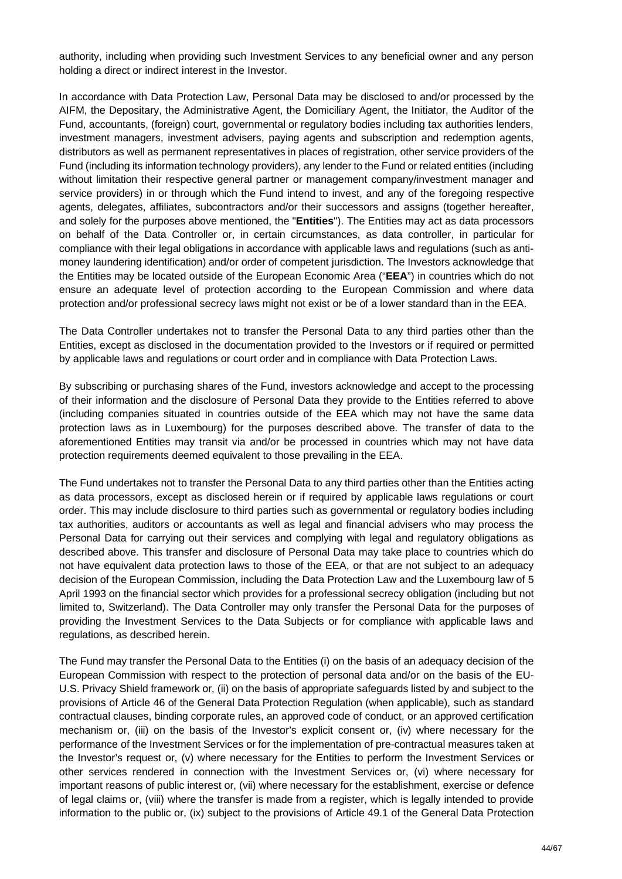authority, including when providing such Investment Services to any beneficial owner and any person holding a direct or indirect interest in the Investor.

In accordance with Data Protection Law, Personal Data may be disclosed to and/or processed by the AIFM, the Depositary, the Administrative Agent, the Domiciliary Agent, the Initiator, the Auditor of the Fund, accountants, (foreign) court, governmental or regulatory bodies including tax authorities lenders, investment managers, investment advisers, paying agents and subscription and redemption agents, distributors as well as permanent representatives in places of registration, other service providers of the Fund (including its information technology providers), any lender to the Fund or related entities (including without limitation their respective general partner or management company/investment manager and service providers) in or through which the Fund intend to invest, and any of the foregoing respective agents, delegates, affiliates, subcontractors and/or their successors and assigns (together hereafter, and solely for the purposes above mentioned, the "**Entities**"). The Entities may act as data processors on behalf of the Data Controller or, in certain circumstances, as data controller, in particular for compliance with their legal obligations in accordance with applicable laws and regulations (such as antimoney laundering identification) and/or order of competent jurisdiction. The Investors acknowledge that the Entities may be located outside of the European Economic Area ("**EEA**") in countries which do not ensure an adequate level of protection according to the European Commission and where data protection and/or professional secrecy laws might not exist or be of a lower standard than in the EEA.

The Data Controller undertakes not to transfer the Personal Data to any third parties other than the Entities, except as disclosed in the documentation provided to the Investors or if required or permitted by applicable laws and regulations or court order and in compliance with Data Protection Laws.

By subscribing or purchasing shares of the Fund, investors acknowledge and accept to the processing of their information and the disclosure of Personal Data they provide to the Entities referred to above (including companies situated in countries outside of the EEA which may not have the same data protection laws as in Luxembourg) for the purposes described above. The transfer of data to the aforementioned Entities may transit via and/or be processed in countries which may not have data protection requirements deemed equivalent to those prevailing in the EEA.

The Fund undertakes not to transfer the Personal Data to any third parties other than the Entities acting as data processors, except as disclosed herein or if required by applicable laws regulations or court order. This may include disclosure to third parties such as governmental or regulatory bodies including tax authorities, auditors or accountants as well as legal and financial advisers who may process the Personal Data for carrying out their services and complying with legal and regulatory obligations as described above. This transfer and disclosure of Personal Data may take place to countries which do not have equivalent data protection laws to those of the EEA, or that are not subject to an adequacy decision of the European Commission, including the Data Protection Law and the Luxembourg law of 5 April 1993 on the financial sector which provides for a professional secrecy obligation (including but not limited to, Switzerland). The Data Controller may only transfer the Personal Data for the purposes of providing the Investment Services to the Data Subjects or for compliance with applicable laws and regulations, as described herein.

The Fund may transfer the Personal Data to the Entities (i) on the basis of an adequacy decision of the European Commission with respect to the protection of personal data and/or on the basis of the EU-U.S. Privacy Shield framework or, (ii) on the basis of appropriate safeguards listed by and subject to the provisions of Article 46 of the General Data Protection Regulation (when applicable), such as standard contractual clauses, binding corporate rules, an approved code of conduct, or an approved certification mechanism or, (iii) on the basis of the Investor's explicit consent or, (iv) where necessary for the performance of the Investment Services or for the implementation of pre-contractual measures taken at the Investor's request or, (v) where necessary for the Entities to perform the Investment Services or other services rendered in connection with the Investment Services or, (vi) where necessary for important reasons of public interest or, (vii) where necessary for the establishment, exercise or defence of legal claims or, (viii) where the transfer is made from a register, which is legally intended to provide information to the public or, (ix) subject to the provisions of Article 49.1 of the General Data Protection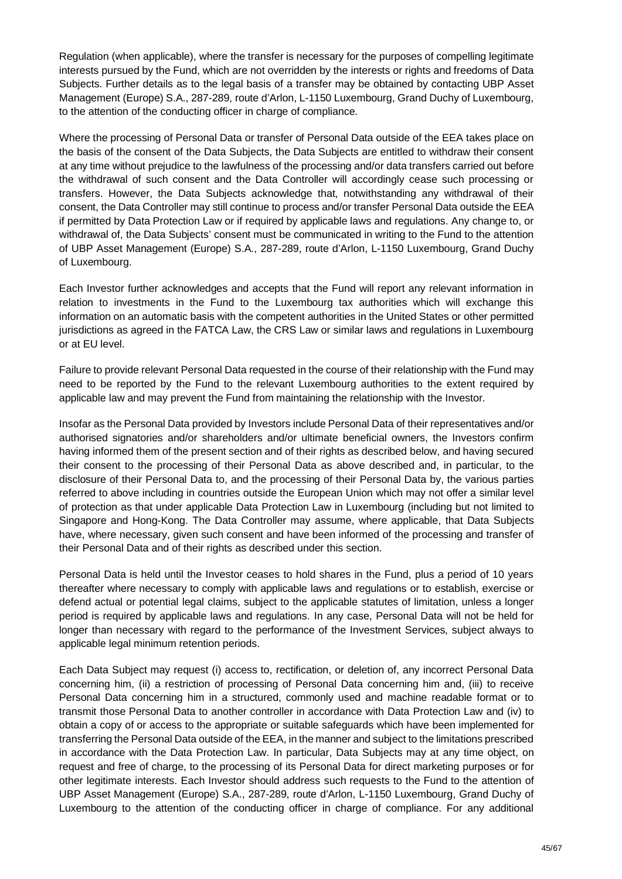Regulation (when applicable), where the transfer is necessary for the purposes of compelling legitimate interests pursued by the Fund, which are not overridden by the interests or rights and freedoms of Data Subjects. Further details as to the legal basis of a transfer may be obtained by contacting UBP Asset Management (Europe) S.A., 287-289, route d'Arlon, L-1150 Luxembourg, Grand Duchy of Luxembourg, to the attention of the conducting officer in charge of compliance.

Where the processing of Personal Data or transfer of Personal Data outside of the EEA takes place on the basis of the consent of the Data Subjects, the Data Subjects are entitled to withdraw their consent at any time without prejudice to the lawfulness of the processing and/or data transfers carried out before the withdrawal of such consent and the Data Controller will accordingly cease such processing or transfers. However, the Data Subjects acknowledge that, notwithstanding any withdrawal of their consent, the Data Controller may still continue to process and/or transfer Personal Data outside the EEA if permitted by Data Protection Law or if required by applicable laws and regulations. Any change to, or withdrawal of, the Data Subjects' consent must be communicated in writing to the Fund to the attention of UBP Asset Management (Europe) S.A., 287-289, route d'Arlon, L-1150 Luxembourg, Grand Duchy of Luxembourg.

Each Investor further acknowledges and accepts that the Fund will report any relevant information in relation to investments in the Fund to the Luxembourg tax authorities which will exchange this information on an automatic basis with the competent authorities in the United States or other permitted jurisdictions as agreed in the FATCA Law, the CRS Law or similar laws and regulations in Luxembourg or at EU level.

Failure to provide relevant Personal Data requested in the course of their relationship with the Fund may need to be reported by the Fund to the relevant Luxembourg authorities to the extent required by applicable law and may prevent the Fund from maintaining the relationship with the Investor.

Insofar as the Personal Data provided by Investors include Personal Data of their representatives and/or authorised signatories and/or shareholders and/or ultimate beneficial owners, the Investors confirm having informed them of the present section and of their rights as described below, and having secured their consent to the processing of their Personal Data as above described and, in particular, to the disclosure of their Personal Data to, and the processing of their Personal Data by, the various parties referred to above including in countries outside the European Union which may not offer a similar level of protection as that under applicable Data Protection Law in Luxembourg (including but not limited to Singapore and Hong-Kong. The Data Controller may assume, where applicable, that Data Subjects have, where necessary, given such consent and have been informed of the processing and transfer of their Personal Data and of their rights as described under this section.

Personal Data is held until the Investor ceases to hold shares in the Fund, plus a period of 10 years thereafter where necessary to comply with applicable laws and regulations or to establish, exercise or defend actual or potential legal claims, subject to the applicable statutes of limitation, unless a longer period is required by applicable laws and regulations. In any case, Personal Data will not be held for longer than necessary with regard to the performance of the Investment Services, subject always to applicable legal minimum retention periods.

Each Data Subject may request (i) access to, rectification, or deletion of, any incorrect Personal Data concerning him, (ii) a restriction of processing of Personal Data concerning him and, (iii) to receive Personal Data concerning him in a structured, commonly used and machine readable format or to transmit those Personal Data to another controller in accordance with Data Protection Law and (iv) to obtain a copy of or access to the appropriate or suitable safeguards which have been implemented for transferring the Personal Data outside of the EEA, in the manner and subject to the limitations prescribed in accordance with the Data Protection Law. In particular, Data Subjects may at any time object, on request and free of charge, to the processing of its Personal Data for direct marketing purposes or for other legitimate interests. Each Investor should address such requests to the Fund to the attention of UBP Asset Management (Europe) S.A., 287-289, route d'Arlon, L-1150 Luxembourg, Grand Duchy of Luxembourg to the attention of the conducting officer in charge of compliance. For any additional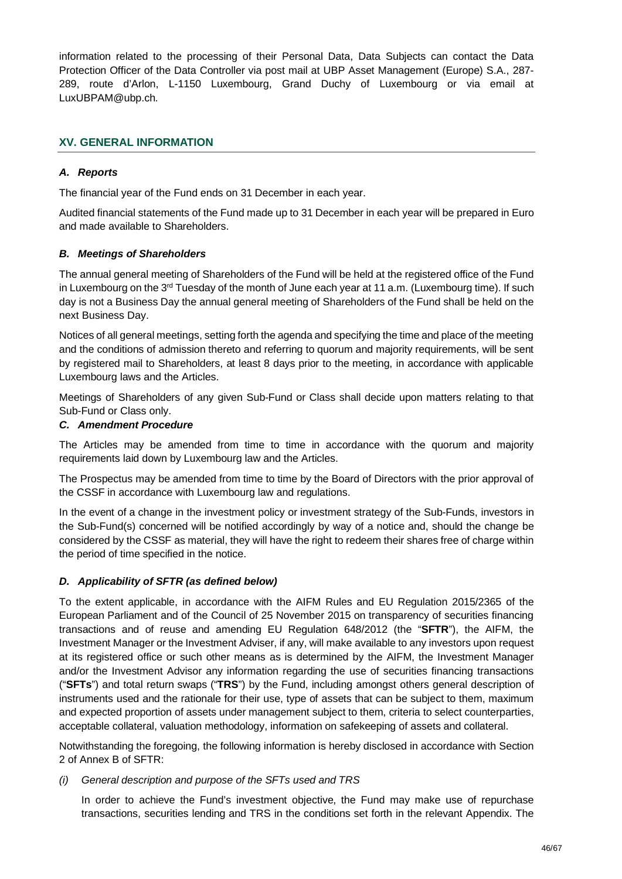information related to the processing of their Personal Data, Data Subjects can contact the Data Protection Officer of the Data Controller via post mail at UBP Asset Management (Europe) S.A., 287- 289, route d'Arlon, L-1150 Luxembourg, Grand Duchy of Luxembourg or via email at LuxUBPAM@ubp.ch.

# **XV. GENERAL INFORMATION**

# *A. Reports*

The financial year of the Fund ends on 31 December in each year.

Audited financial statements of the Fund made up to 31 December in each year will be prepared in Euro and made available to Shareholders.

## *B. Meetings of Shareholders*

The annual general meeting of Shareholders of the Fund will be held at the registered office of the Fund in Luxembourg on the 3<sup>rd</sup> Tuesday of the month of June each year at 11 a.m. (Luxembourg time). If such day is not a Business Day the annual general meeting of Shareholders of the Fund shall be held on the next Business Day.

Notices of all general meetings, setting forth the agenda and specifying the time and place of the meeting and the conditions of admission thereto and referring to quorum and majority requirements, will be sent by registered mail to Shareholders, at least 8 days prior to the meeting, in accordance with applicable Luxembourg laws and the Articles.

Meetings of Shareholders of any given Sub-Fund or Class shall decide upon matters relating to that Sub-Fund or Class only.

## *C. Amendment Procedure*

The Articles may be amended from time to time in accordance with the quorum and majority requirements laid down by Luxembourg law and the Articles.

The Prospectus may be amended from time to time by the Board of Directors with the prior approval of the CSSF in accordance with Luxembourg law and regulations.

In the event of a change in the investment policy or investment strategy of the Sub-Funds, investors in the Sub-Fund(s) concerned will be notified accordingly by way of a notice and, should the change be considered by the CSSF as material, they will have the right to redeem their shares free of charge within the period of time specified in the notice.

# *D. Applicability of SFTR (as defined below)*

To the extent applicable, in accordance with the AIFM Rules and EU Regulation 2015/2365 of the European Parliament and of the Council of 25 November 2015 on transparency of securities financing transactions and of reuse and amending EU Regulation 648/2012 (the "**SFTR**"), the AIFM, the Investment Manager or the Investment Adviser, if any, will make available to any investors upon request at its registered office or such other means as is determined by the AIFM, the Investment Manager and/or the Investment Advisor any information regarding the use of securities financing transactions ("**SFTs**") and total return swaps ("**TRS**") by the Fund, including amongst others general description of instruments used and the rationale for their use, type of assets that can be subject to them, maximum and expected proportion of assets under management subject to them, criteria to select counterparties, acceptable collateral, valuation methodology, information on safekeeping of assets and collateral.

Notwithstanding the foregoing, the following information is hereby disclosed in accordance with Section 2 of Annex B of SFTR:

## *(i) General description and purpose of the SFTs used and TRS*

In order to achieve the Fund's investment objective, the Fund may make use of repurchase transactions, securities lending and TRS in the conditions set forth in the relevant Appendix. The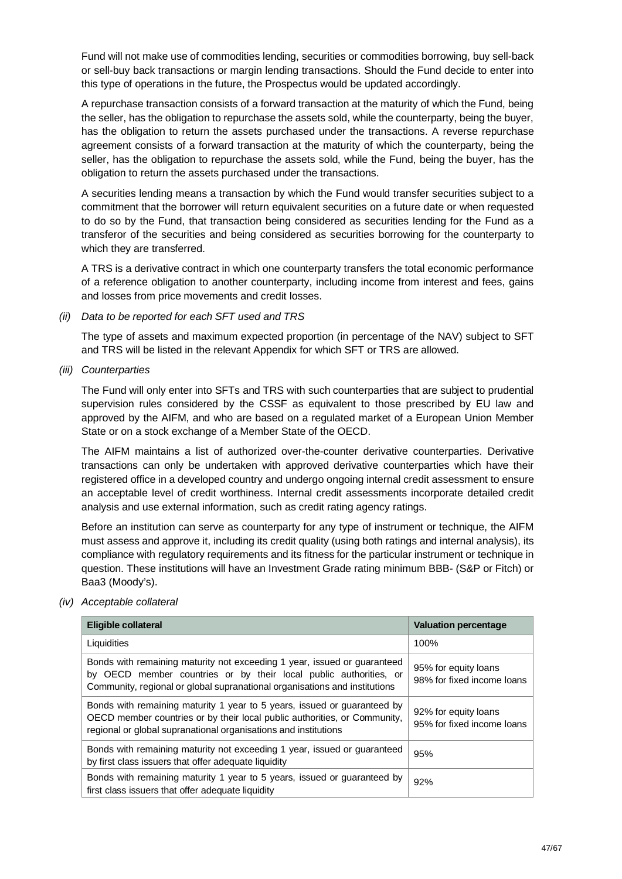Fund will not make use of commodities lending, securities or commodities borrowing, buy sell-back or sell-buy back transactions or margin lending transactions. Should the Fund decide to enter into this type of operations in the future, the Prospectus would be updated accordingly.

A repurchase transaction consists of a forward transaction at the maturity of which the Fund, being the seller, has the obligation to repurchase the assets sold, while the counterparty, being the buyer, has the obligation to return the assets purchased under the transactions. A reverse repurchase agreement consists of a forward transaction at the maturity of which the counterparty, being the seller, has the obligation to repurchase the assets sold, while the Fund, being the buyer, has the obligation to return the assets purchased under the transactions.

A securities lending means a transaction by which the Fund would transfer securities subject to a commitment that the borrower will return equivalent securities on a future date or when requested to do so by the Fund, that transaction being considered as securities lending for the Fund as a transferor of the securities and being considered as securities borrowing for the counterparty to which they are transferred.

A TRS is a derivative contract in which one counterparty transfers the total economic performance of a reference obligation to another counterparty, including income from interest and fees, gains and losses from price movements and credit losses.

*(ii) Data to be reported for each SFT used and TRS*

The type of assets and maximum expected proportion (in percentage of the NAV) subject to SFT and TRS will be listed in the relevant Appendix for which SFT or TRS are allowed.

*(iii) Counterparties*

The Fund will only enter into SFTs and TRS with such counterparties that are subject to prudential supervision rules considered by the CSSF as equivalent to those prescribed by EU law and approved by the AIFM, and who are based on a regulated market of a European Union Member State or on a stock exchange of a Member State of the OECD.

The AIFM maintains a list of authorized over-the-counter derivative counterparties. Derivative transactions can only be undertaken with approved derivative counterparties which have their registered office in a developed country and undergo ongoing internal credit assessment to ensure an acceptable level of credit worthiness. Internal credit assessments incorporate detailed credit analysis and use external information, such as credit rating agency ratings.

Before an institution can serve as counterparty for any type of instrument or technique, the AIFM must assess and approve it, including its credit quality (using both ratings and internal analysis), its compliance with regulatory requirements and its fitness for the particular instrument or technique in question. These institutions will have an Investment Grade rating minimum BBB- (S&P or Fitch) or Baa3 (Moody's).

*(iv) Acceptable collateral*

| <b>Eligible collateral</b>                                                                                                                                                                                                  | <b>Valuation percentage</b>                        |
|-----------------------------------------------------------------------------------------------------------------------------------------------------------------------------------------------------------------------------|----------------------------------------------------|
| Liquidities                                                                                                                                                                                                                 | 100%                                               |
| Bonds with remaining maturity not exceeding 1 year, issued or guaranteed<br>by OECD member countries or by their local public authorities, or<br>Community, regional or global supranational organisations and institutions | 95% for equity loans<br>98% for fixed income loans |
| Bonds with remaining maturity 1 year to 5 years, issued or guaranteed by<br>OECD member countries or by their local public authorities, or Community,<br>regional or global supranational organisations and institutions    | 92% for equity loans<br>95% for fixed income loans |
| Bonds with remaining maturity not exceeding 1 year, issued or guaranteed<br>by first class issuers that offer adequate liquidity                                                                                            | 95%                                                |
| Bonds with remaining maturity 1 year to 5 years, issued or guaranteed by<br>first class issuers that offer adequate liquidity                                                                                               | 92%                                                |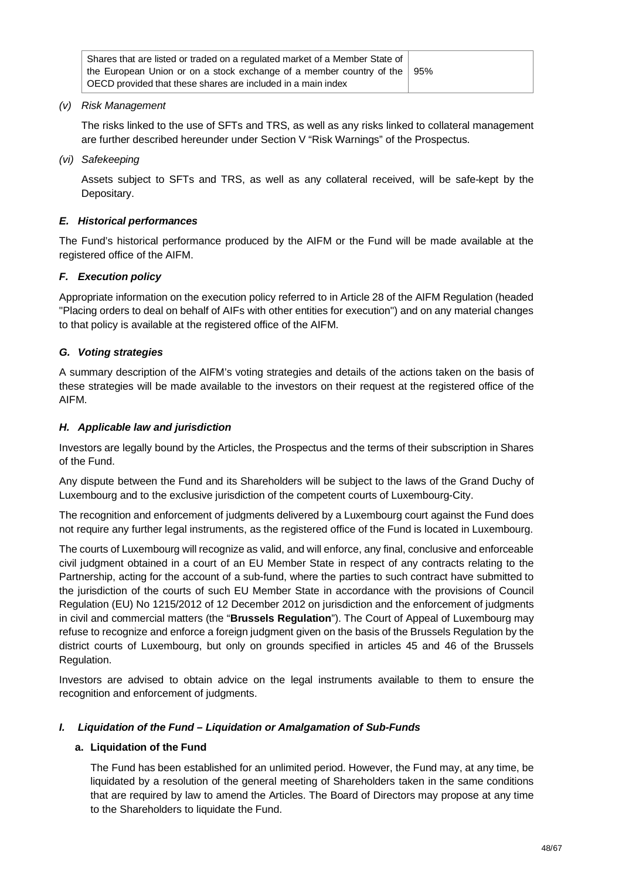| Shares that are listed or traded on a regulated market of a Member State of      |  |
|----------------------------------------------------------------------------------|--|
| the European Union or on a stock exchange of a member country of the $\vert$ 95% |  |
| OECD provided that these shares are included in a main index                     |  |

*(v) Risk Management*

The risks linked to the use of SFTs and TRS, as well as any risks linked to collateral management are further described hereunder under Section V "Risk Warnings" of the Prospectus.

*(vi) Safekeeping*

Assets subject to SFTs and TRS, as well as any collateral received, will be safe-kept by the Depositary.

## *E. Historical performances*

The Fund's historical performance produced by the AIFM or the Fund will be made available at the registered office of the AIFM.

## *F. Execution policy*

Appropriate information on the execution policy referred to in Article 28 of the AIFM Regulation (headed "Placing orders to deal on behalf of AIFs with other entities for execution") and on any material changes to that policy is available at the registered office of the AIFM.

## *G. Voting strategies*

A summary description of the AIFM's voting strategies and details of the actions taken on the basis of these strategies will be made available to the investors on their request at the registered office of the AIFM.

## *H. Applicable law and jurisdiction*

Investors are legally bound by the Articles, the Prospectus and the terms of their subscription in Shares of the Fund.

Any dispute between the Fund and its Shareholders will be subject to the laws of the Grand Duchy of Luxembourg and to the exclusive jurisdiction of the competent courts of Luxembourg-City.

The recognition and enforcement of judgments delivered by a Luxembourg court against the Fund does not require any further legal instruments, as the registered office of the Fund is located in Luxembourg.

The courts of Luxembourg will recognize as valid, and will enforce, any final, conclusive and enforceable civil judgment obtained in a court of an EU Member State in respect of any contracts relating to the Partnership, acting for the account of a sub-fund, where the parties to such contract have submitted to the jurisdiction of the courts of such EU Member State in accordance with the provisions of Council Regulation (EU) No 1215/2012 of 12 December 2012 on jurisdiction and the enforcement of judgments in civil and commercial matters (the "**Brussels Regulation**"). The Court of Appeal of Luxembourg may refuse to recognize and enforce a foreign judgment given on the basis of the Brussels Regulation by the district courts of Luxembourg, but only on grounds specified in articles 45 and 46 of the Brussels Regulation.

Investors are advised to obtain advice on the legal instruments available to them to ensure the recognition and enforcement of judgments.

## *I. Liquidation of the Fund – Liquidation or Amalgamation of Sub-Funds*

## **a. Liquidation of the Fund**

The Fund has been established for an unlimited period. However, the Fund may, at any time, be liquidated by a resolution of the general meeting of Shareholders taken in the same conditions that are required by law to amend the Articles. The Board of Directors may propose at any time to the Shareholders to liquidate the Fund.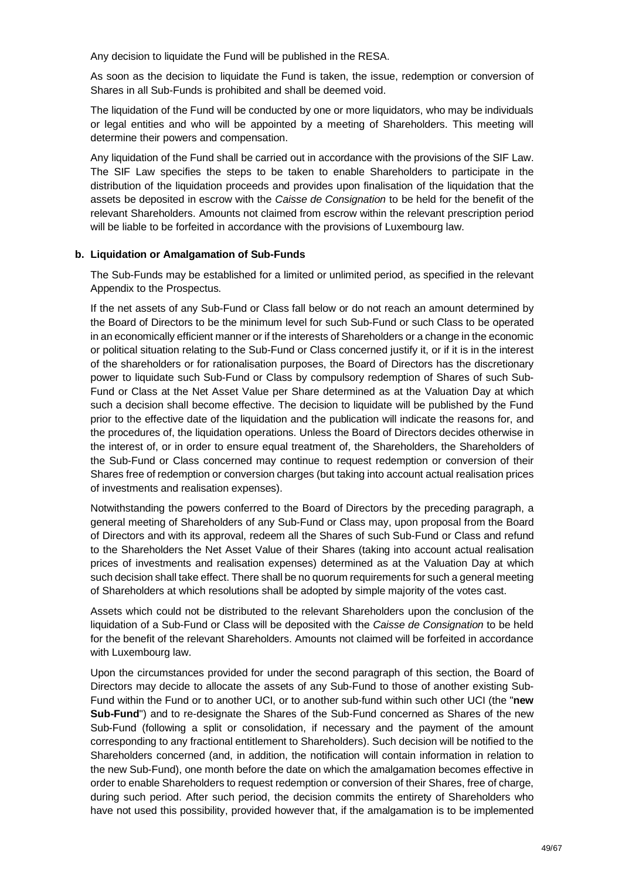Any decision to liquidate the Fund will be published in the RESA.

As soon as the decision to liquidate the Fund is taken, the issue, redemption or conversion of Shares in all Sub-Funds is prohibited and shall be deemed void.

The liquidation of the Fund will be conducted by one or more liquidators, who may be individuals or legal entities and who will be appointed by a meeting of Shareholders. This meeting will determine their powers and compensation.

Any liquidation of the Fund shall be carried out in accordance with the provisions of the SIF Law. The SIF Law specifies the steps to be taken to enable Shareholders to participate in the distribution of the liquidation proceeds and provides upon finalisation of the liquidation that the assets be deposited in escrow with the *Caisse de Consignation* to be held for the benefit of the relevant Shareholders. Amounts not claimed from escrow within the relevant prescription period will be liable to be forfeited in accordance with the provisions of Luxembourg law.

## **b. Liquidation or Amalgamation of Sub-Funds**

The Sub-Funds may be established for a limited or unlimited period, as specified in the relevant Appendix to the Prospectus.

If the net assets of any Sub-Fund or Class fall below or do not reach an amount determined by the Board of Directors to be the minimum level for such Sub-Fund or such Class to be operated in an economically efficient manner or if the interests of Shareholders or a change in the economic or political situation relating to the Sub-Fund or Class concerned justify it, or if it is in the interest of the shareholders or for rationalisation purposes, the Board of Directors has the discretionary power to liquidate such Sub-Fund or Class by compulsory redemption of Shares of such Sub-Fund or Class at the Net Asset Value per Share determined as at the Valuation Day at which such a decision shall become effective. The decision to liquidate will be published by the Fund prior to the effective date of the liquidation and the publication will indicate the reasons for, and the procedures of, the liquidation operations. Unless the Board of Directors decides otherwise in the interest of, or in order to ensure equal treatment of, the Shareholders, the Shareholders of the Sub-Fund or Class concerned may continue to request redemption or conversion of their Shares free of redemption or conversion charges (but taking into account actual realisation prices of investments and realisation expenses).

Notwithstanding the powers conferred to the Board of Directors by the preceding paragraph, a general meeting of Shareholders of any Sub-Fund or Class may, upon proposal from the Board of Directors and with its approval, redeem all the Shares of such Sub-Fund or Class and refund to the Shareholders the Net Asset Value of their Shares (taking into account actual realisation prices of investments and realisation expenses) determined as at the Valuation Day at which such decision shall take effect. There shall be no quorum requirements for such a general meeting of Shareholders at which resolutions shall be adopted by simple majority of the votes cast.

Assets which could not be distributed to the relevant Shareholders upon the conclusion of the liquidation of a Sub-Fund or Class will be deposited with the *Caisse de Consignation* to be held for the benefit of the relevant Shareholders. Amounts not claimed will be forfeited in accordance with Luxembourg law.

Upon the circumstances provided for under the second paragraph of this section, the Board of Directors may decide to allocate the assets of any Sub-Fund to those of another existing Sub-Fund within the Fund or to another UCI, or to another sub-fund within such other UCI (the "**new Sub-Fund**") and to re-designate the Shares of the Sub-Fund concerned as Shares of the new Sub-Fund (following a split or consolidation, if necessary and the payment of the amount corresponding to any fractional entitlement to Shareholders). Such decision will be notified to the Shareholders concerned (and, in addition, the notification will contain information in relation to the new Sub-Fund), one month before the date on which the amalgamation becomes effective in order to enable Shareholders to request redemption or conversion of their Shares, free of charge, during such period. After such period, the decision commits the entirety of Shareholders who have not used this possibility, provided however that, if the amalgamation is to be implemented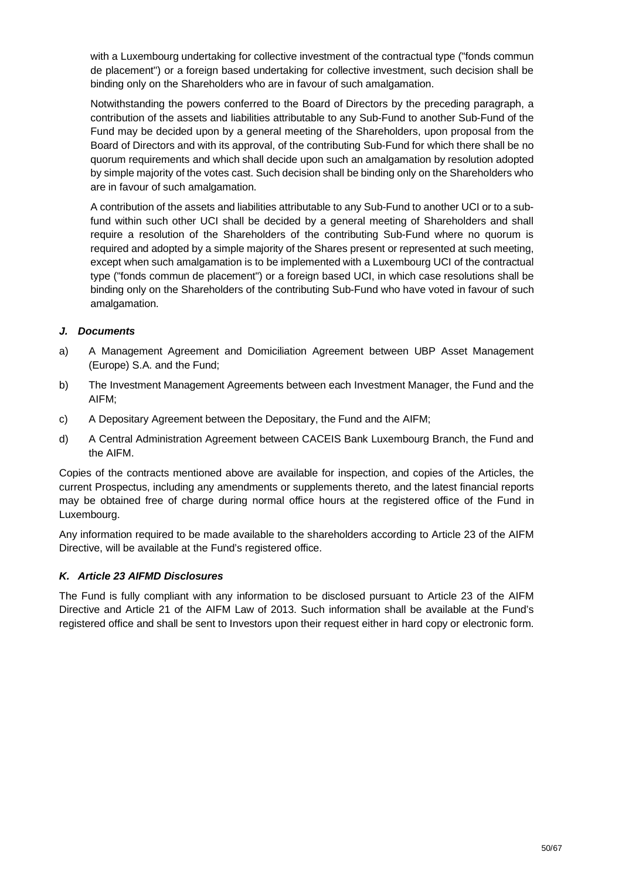with a Luxembourg undertaking for collective investment of the contractual type ("fonds commun de placement") or a foreign based undertaking for collective investment, such decision shall be binding only on the Shareholders who are in favour of such amalgamation.

Notwithstanding the powers conferred to the Board of Directors by the preceding paragraph, a contribution of the assets and liabilities attributable to any Sub-Fund to another Sub-Fund of the Fund may be decided upon by a general meeting of the Shareholders, upon proposal from the Board of Directors and with its approval, of the contributing Sub-Fund for which there shall be no quorum requirements and which shall decide upon such an amalgamation by resolution adopted by simple majority of the votes cast. Such decision shall be binding only on the Shareholders who are in favour of such amalgamation.

A contribution of the assets and liabilities attributable to any Sub-Fund to another UCI or to a subfund within such other UCI shall be decided by a general meeting of Shareholders and shall require a resolution of the Shareholders of the contributing Sub-Fund where no quorum is required and adopted by a simple majority of the Shares present or represented at such meeting, except when such amalgamation is to be implemented with a Luxembourg UCI of the contractual type ("fonds commun de placement") or a foreign based UCI, in which case resolutions shall be binding only on the Shareholders of the contributing Sub-Fund who have voted in favour of such amalgamation.

## *J. Documents*

- a) A Management Agreement and Domiciliation Agreement between UBP Asset Management (Europe) S.A. and the Fund;
- b) The Investment Management Agreements between each Investment Manager, the Fund and the AIFM;
- c) A Depositary Agreement between the Depositary, the Fund and the AIFM;
- d) A Central Administration Agreement between CACEIS Bank Luxembourg Branch, the Fund and the AIFM.

Copies of the contracts mentioned above are available for inspection, and copies of the Articles, the current Prospectus, including any amendments or supplements thereto, and the latest financial reports may be obtained free of charge during normal office hours at the registered office of the Fund in Luxembourg.

Any information required to be made available to the shareholders according to Article 23 of the AIFM Directive, will be available at the Fund's registered office.

# *K. Article 23 AIFMD Disclosures*

The Fund is fully compliant with any information to be disclosed pursuant to Article 23 of the AIFM Directive and Article 21 of the AIFM Law of 2013. Such information shall be available at the Fund's registered office and shall be sent to Investors upon their request either in hard copy or electronic form.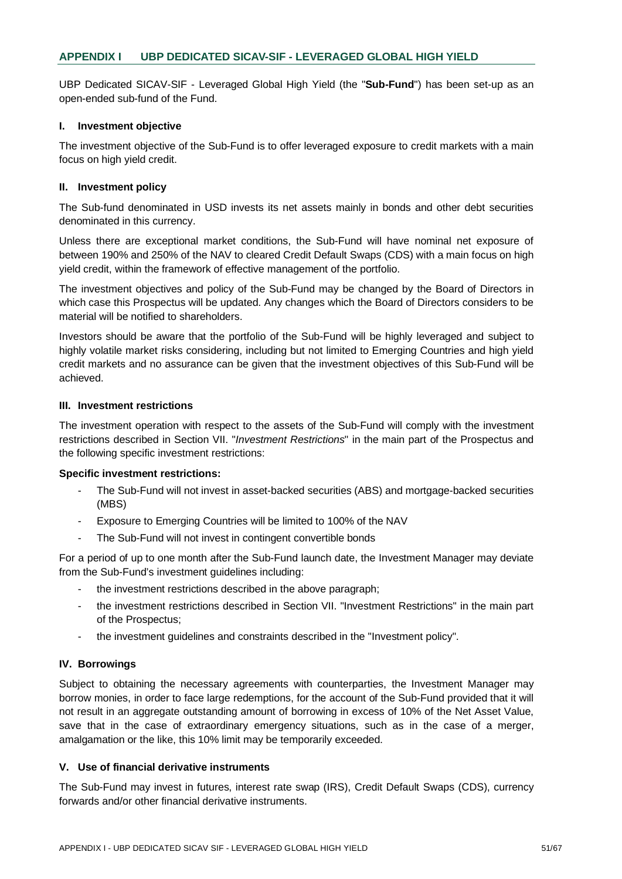UBP Dedicated SICAV-SIF - Leveraged Global High Yield (the "**Sub-Fund**") has been set-up as an open-ended sub-fund of the Fund.

#### **I. Investment objective**

The investment objective of the Sub-Fund is to offer leveraged exposure to credit markets with a main focus on high yield credit.

#### **II. Investment policy**

The Sub-fund denominated in USD invests its net assets mainly in bonds and other debt securities denominated in this currency.

Unless there are exceptional market conditions, the Sub-Fund will have nominal net exposure of between 190% and 250% of the NAV to cleared Credit Default Swaps (CDS) with a main focus on high yield credit, within the framework of effective management of the portfolio.

The investment objectives and policy of the Sub-Fund may be changed by the Board of Directors in which case this Prospectus will be updated. Any changes which the Board of Directors considers to be material will be notified to shareholders.

Investors should be aware that the portfolio of the Sub-Fund will be highly leveraged and subject to highly volatile market risks considering, including but not limited to Emerging Countries and high yield credit markets and no assurance can be given that the investment objectives of this Sub-Fund will be achieved.

#### **III. Investment restrictions**

The investment operation with respect to the assets of the Sub-Fund will comply with the investment restrictions described in Section VII. "*Investment Restrictions*" in the main part of the Prospectus and the following specific investment restrictions:

#### **Specific investment restrictions:**

- The Sub-Fund will not invest in asset-backed securities (ABS) and mortgage-backed securities (MBS)
- Exposure to Emerging Countries will be limited to 100% of the NAV
- The Sub-Fund will not invest in contingent convertible bonds

For a period of up to one month after the Sub-Fund launch date, the Investment Manager may deviate from the Sub-Fund's investment guidelines including:

- the investment restrictions described in the above paragraph;
- the investment restrictions described in Section VII. "Investment Restrictions" in the main part of the Prospectus;
- the investment quidelines and constraints described in the "Investment policy".

## **IV. Borrowings**

Subject to obtaining the necessary agreements with counterparties, the Investment Manager may borrow monies, in order to face large redemptions, for the account of the Sub-Fund provided that it will not result in an aggregate outstanding amount of borrowing in excess of 10% of the Net Asset Value, save that in the case of extraordinary emergency situations, such as in the case of a merger, amalgamation or the like, this 10% limit may be temporarily exceeded.

## **V. Use of financial derivative instruments**

The Sub-Fund may invest in futures, interest rate swap (IRS), Credit Default Swaps (CDS), currency forwards and/or other financial derivative instruments.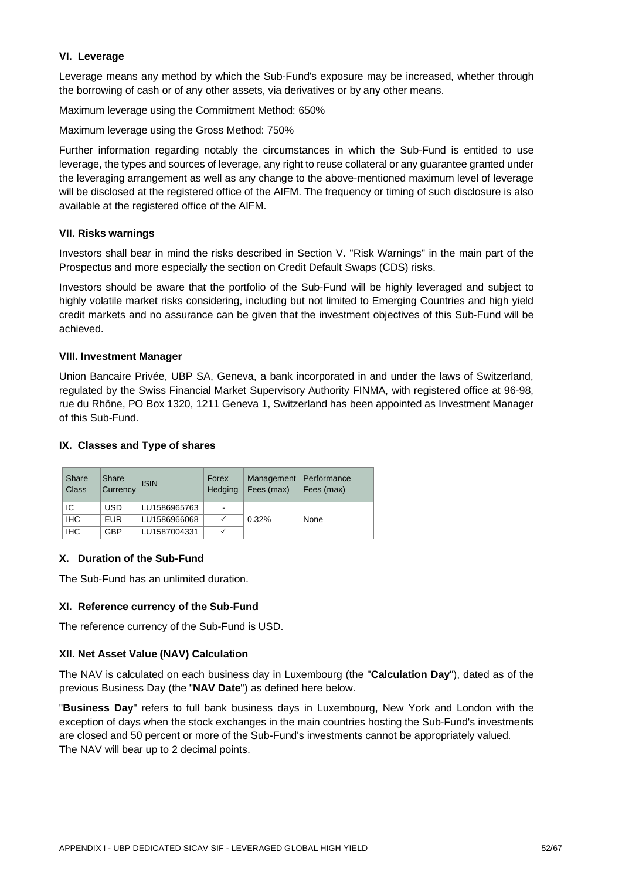## **VI. Leverage**

Leverage means any method by which the Sub-Fund's exposure may be increased, whether through the borrowing of cash or of any other assets, via derivatives or by any other means.

Maximum leverage using the Commitment Method: 650%

Maximum leverage using the Gross Method: 750%

Further information regarding notably the circumstances in which the Sub-Fund is entitled to use leverage, the types and sources of leverage, any right to reuse collateral or any guarantee granted under the leveraging arrangement as well as any change to the above-mentioned maximum level of leverage will be disclosed at the registered office of the AIFM. The frequency or timing of such disclosure is also available at the registered office of the AIFM.

#### **VII. Risks warnings**

Investors shall bear in mind the risks described in Section V. "Risk Warnings" in the main part of the Prospectus and more especially the section on Credit Default Swaps (CDS) risks.

Investors should be aware that the portfolio of the Sub-Fund will be highly leveraged and subject to highly volatile market risks considering, including but not limited to Emerging Countries and high yield credit markets and no assurance can be given that the investment objectives of this Sub-Fund will be achieved.

#### **VIII. Investment Manager**

Union Bancaire Privée, UBP SA, Geneva, a bank incorporated in and under the laws of Switzerland, regulated by the Swiss Financial Market Supervisory Authority FINMA, with registered office at 96-98, rue du Rhône, PO Box 1320, 1211 Geneva 1, Switzerland has been appointed as Investment Manager of this Sub-Fund.

#### **IX. Classes and Type of shares**

| Share<br>Class | Share<br>Currency | <b>ISIN</b>  | Forex<br>Hedging | Management<br>Fees (max) | Performance<br>Fees (max) |
|----------------|-------------------|--------------|------------------|--------------------------|---------------------------|
| IС             | <b>USD</b>        | LU1586965763 | -                |                          |                           |
| <b>IHC</b>     | <b>EUR</b>        | LU1586966068 |                  | 0.32%                    | None                      |
| <b>IHC</b>     | <b>GBP</b>        | LU1587004331 |                  |                          |                           |

## **X. Duration of the Sub-Fund**

The Sub-Fund has an unlimited duration.

## **XI. Reference currency of the Sub-Fund**

The reference currency of the Sub-Fund is USD.

## **XII. Net Asset Value (NAV) Calculation**

The NAV is calculated on each business day in Luxembourg (the "**Calculation Day**"), dated as of the previous Business Day (the "**NAV Date**") as defined here below.

"**Business Day**" refers to full bank business days in Luxembourg, New York and London with the exception of days when the stock exchanges in the main countries hosting the Sub-Fund's investments are closed and 50 percent or more of the Sub-Fund's investments cannot be appropriately valued. The NAV will bear up to 2 decimal points.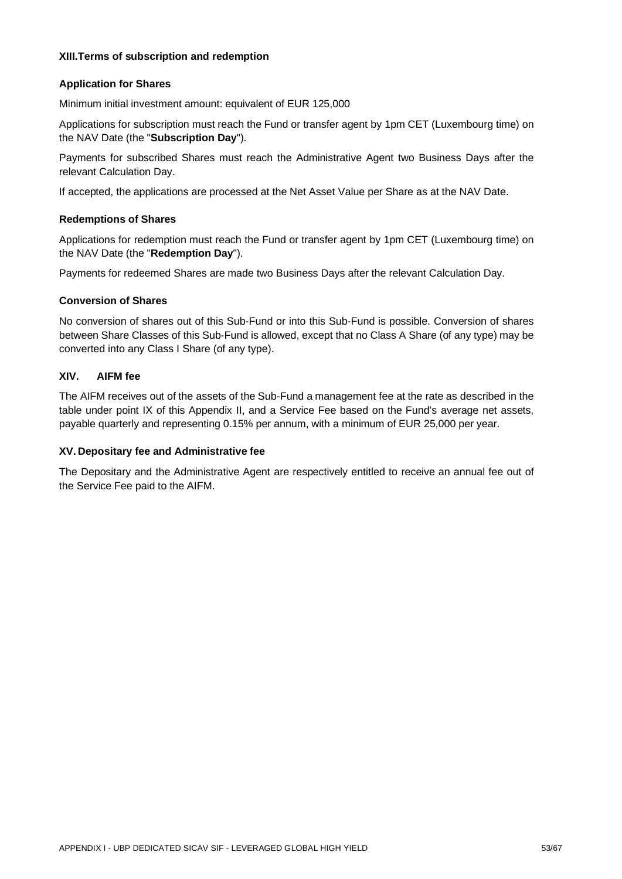#### **XIII. Terms of subscription and redemption**

## **Application for Shares**

Minimum initial investment amount: equivalent of EUR 125,000

Applications for subscription must reach the Fund or transfer agent by 1pm CET (Luxembourg time) on the NAV Date (the "**Subscription Day**").

Payments for subscribed Shares must reach the Administrative Agent two Business Days after the relevant Calculation Day.

If accepted, the applications are processed at the Net Asset Value per Share as at the NAV Date.

#### **Redemptions of Shares**

Applications for redemption must reach the Fund or transfer agent by 1pm CET (Luxembourg time) on the NAV Date (the "**Redemption Day**").

Payments for redeemed Shares are made two Business Days after the relevant Calculation Day.

#### **Conversion of Shares**

No conversion of shares out of this Sub-Fund or into this Sub-Fund is possible. Conversion of shares between Share Classes of this Sub-Fund is allowed, except that no Class A Share (of any type) may be converted into any Class I Share (of any type).

#### **XIV. AIFM fee**

The AIFM receives out of the assets of the Sub-Fund a management fee at the rate as described in the table under point IX of this Appendix II, and a Service Fee based on the Fund's average net assets, payable quarterly and representing 0.15% per annum, with a minimum of EUR 25,000 per year.

## **XV. Depositary fee and Administrative fee**

The Depositary and the Administrative Agent are respectively entitled to receive an annual fee out of the Service Fee paid to the AIFM.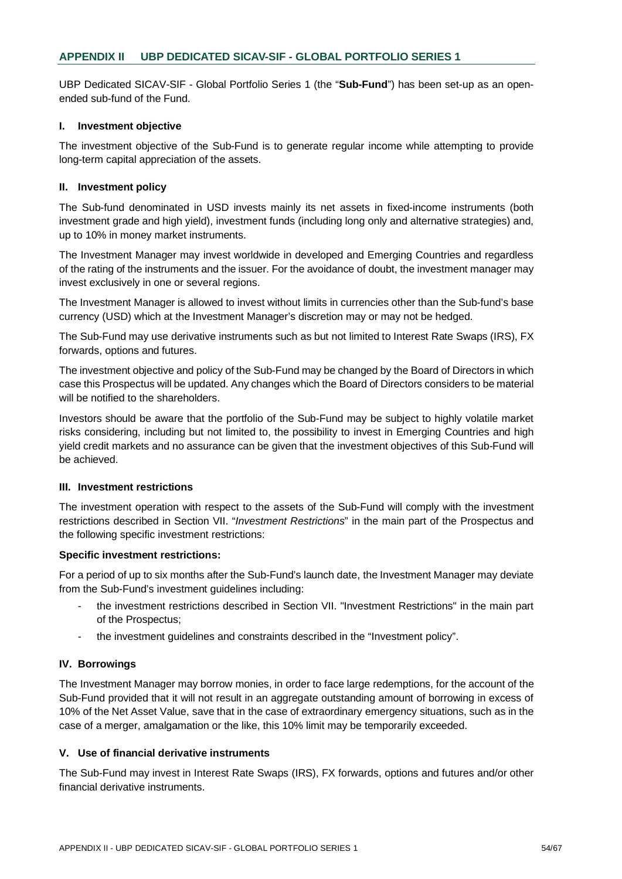UBP Dedicated SICAV-SIF - Global Portfolio Series 1 (the "**Sub-Fund**") has been set-up as an openended sub-fund of the Fund.

#### **I. Investment objective**

The investment objective of the Sub-Fund is to generate regular income while attempting to provide long-term capital appreciation of the assets.

#### **II. Investment policy**

The Sub-fund denominated in USD invests mainly its net assets in fixed-income instruments (both investment grade and high yield), investment funds (including long only and alternative strategies) and, up to 10% in money market instruments.

The Investment Manager may invest worldwide in developed and Emerging Countries and regardless of the rating of the instruments and the issuer. For the avoidance of doubt, the investment manager may invest exclusively in one or several regions.

The Investment Manager is allowed to invest without limits in currencies other than the Sub-fund's base currency (USD) which at the Investment Manager's discretion may or may not be hedged.

The Sub-Fund may use derivative instruments such as but not limited to Interest Rate Swaps (IRS), FX forwards, options and futures.

The investment objective and policy of the Sub-Fund may be changed by the Board of Directors in which case this Prospectus will be updated. Any changes which the Board of Directors considers to be material will be notified to the shareholders.

Investors should be aware that the portfolio of the Sub-Fund may be subject to highly volatile market risks considering, including but not limited to, the possibility to invest in Emerging Countries and high yield credit markets and no assurance can be given that the investment objectives of this Sub-Fund will be achieved.

#### **III. Investment restrictions**

The investment operation with respect to the assets of the Sub-Fund will comply with the investment restrictions described in Section VII. "*Investment Restrictions*" in the main part of the Prospectus and the following specific investment restrictions:

#### **Specific investment restrictions:**

For a period of up to six months after the Sub-Fund's launch date, the Investment Manager may deviate from the Sub-Fund's investment guidelines including:

- the investment restrictions described in Section VII. "Investment Restrictions" in the main part of the Prospectus;
- the investment guidelines and constraints described in the "Investment policy".

#### **IV. Borrowings**

The Investment Manager may borrow monies, in order to face large redemptions, for the account of the Sub-Fund provided that it will not result in an aggregate outstanding amount of borrowing in excess of 10% of the Net Asset Value, save that in the case of extraordinary emergency situations, such as in the case of a merger, amalgamation or the like, this 10% limit may be temporarily exceeded.

## **V. Use of financial derivative instruments**

The Sub-Fund may invest in Interest Rate Swaps (IRS), FX forwards, options and futures and/or other financial derivative instruments.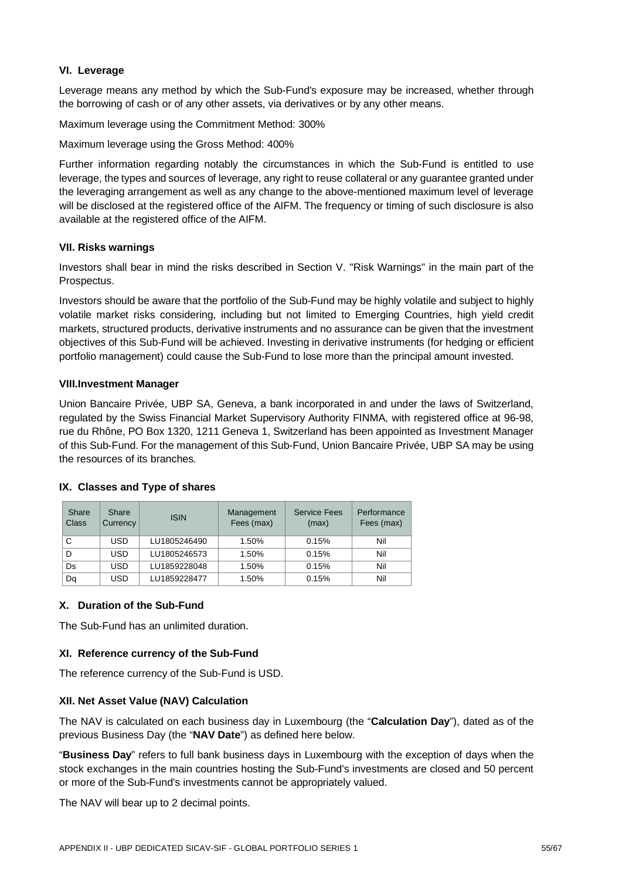## **VI. Leverage**

Leverage means any method by which the Sub-Fund's exposure may be increased, whether through the borrowing of cash or of any other assets, via derivatives or by any other means.

Maximum leverage using the Commitment Method: 300%

Maximum leverage using the Gross Method: 400%

Further information regarding notably the circumstances in which the Sub-Fund is entitled to use leverage, the types and sources of leverage, any right to reuse collateral or any guarantee granted under the leveraging arrangement as well as any change to the above-mentioned maximum level of leverage will be disclosed at the registered office of the AIFM. The frequency or timing of such disclosure is also available at the registered office of the AIFM.

## **VII. Risks warnings**

Investors shall bear in mind the risks described in Section V. "Risk Warnings" in the main part of the Prospectus.

Investors should be aware that the portfolio of the Sub-Fund may be highly volatile and subject to highly volatile market risks considering, including but not limited to Emerging Countries, high yield credit markets, structured products, derivative instruments and no assurance can be given that the investment objectives of this Sub-Fund will be achieved. Investing in derivative instruments (for hedging or efficient portfolio management) could cause the Sub-Fund to lose more than the principal amount invested.

#### **VIII. Investment Manager**

Union Bancaire Privée, UBP SA, Geneva, a bank incorporated in and under the laws of Switzerland, regulated by the Swiss Financial Market Supervisory Authority FINMA, with registered office at 96-98, rue du Rhône, PO Box 1320, 1211 Geneva 1, Switzerland has been appointed as Investment Manager of this Sub-Fund. For the management of this Sub-Fund, Union Bancaire Privée, UBP SA may be using the resources of its branches.

| Share<br>Class | Share<br>Currency | <b>ISIN</b>  | Management<br>Fees (max) | <b>Service Fees</b><br>(max) | Performance<br>Fees (max) |
|----------------|-------------------|--------------|--------------------------|------------------------------|---------------------------|
| C              | USD               | LU1805246490 | 1.50%                    | 0.15%                        | Nil                       |
| D              | <b>USD</b>        | LU1805246573 | 1.50%                    | 0.15%                        | Nil                       |
| Ds             | USD               | LU1859228048 | 1.50%                    | 0.15%                        | Nil                       |
| Dq             | USD               | LU1859228477 | 1.50%                    | 0.15%                        | Nil                       |

#### **IX. Classes and Type of shares**

## **X. Duration of the Sub-Fund**

The Sub-Fund has an unlimited duration.

## **XI. Reference currency of the Sub-Fund**

The reference currency of the Sub-Fund is USD.

## **XII. Net Asset Value (NAV) Calculation**

The NAV is calculated on each business day in Luxembourg (the "**Calculation Day**"), dated as of the previous Business Day (the "**NAV Date**") as defined here below.

"**Business Day**" refers to full bank business days in Luxembourg with the exception of days when the stock exchanges in the main countries hosting the Sub-Fund's investments are closed and 50 percent or more of the Sub-Fund's investments cannot be appropriately valued.

The NAV will bear up to 2 decimal points.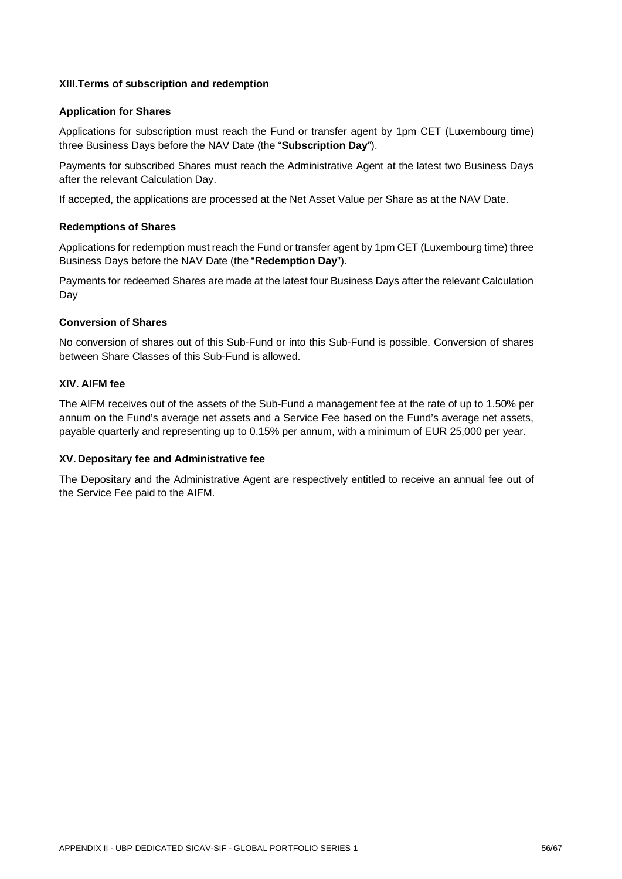## **XIII. Terms of subscription and redemption**

#### **Application for Shares**

Applications for subscription must reach the Fund or transfer agent by 1pm CET (Luxembourg time) three Business Days before the NAV Date (the "**Subscription Day**").

Payments for subscribed Shares must reach the Administrative Agent at the latest two Business Days after the relevant Calculation Day.

If accepted, the applications are processed at the Net Asset Value per Share as at the NAV Date.

#### **Redemptions of Shares**

Applications for redemption must reach the Fund or transfer agent by 1pm CET (Luxembourg time) three Business Days before the NAV Date (the "**Redemption Day**").

Payments for redeemed Shares are made at the latest four Business Days after the relevant Calculation Day

#### **Conversion of Shares**

No conversion of shares out of this Sub-Fund or into this Sub-Fund is possible. Conversion of shares between Share Classes of this Sub-Fund is allowed.

## **XIV. AIFM fee**

The AIFM receives out of the assets of the Sub-Fund a management fee at the rate of up to 1.50% per annum on the Fund's average net assets and a Service Fee based on the Fund's average net assets, payable quarterly and representing up to 0.15% per annum, with a minimum of EUR 25,000 per year.

## **XV. Depositary fee and Administrative fee**

The Depositary and the Administrative Agent are respectively entitled to receive an annual fee out of the Service Fee paid to the AIFM.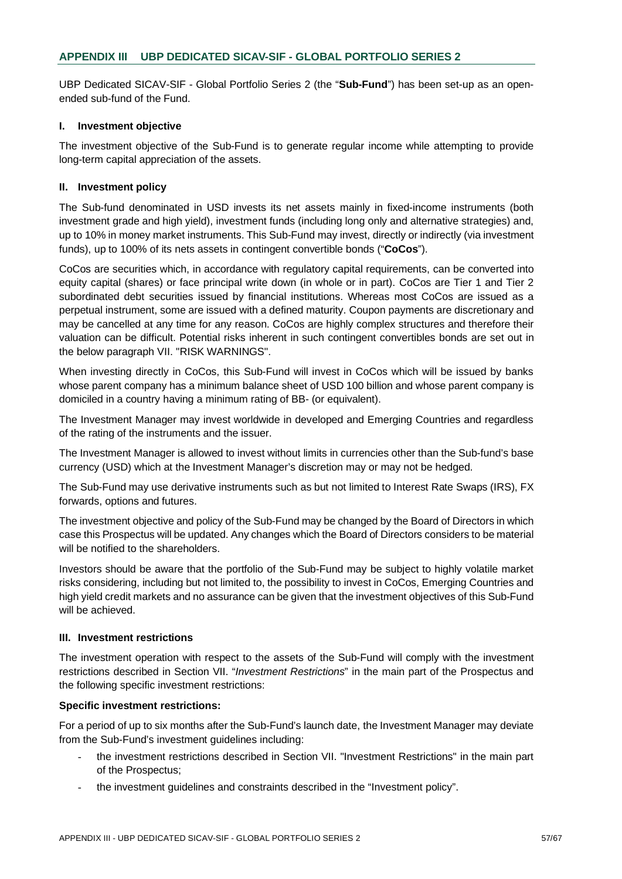UBP Dedicated SICAV-SIF - Global Portfolio Series 2 (the "**Sub-Fund**") has been set-up as an openended sub-fund of the Fund.

#### **I. Investment objective**

The investment objective of the Sub-Fund is to generate regular income while attempting to provide long-term capital appreciation of the assets.

## **II. Investment policy**

The Sub-fund denominated in USD invests its net assets mainly in fixed-income instruments (both investment grade and high yield), investment funds (including long only and alternative strategies) and, up to 10% in money market instruments. This Sub-Fund may invest, directly or indirectly (via investment funds), up to 100% of its nets assets in contingent convertible bonds ("**CoCos**").

CoCos are securities which, in accordance with regulatory capital requirements, can be converted into equity capital (shares) or face principal write down (in whole or in part). CoCos are Tier 1 and Tier 2 subordinated debt securities issued by financial institutions. Whereas most CoCos are issued as a perpetual instrument, some are issued with a defined maturity. Coupon payments are discretionary and may be cancelled at any time for any reason. CoCos are highly complex structures and therefore their valuation can be difficult. Potential risks inherent in such contingent convertibles bonds are set out in the below paragraph VII. "RISK WARNINGS".

When investing directly in CoCos, this Sub-Fund will invest in CoCos which will be issued by banks whose parent company has a minimum balance sheet of USD 100 billion and whose parent company is domiciled in a country having a minimum rating of BB- (or equivalent).

The Investment Manager may invest worldwide in developed and Emerging Countries and regardless of the rating of the instruments and the issuer.

The Investment Manager is allowed to invest without limits in currencies other than the Sub-fund's base currency (USD) which at the Investment Manager's discretion may or may not be hedged.

The Sub-Fund may use derivative instruments such as but not limited to Interest Rate Swaps (IRS), FX forwards, options and futures.

The investment objective and policy of the Sub-Fund may be changed by the Board of Directors in which case this Prospectus will be updated. Any changes which the Board of Directors considers to be material will be notified to the shareholders.

Investors should be aware that the portfolio of the Sub-Fund may be subject to highly volatile market risks considering, including but not limited to, the possibility to invest in CoCos, Emerging Countries and high yield credit markets and no assurance can be given that the investment objectives of this Sub-Fund will be achieved.

#### **III. Investment restrictions**

The investment operation with respect to the assets of the Sub-Fund will comply with the investment restrictions described in Section VII. "*Investment Restrictions*" in the main part of the Prospectus and the following specific investment restrictions:

## **Specific investment restrictions:**

For a period of up to six months after the Sub-Fund's launch date, the Investment Manager may deviate from the Sub-Fund's investment guidelines including:

- the investment restrictions described in Section VII. "Investment Restrictions" in the main part of the Prospectus;
- the investment guidelines and constraints described in the "Investment policy".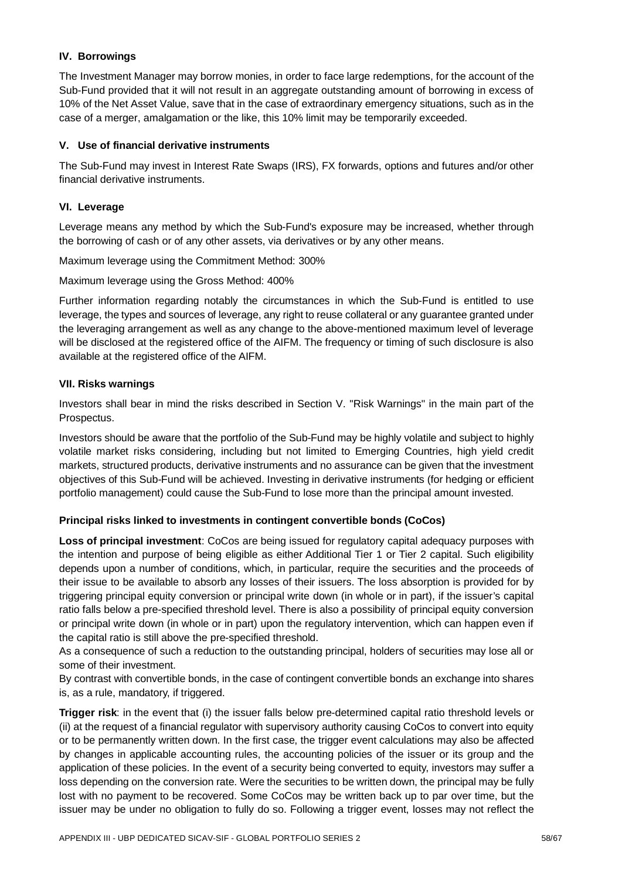## **IV. Borrowings**

The Investment Manager may borrow monies, in order to face large redemptions, for the account of the Sub-Fund provided that it will not result in an aggregate outstanding amount of borrowing in excess of 10% of the Net Asset Value, save that in the case of extraordinary emergency situations, such as in the case of a merger, amalgamation or the like, this 10% limit may be temporarily exceeded.

## **V. Use of financial derivative instruments**

The Sub-Fund may invest in Interest Rate Swaps (IRS), FX forwards, options and futures and/or other financial derivative instruments.

## **VI. Leverage**

Leverage means any method by which the Sub-Fund's exposure may be increased, whether through the borrowing of cash or of any other assets, via derivatives or by any other means.

Maximum leverage using the Commitment Method: 300%

Maximum leverage using the Gross Method: 400%

Further information regarding notably the circumstances in which the Sub-Fund is entitled to use leverage, the types and sources of leverage, any right to reuse collateral or any guarantee granted under the leveraging arrangement as well as any change to the above-mentioned maximum level of leverage will be disclosed at the registered office of the AIFM. The frequency or timing of such disclosure is also available at the registered office of the AIFM.

## **VII. Risks warnings**

Investors shall bear in mind the risks described in Section V. "Risk Warnings" in the main part of the Prospectus.

Investors should be aware that the portfolio of the Sub-Fund may be highly volatile and subject to highly volatile market risks considering, including but not limited to Emerging Countries, high yield credit markets, structured products, derivative instruments and no assurance can be given that the investment objectives of this Sub-Fund will be achieved. Investing in derivative instruments (for hedging or efficient portfolio management) could cause the Sub-Fund to lose more than the principal amount invested.

# **Principal risks linked to investments in contingent convertible bonds (CoCos)**

**Loss of principal investment**: CoCos are being issued for regulatory capital adequacy purposes with the intention and purpose of being eligible as either Additional Tier 1 or Tier 2 capital. Such eligibility depends upon a number of conditions, which, in particular, require the securities and the proceeds of their issue to be available to absorb any losses of their issuers. The loss absorption is provided for by triggering principal equity conversion or principal write down (in whole or in part), if the issuer's capital ratio falls below a pre-specified threshold level. There is also a possibility of principal equity conversion or principal write down (in whole or in part) upon the regulatory intervention, which can happen even if the capital ratio is still above the pre-specified threshold.

As a consequence of such a reduction to the outstanding principal, holders of securities may lose all or some of their investment.

By contrast with convertible bonds, in the case of contingent convertible bonds an exchange into shares is, as a rule, mandatory, if triggered.

**Trigger risk**: in the event that (i) the issuer falls below pre-determined capital ratio threshold levels or (ii) at the request of a financial regulator with supervisory authority causing CoCos to convert into equity or to be permanently written down. In the first case, the trigger event calculations may also be affected by changes in applicable accounting rules, the accounting policies of the issuer or its group and the application of these policies. In the event of a security being converted to equity, investors may suffer a loss depending on the conversion rate. Were the securities to be written down, the principal may be fully lost with no payment to be recovered. Some CoCos may be written back up to par over time, but the issuer may be under no obligation to fully do so. Following a trigger event, losses may not reflect the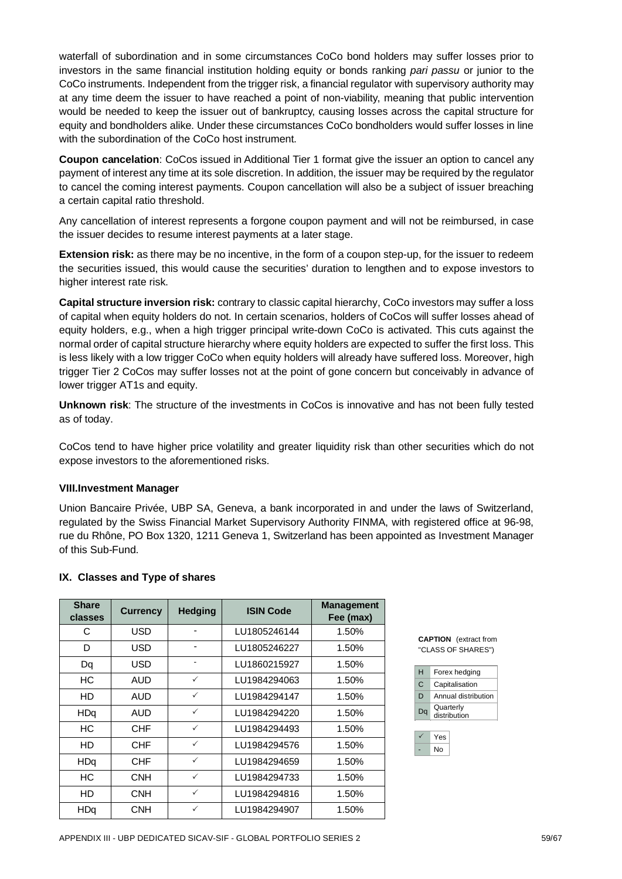waterfall of subordination and in some circumstances CoCo bond holders may suffer losses prior to investors in the same financial institution holding equity or bonds ranking *pari passu* or junior to the CoCo instruments. Independent from the trigger risk, a financial regulator with supervisory authority may at any time deem the issuer to have reached a point of non-viability, meaning that public intervention would be needed to keep the issuer out of bankruptcy, causing losses across the capital structure for equity and bondholders alike. Under these circumstances CoCo bondholders would suffer losses in line with the subordination of the CoCo host instrument.

**Coupon cancelation**: CoCos issued in Additional Tier 1 format give the issuer an option to cancel any payment of interest any time at its sole discretion. In addition, the issuer may be required by the regulator to cancel the coming interest payments. Coupon cancellation will also be a subject of issuer breaching a certain capital ratio threshold.

Any cancellation of interest represents a forgone coupon payment and will not be reimbursed, in case the issuer decides to resume interest payments at a later stage.

**Extension risk:** as there may be no incentive, in the form of a coupon step-up, for the issuer to redeem the securities issued, this would cause the securities' duration to lengthen and to expose investors to higher interest rate risk.

**Capital structure inversion risk:** contrary to classic capital hierarchy, CoCo investors may suffer a loss of capital when equity holders do not. In certain scenarios, holders of CoCos will suffer losses ahead of equity holders, e.g., when a high trigger principal write-down CoCo is activated. This cuts against the normal order of capital structure hierarchy where equity holders are expected to suffer the first loss. This is less likely with a low trigger CoCo when equity holders will already have suffered loss. Moreover, high trigger Tier 2 CoCos may suffer losses not at the point of gone concern but conceivably in advance of lower trigger AT1s and equity.

**Unknown risk**: The structure of the investments in CoCos is innovative and has not been fully tested as of today.

CoCos tend to have higher price volatility and greater liquidity risk than other securities which do not expose investors to the aforementioned risks.

#### **VIII. Investment Manager**

Union Bancaire Privée, UBP SA, Geneva, a bank incorporated in and under the laws of Switzerland, regulated by the Swiss Financial Market Supervisory Authority FINMA, with registered office at 96-98, rue du Rhône, PO Box 1320, 1211 Geneva 1, Switzerland has been appointed as Investment Manager of this Sub-Fund.

#### **IX. Classes and Type of shares**

| <b>Share</b><br>classes | <b>Currency</b> | <b>Hedging</b> | <b>ISIN Code</b> | <b>Management</b><br>Fee (max) |
|-------------------------|-----------------|----------------|------------------|--------------------------------|
| С                       | <b>USD</b>      |                | LU1805246144     | 1.50%                          |
| D                       | USD             |                | LU1805246227     | 1.50%                          |
| Dq                      | <b>USD</b>      | ۰              | LU1860215927     | 1.50%                          |
| НC                      | AUD             | $\checkmark$   | LU1984294063     | 1.50%                          |
| HD                      | AUD             | $\checkmark$   | LU1984294147     | 1.50%                          |
| <b>HDq</b>              | AUD             | $\checkmark$   | LU1984294220     | 1.50%                          |
| НC                      | <b>CHF</b>      | $\checkmark$   | LU1984294493     | 1.50%                          |
| HD                      | CHF             | $\checkmark$   | LU1984294576     | 1.50%                          |
| HDq                     | <b>CHF</b>      | $\checkmark$   | LU1984294659     | 1.50%                          |
| НC                      | <b>CNH</b>      | $\checkmark$   | LU1984294733     | 1.50%                          |
| HD                      | <b>CNH</b>      | $\checkmark$   | LU1984294816     | 1.50%                          |
| <b>HDq</b>              | <b>CNH</b>      | $\checkmark$   | LU1984294907     | 1.50%                          |

**CAPTION** (extract from "CLASS OF SHARES")

| н  | Forex hedging             |
|----|---------------------------|
| C  | Capitalisation            |
| D  | Annual distribution       |
| Da | Quarterly<br>distribution |

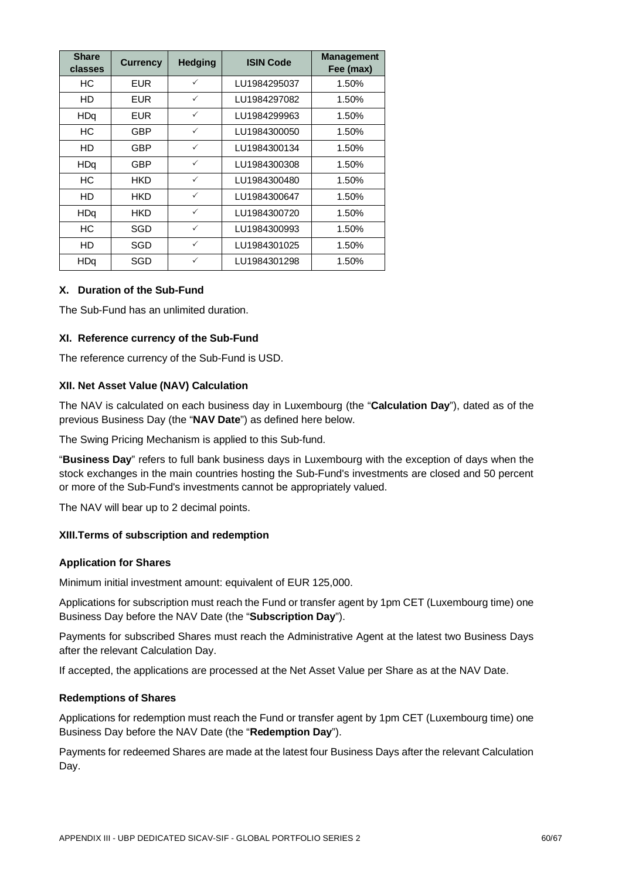| <b>Share</b><br>classes | <b>Currency</b> | <b>Hedging</b> | <b>ISIN Code</b> | <b>Management</b><br>Fee (max) |
|-------------------------|-----------------|----------------|------------------|--------------------------------|
| НC                      | <b>EUR</b>      | $\checkmark$   | LU1984295037     | 1.50%                          |
| HD                      | <b>EUR</b>      | $\checkmark$   | LU1984297082     | 1.50%                          |
| <b>HDq</b>              | <b>EUR</b>      | $\checkmark$   | LU1984299963     | 1.50%                          |
| НC                      | GBP             | $\checkmark$   | LU1984300050     | 1.50%                          |
| HD                      | GBP             | $\checkmark$   | LU1984300134     | 1.50%                          |
| HDq                     | GBP             | $\checkmark$   | LU1984300308     | 1.50%                          |
| НC                      | <b>HKD</b>      | $\checkmark$   | LU1984300480     | 1.50%                          |
| HD                      | HKD             | $\checkmark$   | LU1984300647     | 1.50%                          |
| <b>HDq</b>              | <b>HKD</b>      | $\checkmark$   | LU1984300720     | 1.50%                          |
| НC                      | SGD             | $\checkmark$   | LU1984300993     | 1.50%                          |
| HD                      | SGD             | $\checkmark$   | LU1984301025     | 1.50%                          |
| HDq                     | SGD             | $\checkmark$   | LU1984301298     | 1.50%                          |

## **X. Duration of the Sub-Fund**

The Sub-Fund has an unlimited duration.

## **XI. Reference currency of the Sub-Fund**

The reference currency of the Sub-Fund is USD.

#### **XII. Net Asset Value (NAV) Calculation**

The NAV is calculated on each business day in Luxembourg (the "**Calculation Day**"), dated as of the previous Business Day (the "**NAV Date**") as defined here below.

The Swing Pricing Mechanism is applied to this Sub-fund.

"**Business Day**" refers to full bank business days in Luxembourg with the exception of days when the stock exchanges in the main countries hosting the Sub-Fund's investments are closed and 50 percent or more of the Sub-Fund's investments cannot be appropriately valued.

The NAV will bear up to 2 decimal points.

## **XIII. Terms of subscription and redemption**

## **Application for Shares**

Minimum initial investment amount: equivalent of EUR 125,000.

Applications for subscription must reach the Fund or transfer agent by 1pm CET (Luxembourg time) one Business Day before the NAV Date (the "**Subscription Day**").

Payments for subscribed Shares must reach the Administrative Agent at the latest two Business Days after the relevant Calculation Day.

If accepted, the applications are processed at the Net Asset Value per Share as at the NAV Date.

#### **Redemptions of Shares**

Applications for redemption must reach the Fund or transfer agent by 1pm CET (Luxembourg time) one Business Day before the NAV Date (the "**Redemption Day**").

Payments for redeemed Shares are made at the latest four Business Days after the relevant Calculation Day.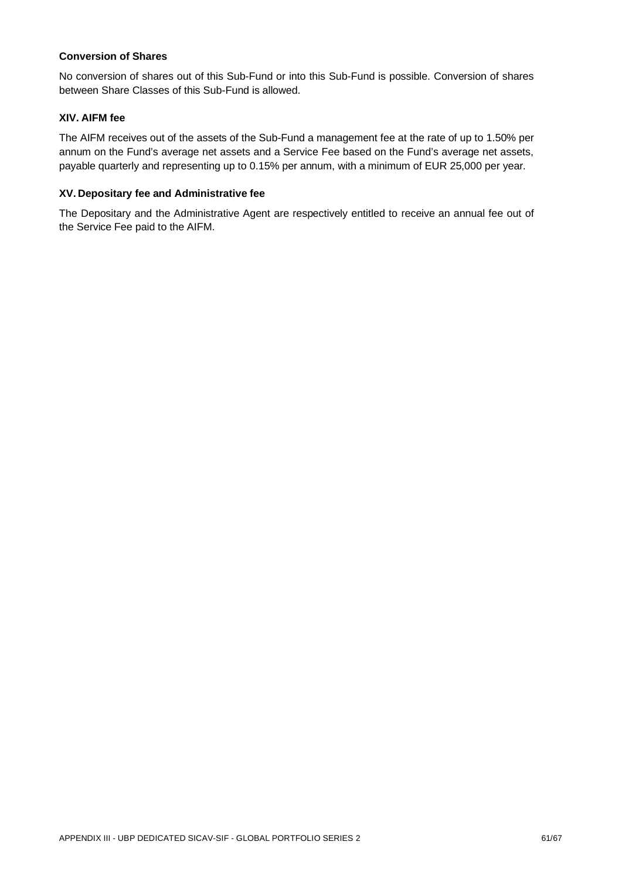#### **Conversion of Shares**

No conversion of shares out of this Sub-Fund or into this Sub-Fund is possible. Conversion of shares between Share Classes of this Sub-Fund is allowed.

## **XIV. AIFM fee**

The AIFM receives out of the assets of the Sub-Fund a management fee at the rate of up to 1.50% per annum on the Fund's average net assets and a Service Fee based on the Fund's average net assets, payable quarterly and representing up to 0.15% per annum, with a minimum of EUR 25,000 per year.

## **XV. Depositary fee and Administrative fee**

The Depositary and the Administrative Agent are respectively entitled to receive an annual fee out of the Service Fee paid to the AIFM.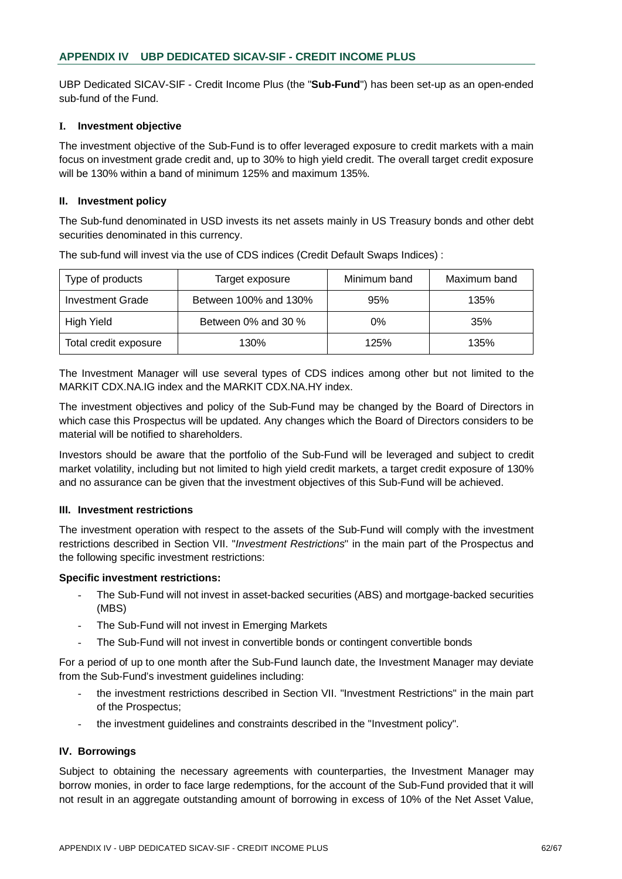UBP Dedicated SICAV-SIF - Credit Income Plus (the "**Sub-Fund**") has been set-up as an open-ended sub-fund of the Fund.

#### **I. Investment objective**

The investment objective of the Sub-Fund is to offer leveraged exposure to credit markets with a main focus on investment grade credit and, up to 30% to high yield credit. The overall target credit exposure will be 130% within a band of minimum 125% and maximum 135%.

#### **II. Investment policy**

The Sub-fund denominated in USD invests its net assets mainly in US Treasury bonds and other debt securities denominated in this currency.

| Type of products      | Target exposure       | Minimum band | Maximum band |
|-----------------------|-----------------------|--------------|--------------|
| Investment Grade      | Between 100% and 130% | 95%          | 135%         |
| High Yield            | Between 0% and 30 %   | 0%           | 35%          |
| Total credit exposure | 130%                  | 125%         | 135%         |

The sub-fund will invest via the use of CDS indices (Credit Default Swaps Indices) :

The Investment Manager will use several types of CDS indices among other but not limited to the MARKIT CDX.NA.IG index and the MARKIT CDX.NA.HY index.

The investment objectives and policy of the Sub-Fund may be changed by the Board of Directors in which case this Prospectus will be updated. Any changes which the Board of Directors considers to be material will be notified to shareholders.

Investors should be aware that the portfolio of the Sub-Fund will be leveraged and subject to credit market volatility, including but not limited to high yield credit markets, a target credit exposure of 130% and no assurance can be given that the investment objectives of this Sub-Fund will be achieved.

#### **III. Investment restrictions**

The investment operation with respect to the assets of the Sub-Fund will comply with the investment restrictions described in Section VII. "*Investment Restrictions*" in the main part of the Prospectus and the following specific investment restrictions:

## **Specific investment restrictions:**

- The Sub-Fund will not invest in asset-backed securities (ABS) and mortgage-backed securities (MBS)
- The Sub-Fund will not invest in Emerging Markets
- The Sub-Fund will not invest in convertible bonds or contingent convertible bonds

For a period of up to one month after the Sub-Fund launch date, the Investment Manager may deviate from the Sub-Fund's investment guidelines including:

- the investment restrictions described in Section VII. "Investment Restrictions" in the main part of the Prospectus;
- the investment guidelines and constraints described in the "Investment policy".

## **IV. Borrowings**

Subject to obtaining the necessary agreements with counterparties, the Investment Manager may borrow monies, in order to face large redemptions, for the account of the Sub-Fund provided that it will not result in an aggregate outstanding amount of borrowing in excess of 10% of the Net Asset Value,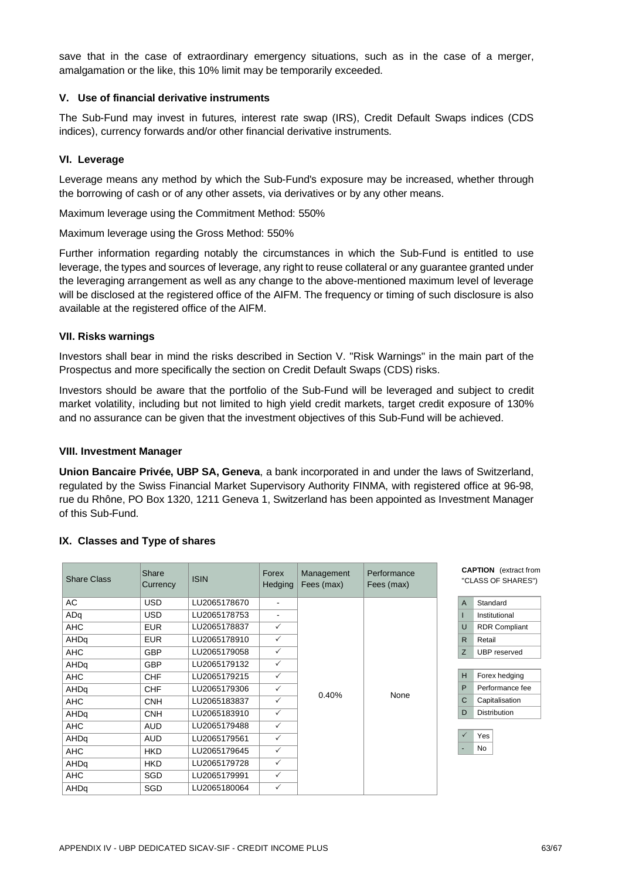save that in the case of extraordinary emergency situations, such as in the case of a merger, amalgamation or the like, this 10% limit may be temporarily exceeded.

## **V. Use of financial derivative instruments**

The Sub-Fund may invest in futures, interest rate swap (IRS), Credit Default Swaps indices (CDS indices), currency forwards and/or other financial derivative instruments.

#### **VI. Leverage**

Leverage means any method by which the Sub-Fund's exposure may be increased, whether through the borrowing of cash or of any other assets, via derivatives or by any other means.

Maximum leverage using the Commitment Method: 550%

Maximum leverage using the Gross Method: 550%

Further information regarding notably the circumstances in which the Sub-Fund is entitled to use leverage, the types and sources of leverage, any right to reuse collateral or any guarantee granted under the leveraging arrangement as well as any change to the above-mentioned maximum level of leverage will be disclosed at the registered office of the AIFM. The frequency or timing of such disclosure is also available at the registered office of the AIFM.

#### **VII. Risks warnings**

Investors shall bear in mind the risks described in Section V. "Risk Warnings" in the main part of the Prospectus and more specifically the section on Credit Default Swaps (CDS) risks.

Investors should be aware that the portfolio of the Sub-Fund will be leveraged and subject to credit market volatility, including but not limited to high yield credit markets, target credit exposure of 130% and no assurance can be given that the investment objectives of this Sub-Fund will be achieved.

#### **VIII. Investment Manager**

**Union Bancaire Privée, UBP SA, Geneva**, a bank incorporated in and under the laws of Switzerland, regulated by the Swiss Financial Market Supervisory Authority FINMA, with registered office at 96-98, rue du Rhône, PO Box 1320, 1211 Geneva 1, Switzerland has been appointed as Investment Manager of this Sub-Fund.

| <b>Share Class</b> | Share<br>Currency | <b>ISIN</b>  | Forex<br>Hedging | Management<br>Fees (max) | Performance<br>Fees (max) |
|--------------------|-------------------|--------------|------------------|--------------------------|---------------------------|
| AC                 | <b>USD</b>        | LU2065178670 |                  |                          |                           |
| ADq                | <b>USD</b>        | LU2065178753 |                  |                          |                           |
| <b>AHC</b>         | <b>EUR</b>        | LU2065178837 | $\checkmark$     |                          |                           |
| AHDq               | <b>EUR</b>        | LU2065178910 | $\checkmark$     |                          |                           |
| <b>AHC</b>         | <b>GBP</b>        | LU2065179058 | $\checkmark$     |                          |                           |
| AHDq               | <b>GBP</b>        | LU2065179132 | $\checkmark$     |                          |                           |
| <b>AHC</b>         | <b>CHF</b>        | LU2065179215 | $\checkmark$     |                          |                           |
| AHDq               | <b>CHF</b>        | LU2065179306 | $\checkmark$     | 0.40%                    | None                      |
| AHC                | <b>CNH</b>        | LU2065183837 | $\checkmark$     |                          |                           |
| AHDq               | <b>CNH</b>        | LU2065183910 | $\checkmark$     |                          |                           |
| AHC                | <b>AUD</b>        | LU2065179488 | $\checkmark$     |                          |                           |
| AHDq               | <b>AUD</b>        | LU2065179561 | $\checkmark$     |                          |                           |
| <b>AHC</b>         | <b>HKD</b>        | LU2065179645 | $\checkmark$     |                          |                           |
| AHDq               | <b>HKD</b>        | LU2065179728 | $\checkmark$     |                          |                           |
| <b>AHC</b>         | <b>SGD</b>        | LU2065179991 | $\checkmark$     |                          |                           |
| AHDq               | <b>SGD</b>        | LU2065180064 | $\checkmark$     |                          |                           |

## **IX. Classes and Type of shares**

**CAPTION** (extract from "CLASS OF SHARES")

| A | Standard             |  |  |  |  |  |
|---|----------------------|--|--|--|--|--|
|   | Institutional        |  |  |  |  |  |
| U | <b>RDR Compliant</b> |  |  |  |  |  |
| R | Retail               |  |  |  |  |  |
| 7 | <b>UBP</b> reserved  |  |  |  |  |  |
|   |                      |  |  |  |  |  |
|   |                      |  |  |  |  |  |

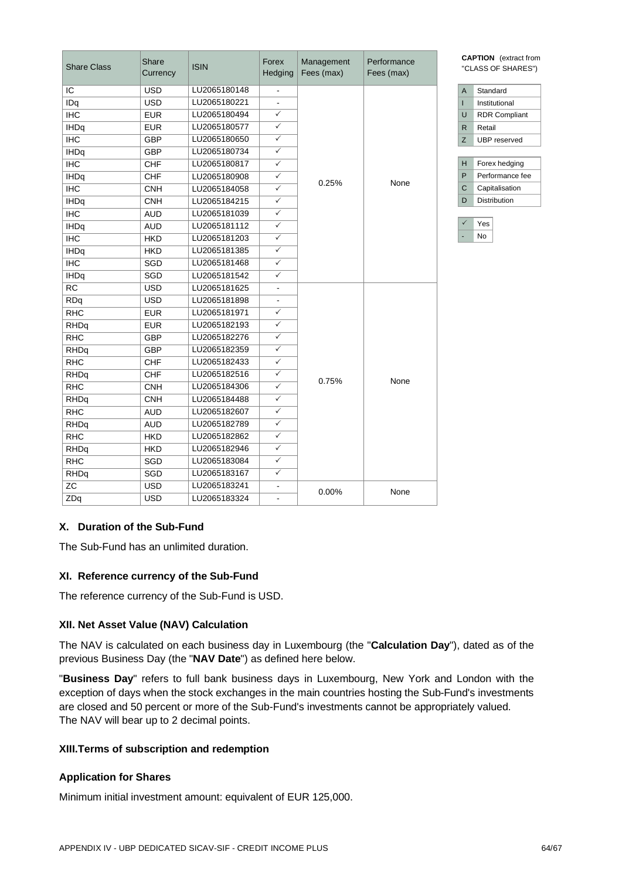| <b>Share Class</b> | Share<br>Currency | <b>ISIN</b>  | Forex<br>Hedging        | Management<br>Fees (max) | Performance<br>Fees (max) | <b>CAPTION</b> (extract from<br>"CLASS OF SHARES") |                        |
|--------------------|-------------------|--------------|-------------------------|--------------------------|---------------------------|----------------------------------------------------|------------------------|
| IC                 | <b>USD</b>        | LU2065180148 |                         |                          |                           | Standard<br>$\overline{A}$                         |                        |
| IDq                | <b>USD</b>        | LU2065180221 |                         |                          |                           | Institutional<br>T                                 |                        |
| <b>IHC</b>         | <b>EUR</b>        | LU2065180494 | $\checkmark$            |                          |                           | $\cup$<br><b>RDR Compliant</b>                     |                        |
| <b>IHDq</b>        | <b>EUR</b>        | LU2065180577 | $\checkmark$            |                          |                           |                                                    | $\mathsf{R}$<br>Retail |
| <b>IHC</b>         | <b>GBP</b>        | LU2065180650 | $\checkmark$            |                          |                           | Z<br><b>UBP</b> reserved                           |                        |
| <b>IHDq</b>        | <b>GBP</b>        | LU2065180734 | $\checkmark$            |                          |                           |                                                    |                        |
| <b>IHC</b>         | <b>CHF</b>        | LU2065180817 | $\checkmark$            |                          |                           | Forex hedging<br>н                                 |                        |
| <b>IHDq</b>        | <b>CHF</b>        | LU2065180908 | $\checkmark$            | 0.25%                    | None                      | P<br>Performance fee                               |                        |
| <b>IHC</b>         | <b>CNH</b>        | LU2065184058 | $\checkmark$            |                          |                           | C<br>Capitalisation                                |                        |
| <b>IHDq</b>        | <b>CNH</b>        | LU2065184215 | $\checkmark$            |                          |                           | Distribution<br>D                                  |                        |
| <b>IHC</b>         | <b>AUD</b>        | LU2065181039 | $\checkmark$            |                          |                           |                                                    |                        |
| <b>IHDq</b>        | <b>AUD</b>        | LU2065181112 | $\checkmark$            |                          |                           | Yes<br>$\checkmark$                                |                        |
| <b>IHC</b>         | <b>HKD</b>        | LU2065181203 | $\checkmark$            |                          |                           | <b>No</b>                                          |                        |
| <b>IHDq</b>        | <b>HKD</b>        | LU2065181385 | $\checkmark$            |                          |                           |                                                    |                        |
| <b>IHC</b>         | SGD               | LU2065181468 | $\checkmark$            |                          |                           |                                                    |                        |
| <b>IHDq</b>        | SGD               | LU2065181542 | $\overline{\checkmark}$ |                          |                           |                                                    |                        |
| <b>RC</b>          | <b>USD</b>        | LU2065181625 | $\blacksquare$          |                          |                           |                                                    |                        |
| RDq                | <b>USD</b>        | LU2065181898 | $\blacksquare$          |                          |                           |                                                    |                        |
| <b>RHC</b>         | <b>EUR</b>        | LU2065181971 | $\overline{\checkmark}$ |                          |                           |                                                    |                        |
| RHDq               | <b>EUR</b>        | LU2065182193 | $\checkmark$            |                          |                           |                                                    |                        |
| <b>RHC</b>         | <b>GBP</b>        | LU2065182276 | $\overline{\checkmark}$ |                          |                           |                                                    |                        |
| RHDq               | GBP               | LU2065182359 | $\checkmark$            |                          |                           |                                                    |                        |
| <b>RHC</b>         | <b>CHF</b>        | LU2065182433 | $\checkmark$            |                          | None                      |                                                    |                        |
| RHDq               | <b>CHF</b>        | LU2065182516 | $\checkmark$            |                          |                           |                                                    |                        |
| <b>RHC</b>         | <b>CNH</b>        | LU2065184306 | $\checkmark$            | 0.75%                    |                           |                                                    |                        |
| RHDq               | <b>CNH</b>        | LU2065184488 | $\checkmark$            |                          |                           |                                                    |                        |
| <b>RHC</b>         | <b>AUD</b>        | LU2065182607 | $\checkmark$            |                          |                           |                                                    |                        |
| RHDq               | <b>AUD</b>        | LU2065182789 | $\checkmark$            |                          |                           |                                                    |                        |
| <b>RHC</b>         | <b>HKD</b>        | LU2065182862 | $\checkmark$            |                          |                           |                                                    |                        |
| RHDq               | <b>HKD</b>        | LU2065182946 | $\checkmark$            |                          |                           |                                                    |                        |
| <b>RHC</b>         | SGD               | LU2065183084 | $\checkmark$            |                          |                           |                                                    |                        |
| RHDq               | SGD               | LU2065183167 | $\checkmark$            |                          |                           |                                                    |                        |
| <b>ZC</b>          | <b>USD</b>        | LU2065183241 | $\blacksquare$          | 0.00%                    |                           |                                                    |                        |
| ZDq                | <b>USD</b>        | LU2065183324 | $\blacksquare$          |                          | None                      |                                                    |                        |

## **X. Duration of the Sub-Fund**

The Sub-Fund has an unlimited duration.

#### **XI. Reference currency of the Sub-Fund**

The reference currency of the Sub-Fund is USD.

#### **XII. Net Asset Value (NAV) Calculation**

The NAV is calculated on each business day in Luxembourg (the "**Calculation Day**"), dated as of the previous Business Day (the "**NAV Date**") as defined here below.

"**Business Day**" refers to full bank business days in Luxembourg, New York and London with the exception of days when the stock exchanges in the main countries hosting the Sub-Fund's investments are closed and 50 percent or more of the Sub-Fund's investments cannot be appropriately valued. The NAV will bear up to 2 decimal points.

#### **XIII. Terms of subscription and redemption**

#### **Application for Shares**

Minimum initial investment amount: equivalent of EUR 125,000.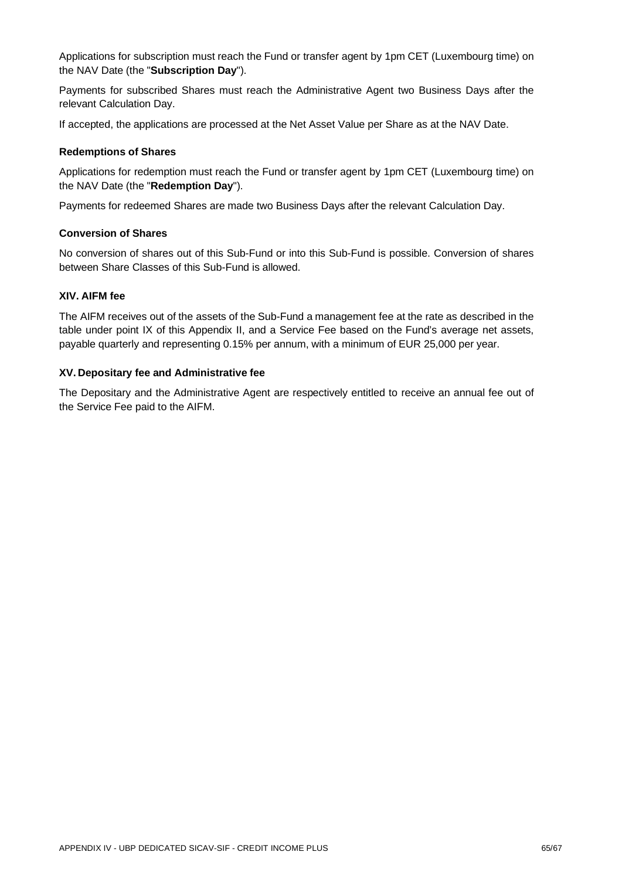Applications for subscription must reach the Fund or transfer agent by 1pm CET (Luxembourg time) on the NAV Date (the "**Subscription Day**").

Payments for subscribed Shares must reach the Administrative Agent two Business Days after the relevant Calculation Day.

If accepted, the applications are processed at the Net Asset Value per Share as at the NAV Date.

#### **Redemptions of Shares**

Applications for redemption must reach the Fund or transfer agent by 1pm CET (Luxembourg time) on the NAV Date (the "**Redemption Day**").

Payments for redeemed Shares are made two Business Days after the relevant Calculation Day.

#### **Conversion of Shares**

No conversion of shares out of this Sub-Fund or into this Sub-Fund is possible. Conversion of shares between Share Classes of this Sub-Fund is allowed.

#### **XIV. AIFM fee**

The AIFM receives out of the assets of the Sub-Fund a management fee at the rate as described in the table under point IX of this Appendix II, and a Service Fee based on the Fund's average net assets, payable quarterly and representing 0.15% per annum, with a minimum of EUR 25,000 per year.

#### **XV. Depositary fee and Administrative fee**

The Depositary and the Administrative Agent are respectively entitled to receive an annual fee out of the Service Fee paid to the AIFM.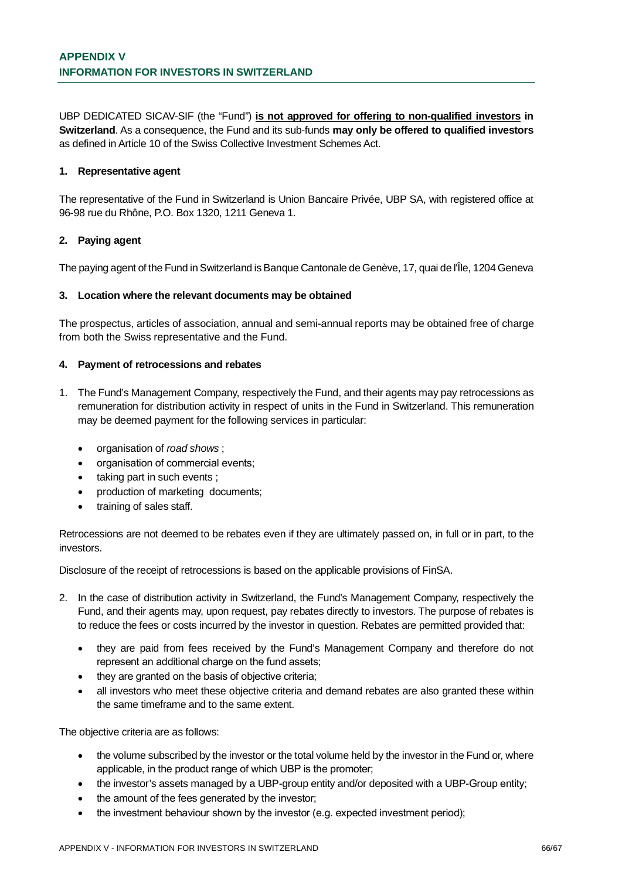UBP DEDICATED SICAV-SIF (the "Fund") **is not approved for offering to non-qualified investors in Switzerland**. As a consequence, the Fund and its sub-funds **may only be offered to qualified investors** as defined in Article 10 of the Swiss Collective Investment Schemes Act.

#### **1. Representative agent**

The representative of the Fund in Switzerland is Union Bancaire Privée, UBP SA, with registered office at 96-98 rue du Rhône, P.O. Box 1320, 1211 Geneva 1.

#### **2. Paying agent**

The paying agent of the Fund in Switzerland is Banque Cantonale de Genève, 17, quai de l'Île, 1204 Geneva

#### **3. Location where the relevant documents may be obtained**

The prospectus, articles of association, annual and semi-annual reports may be obtained free of charge from both the Swiss representative and the Fund.

#### **4. Payment of retrocessions and rebates**

- 1. The Fund's Management Company, respectively the Fund, and their agents may pay retrocessions as remuneration for distribution activity in respect of units in the Fund in Switzerland. This remuneration may be deemed payment for the following services in particular:
	- · organisation of *road shows* ;
	- · organisation of commercial events;
	- taking part in such events :
	- production of marketing documents;
	- training of sales staff.

Retrocessions are not deemed to be rebates even if they are ultimately passed on, in full or in part, to the investors.

Disclosure of the receipt of retrocessions is based on the applicable provisions of FinSA.

- 2. In the case of distribution activity in Switzerland, the Fund's Management Company, respectively the Fund, and their agents may, upon request, pay rebates directly to investors. The purpose of rebates is to reduce the fees or costs incurred by the investor in question. Rebates are permitted provided that:
	- · they are paid from fees received by the Fund's Management Company and therefore do not represent an additional charge on the fund assets;
	- they are granted on the basis of objective criteria;
	- all investors who meet these objective criteria and demand rebates are also granted these within the same timeframe and to the same extent.

The objective criteria are as follows:

- · the volume subscribed by the investor or the total volume held by the investor in the Fund or, where applicable, in the product range of which UBP is the promoter;
- · the investor's assets managed by a UBP-group entity and/or deposited with a UBP-Group entity;
- the amount of the fees generated by the investor;
- the investment behaviour shown by the investor (e.g. expected investment period);